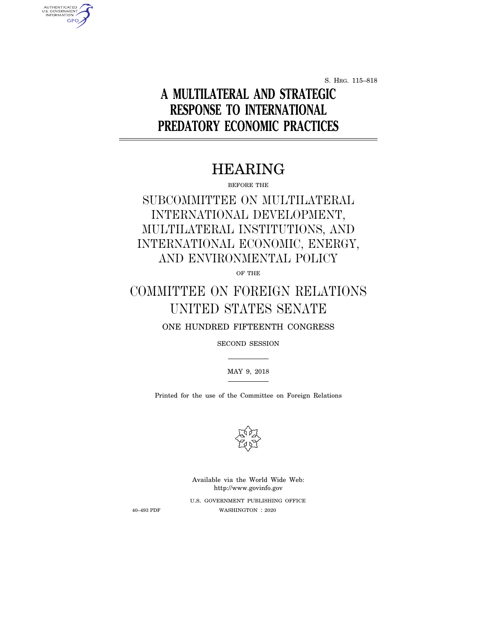S. HRG. 115–818

# **A MULTILATERAL AND STRATEGIC RESPONSE TO INTERNATIONAL PREDATORY ECONOMIC PRACTICES**

## HEARING

BEFORE THE

## SUBCOMMITTEE ON MULTILATERAL INTERNATIONAL DEVELOPMENT, MULTILATERAL INSTITUTIONS, AND INTERNATIONAL ECONOMIC, ENERGY, AND ENVIRONMENTAL POLICY

OF THE

# COMMITTEE ON FOREIGN RELATIONS UNITED STATES SENATE

ONE HUNDRED FIFTEENTH CONGRESS

SECOND SESSION

MAY 9, 2018

Printed for the use of the Committee on Foreign Relations



U.S. GOVERNMENT PUBLISHING OFFICE 40–493 PDF WASHINGTON : 2020 Available via the World Wide Web: http://www.govinfo.gov

AUTHENTICATED<br>U.S. GOVERNMENT<br>INFORMATION **GPO**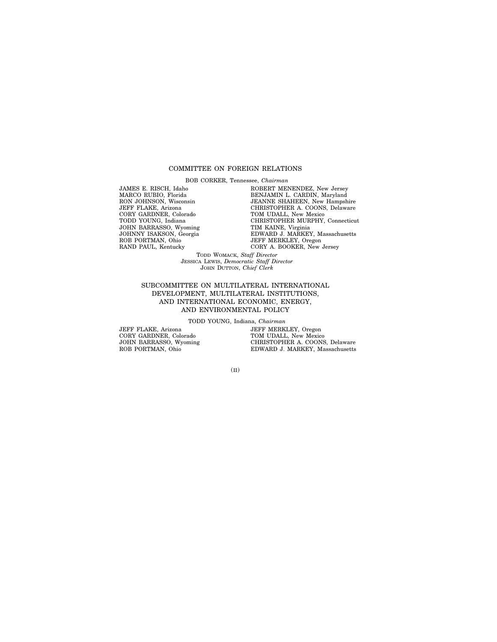#### COMMITTEE ON FOREIGN RELATIONS

BOB CORKER, Tennessee, *Chairman*

JAMES E. RISCH, Idaho MARCO RUBIO, Florida RON JOHNSON, Wisconsin JEFF FLAKE, Arizona CORY GARDNER, Colorado TODD YOUNG, Indiana JOHN BARRASSO, Wyoming JOHNNY ISAKSON, Georgia ROB PORTMAN, Ohio RAND PAUL, Kentucky

ROBERT MENENDEZ, New Jersey BENJAMIN L. CARDIN, Maryland JEANNE SHAHEEN, New Hampshire CHRISTOPHER A. COONS, Delaware TOM UDALL, New Mexico CHRISTOPHER MURPHY, Connecticut TIM KAINE, Virginia EDWARD J. MARKEY, Massachusetts JEFF MERKLEY, Oregon CORY A. BOOKER, New Jersey

TODD WOMACK, *Staff Director* JESSICA LEWIS, *Democratic Staff Director* JOHN DUTTON, *Chief Clerk*

#### SUBCOMMITTEE ON MULTILATERAL INTERNATIONAL DEVELOPMENT, MULTILATERAL INSTITUTIONS, AND INTERNATIONAL ECONOMIC, ENERGY, AND ENVIRONMENTAL POLICY

TODD YOUNG, Indiana, *Chairman*

JEFF FLAKE, Arizona CORY GARDNER, Colorado JOHN BARRASSO, Wyoming ROB PORTMAN, Ohio

JEFF MERKLEY, Oregon TOM UDALL, New Mexico CHRISTOPHER A. COONS, Delaware EDWARD J. MARKEY, Massachusetts

(II)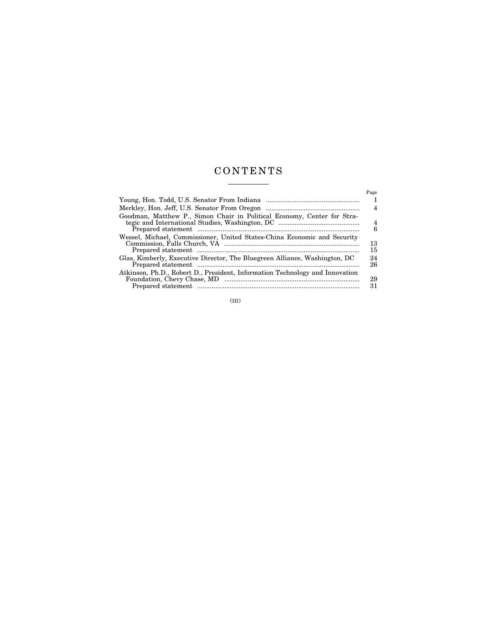### C O N T E N T S  $\begin{tabular}{l} \multicolumn{2}{c} {\textbf{1}}\\ \multicolumn{2}{c} {\textbf{2}}\\ \multicolumn{2}{c} {\textbf{3}}\\ \multicolumn{2}{c} {\textbf{4}}\\ \multicolumn{2}{c} {\textbf{5}}\\ \multicolumn{2}{c} {\textbf{6}}\\ \multicolumn{2}{c} {\textbf{6}}\\ \multicolumn{2}{c} {\textbf{7}}\\ \multicolumn{2}{c} {\textbf{8}}\\ \multicolumn{2}{c} {\textbf{9}}\\ \multicolumn{2}{c} {\textbf{1}}\\ \multicolumn{2}{c} {\textbf{1}}\\ \multicolumn{2}{c} {\textbf{1}}\\ \multicolumn$

|                                                                              | Page     |
|------------------------------------------------------------------------------|----------|
|                                                                              |          |
|                                                                              | 4        |
| Goodman, Matthew P., Simon Chair in Political Economy, Center for Stra-      |          |
|                                                                              | 4<br>6   |
| Wessel, Michael, Commissioner, United States-China Economic and Security     | 13<br>15 |
| Glas, Kimberly, Executive Director, The Bluegreen Alliance, Washington, DC   | 24<br>26 |
| Atkinson, Ph.D., Robert D., President, Information Technology and Innovation | 29<br>31 |
|                                                                              |          |

(III)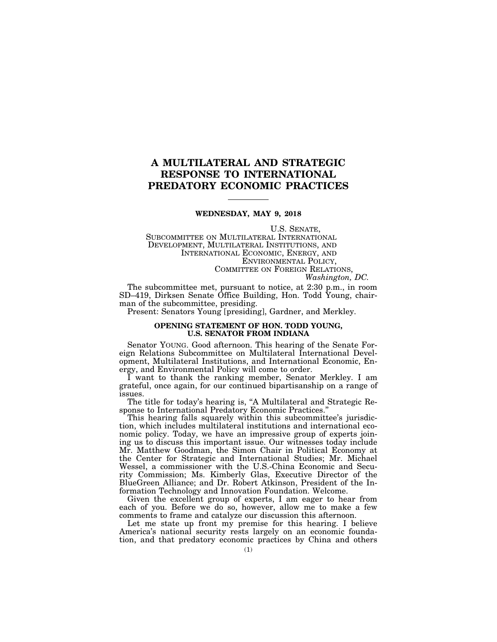### **A MULTILATERAL AND STRATEGIC RESPONSE TO INTERNATIONAL PREDATORY ECONOMIC PRACTICES**

#### **WEDNESDAY, MAY 9, 2018**

U.S. SENATE,

SUBCOMMITTEE ON MULTILATERAL INTERNATIONAL DEVELOPMENT, MULTILATERAL INSTITUTIONS, AND INTERNATIONAL ECONOMIC, ENERGY, AND ENVIRONMENTAL POLICY, COMMITTEE ON FOREIGN RELATIONS,

*Washington, DC.* 

The subcommittee met, pursuant to notice, at 2:30 p.m., in room SD–419, Dirksen Senate Office Building, Hon. Todd Young, chairman of the subcommittee, presiding.

Present: Senators Young [presiding], Gardner, and Merkley.

#### **OPENING STATEMENT OF HON. TODD YOUNG, U.S. SENATOR FROM INDIANA**

Senator YOUNG. Good afternoon. This hearing of the Senate Foreign Relations Subcommittee on Multilateral International Development, Multilateral Institutions, and International Economic, Energy, and Environmental Policy will come to order.

I want to thank the ranking member, Senator Merkley. I am grateful, once again, for our continued bipartisanship on a range of issues.

The title for today's hearing is, ''A Multilateral and Strategic Response to International Predatory Economic Practices.''

This hearing falls squarely within this subcommittee's jurisdiction, which includes multilateral institutions and international economic policy. Today, we have an impressive group of experts joining us to discuss this important issue. Our witnesses today include Mr. Matthew Goodman, the Simon Chair in Political Economy at the Center for Strategic and International Studies; Mr. Michael Wessel, a commissioner with the U.S.-China Economic and Security Commission; Ms. Kimberly Glas, Executive Director of the BlueGreen Alliance; and Dr. Robert Atkinson, President of the Information Technology and Innovation Foundation. Welcome.

Given the excellent group of experts, I am eager to hear from each of you. Before we do so, however, allow me to make a few comments to frame and catalyze our discussion this afternoon.

Let me state up front my premise for this hearing. I believe America's national security rests largely on an economic foundation, and that predatory economic practices by China and others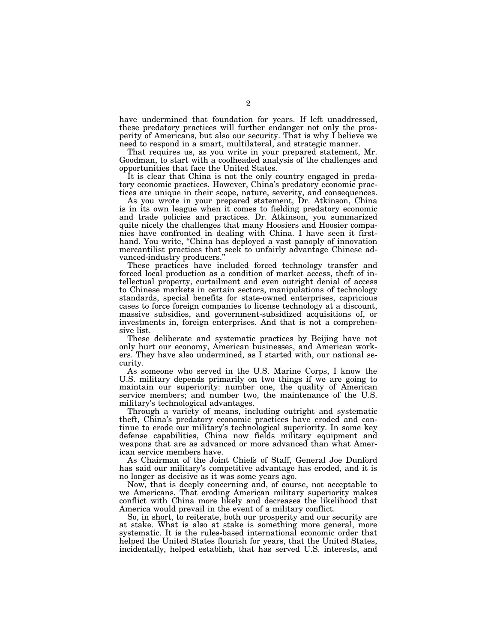have undermined that foundation for years. If left unaddressed, these predatory practices will further endanger not only the prosperity of Americans, but also our security. That is why I believe we need to respond in a smart, multilateral, and strategic manner.

That requires us, as you write in your prepared statement, Mr. Goodman, to start with a coolheaded analysis of the challenges and opportunities that face the United States.

It is clear that China is not the only country engaged in predatory economic practices. However, China's predatory economic practices are unique in their scope, nature, severity, and consequences.

As you wrote in your prepared statement, Dr. Atkinson, China is in its own league when it comes to fielding predatory economic and trade policies and practices. Dr. Atkinson, you summarized quite nicely the challenges that many Hoosiers and Hoosier companies have confronted in dealing with China. I have seen it firsthand. You write, "China has deployed a vast panoply of innovation mercantilist practices that seek to unfairly advantage Chinese advanced-industry producers.''

These practices have included forced technology transfer and forced local production as a condition of market access, theft of intellectual property, curtailment and even outright denial of access to Chinese markets in certain sectors, manipulations of technology standards, special benefits for state-owned enterprises, capricious cases to force foreign companies to license technology at a discount, massive subsidies, and government-subsidized acquisitions of, or investments in, foreign enterprises. And that is not a comprehensive list.

These deliberate and systematic practices by Beijing have not only hurt our economy, American businesses, and American workers. They have also undermined, as I started with, our national security.

As someone who served in the U.S. Marine Corps, I know the U.S. military depends primarily on two things if we are going to maintain our superiority: number one, the quality of American service members; and number two, the maintenance of the U.S. military's technological advantages.

Through a variety of means, including outright and systematic theft, China's predatory economic practices have eroded and continue to erode our military's technological superiority. In some key defense capabilities, China now fields military equipment and weapons that are as advanced or more advanced than what American service members have.

As Chairman of the Joint Chiefs of Staff, General Joe Dunford has said our military's competitive advantage has eroded, and it is no longer as decisive as it was some years ago.

Now, that is deeply concerning and, of course, not acceptable to we Americans. That eroding American military superiority makes conflict with China more likely and decreases the likelihood that America would prevail in the event of a military conflict.

So, in short, to reiterate, both our prosperity and our security are at stake. What is also at stake is something more general, more systematic. It is the rules-based international economic order that helped the United States flourish for years, that the United States, incidentally, helped establish, that has served U.S. interests, and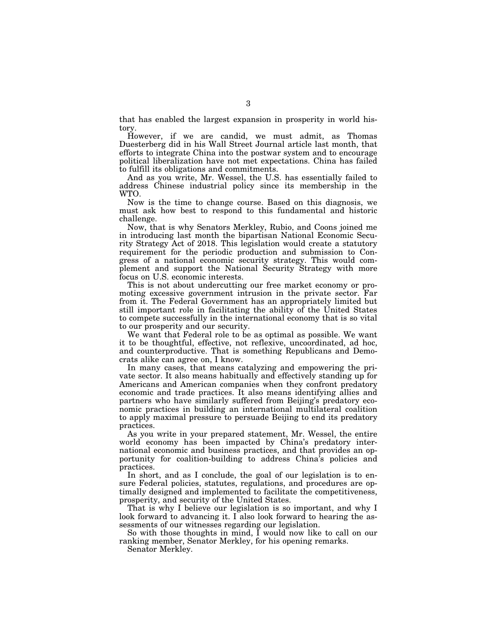that has enabled the largest expansion in prosperity in world history.

However, if we are candid, we must admit, as Thomas Duesterberg did in his Wall Street Journal article last month, that efforts to integrate China into the postwar system and to encourage political liberalization have not met expectations. China has failed to fulfill its obligations and commitments.

And as you write, Mr. Wessel, the U.S. has essentially failed to address Chinese industrial policy since its membership in the WTO.

Now is the time to change course. Based on this diagnosis, we must ask how best to respond to this fundamental and historic challenge.

Now, that is why Senators Merkley, Rubio, and Coons joined me in introducing last month the bipartisan National Economic Security Strategy Act of 2018. This legislation would create a statutory requirement for the periodic production and submission to Congress of a national economic security strategy. This would complement and support the National Security Strategy with more focus on U.S. economic interests.

This is not about undercutting our free market economy or promoting excessive government intrusion in the private sector. Far from it. The Federal Government has an appropriately limited but still important role in facilitating the ability of the United States to compete successfully in the international economy that is so vital to our prosperity and our security.

We want that Federal role to be as optimal as possible. We want it to be thoughtful, effective, not reflexive, uncoordinated, ad hoc, and counterproductive. That is something Republicans and Democrats alike can agree on, I know.

In many cases, that means catalyzing and empowering the private sector. It also means habitually and effectively standing up for Americans and American companies when they confront predatory economic and trade practices. It also means identifying allies and partners who have similarly suffered from Beijing's predatory economic practices in building an international multilateral coalition to apply maximal pressure to persuade Beijing to end its predatory practices.

As you write in your prepared statement, Mr. Wessel, the entire world economy has been impacted by China's predatory international economic and business practices, and that provides an opportunity for coalition-building to address China's policies and practices.

In short, and as I conclude, the goal of our legislation is to ensure Federal policies, statutes, regulations, and procedures are optimally designed and implemented to facilitate the competitiveness, prosperity, and security of the United States.

That is why I believe our legislation is so important, and why I look forward to advancing it. I also look forward to hearing the assessments of our witnesses regarding our legislation.

So with those thoughts in mind,  $I$  would now like to call on our ranking member, Senator Merkley, for his opening remarks.

Senator Merkley.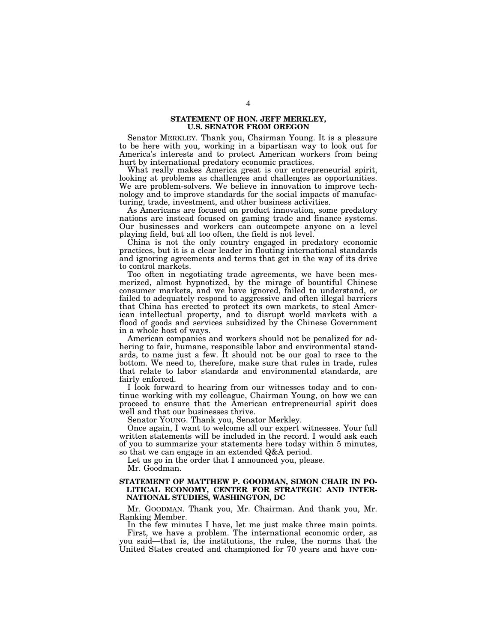#### **STATEMENT OF HON. JEFF MERKLEY, U.S. SENATOR FROM OREGON**

Senator MERKLEY. Thank you, Chairman Young. It is a pleasure to be here with you, working in a bipartisan way to look out for America's interests and to protect American workers from being hurt by international predatory economic practices.

What really makes America great is our entrepreneurial spirit, looking at problems as challenges and challenges as opportunities. We are problem-solvers. We believe in innovation to improve technology and to improve standards for the social impacts of manufacturing, trade, investment, and other business activities.

As Americans are focused on product innovation, some predatory nations are instead focused on gaming trade and finance systems. Our businesses and workers can outcompete anyone on a level playing field, but all too often, the field is not level.

China is not the only country engaged in predatory economic practices, but it is a clear leader in flouting international standards and ignoring agreements and terms that get in the way of its drive to control markets.

Too often in negotiating trade agreements, we have been mesmerized, almost hypnotized, by the mirage of bountiful Chinese consumer markets, and we have ignored, failed to understand, or failed to adequately respond to aggressive and often illegal barriers that China has erected to protect its own markets, to steal American intellectual property, and to disrupt world markets with a flood of goods and services subsidized by the Chinese Government in a whole host of ways.

American companies and workers should not be penalized for adhering to fair, humane, responsible labor and environmental standards, to name just a few. It should not be our goal to race to the bottom. We need to, therefore, make sure that rules in trade, rules that relate to labor standards and environmental standards, are fairly enforced.

I look forward to hearing from our witnesses today and to continue working with my colleague, Chairman Young, on how we can proceed to ensure that the American entrepreneurial spirit does well and that our businesses thrive.

Senator YOUNG. Thank you, Senator Merkley.

Once again, I want to welcome all our expert witnesses. Your full written statements will be included in the record. I would ask each of you to summarize your statements here today within 5 minutes, so that we can engage in an extended Q&A period.

Let us go in the order that I announced you, please.

Mr. Goodman.

#### **STATEMENT OF MATTHEW P. GOODMAN, SIMON CHAIR IN PO-LITICAL ECONOMY, CENTER FOR STRATEGIC AND INTER-NATIONAL STUDIES, WASHINGTON, DC**

Mr. GOODMAN. Thank you, Mr. Chairman. And thank you, Mr. Ranking Member.

In the few minutes I have, let me just make three main points. First, we have a problem. The international economic order, as you said—that is, the institutions, the rules, the norms that the United States created and championed for 70 years and have con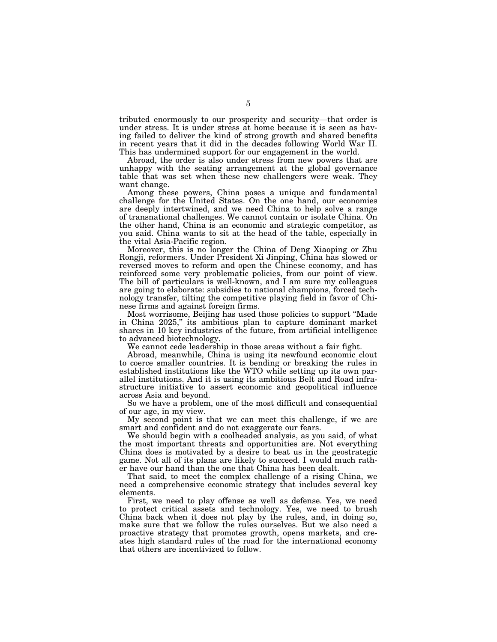tributed enormously to our prosperity and security—that order is under stress. It is under stress at home because it is seen as having failed to deliver the kind of strong growth and shared benefits in recent years that it did in the decades following World War II. This has undermined support for our engagement in the world.

Abroad, the order is also under stress from new powers that are unhappy with the seating arrangement at the global governance table that was set when these new challengers were weak. They want change.

Among these powers, China poses a unique and fundamental challenge for the United States. On the one hand, our economies are deeply intertwined, and we need China to help solve a range of transnational challenges. We cannot contain or isolate China. On the other hand, China is an economic and strategic competitor, as you said. China wants to sit at the head of the table, especially in the vital Asia-Pacific region.

Moreover, this is no longer the China of Deng Xiaoping or Zhu Rongji, reformers. Under President Xi Jinping, China has slowed or reversed moves to reform and open the Chinese economy, and has reinforced some very problematic policies, from our point of view. The bill of particulars is well-known, and I am sure my colleagues are going to elaborate: subsidies to national champions, forced technology transfer, tilting the competitive playing field in favor of Chinese firms and against foreign firms.

Most worrisome, Beijing has used those policies to support ''Made in China 2025,'' its ambitious plan to capture dominant market shares in 10 key industries of the future, from artificial intelligence to advanced biotechnology.

We cannot cede leadership in those areas without a fair fight.

Abroad, meanwhile, China is using its newfound economic clout to coerce smaller countries. It is bending or breaking the rules in established institutions like the WTO while setting up its own parallel institutions. And it is using its ambitious Belt and Road infrastructure initiative to assert economic and geopolitical influence across Asia and beyond.

So we have a problem, one of the most difficult and consequential of our age, in my view.

My second point is that we can meet this challenge, if we are smart and confident and do not exaggerate our fears.

We should begin with a coolheaded analysis, as you said, of what the most important threats and opportunities are. Not everything China does is motivated by a desire to beat us in the geostrategic game. Not all of its plans are likely to succeed. I would much rather have our hand than the one that China has been dealt.

That said, to meet the complex challenge of a rising China, we need a comprehensive economic strategy that includes several key elements.

First, we need to play offense as well as defense. Yes, we need to protect critical assets and technology. Yes, we need to brush China back when it does not play by the rules, and, in doing so, make sure that we follow the rules ourselves. But we also need a proactive strategy that promotes growth, opens markets, and creates high standard rules of the road for the international economy that others are incentivized to follow.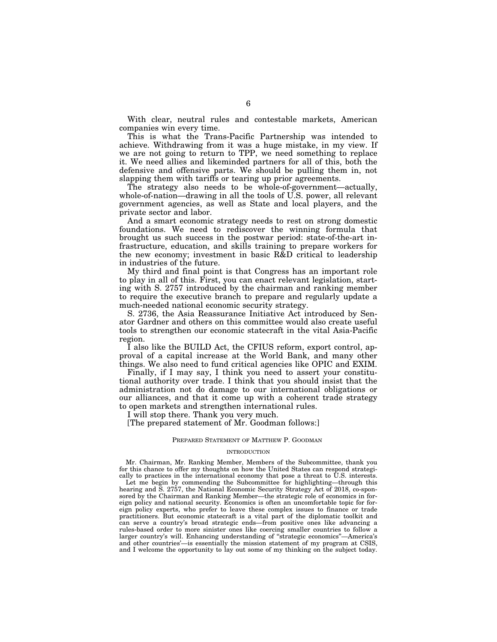With clear, neutral rules and contestable markets, American companies win every time.

This is what the Trans-Pacific Partnership was intended to achieve. Withdrawing from it was a huge mistake, in my view. If we are not going to return to TPP, we need something to replace it. We need allies and likeminded partners for all of this, both the defensive and offensive parts. We should be pulling them in, not slapping them with tariffs or tearing up prior agreements.

The strategy also needs to be whole-of-government—actually, whole-of-nation—drawing in all the tools of U.S. power, all relevant government agencies, as well as State and local players, and the private sector and labor.

And a smart economic strategy needs to rest on strong domestic foundations. We need to rediscover the winning formula that brought us such success in the postwar period: state-of-the-art infrastructure, education, and skills training to prepare workers for the new economy; investment in basic R&D critical to leadership in industries of the future.

My third and final point is that Congress has an important role to play in all of this. First, you can enact relevant legislation, starting with S. 2757 introduced by the chairman and ranking member to require the executive branch to prepare and regularly update a much-needed national economic security strategy.

S. 2736, the Asia Reassurance Initiative Act introduced by Senator Gardner and others on this committee would also create useful tools to strengthen our economic statecraft in the vital Asia-Pacific region.

I also like the BUILD Act, the CFIUS reform, export control, approval of a capital increase at the World Bank, and many other things. We also need to fund critical agencies like OPIC and EXIM.

Finally, if I may say, I think you need to assert your constitutional authority over trade. I think that you should insist that the administration not do damage to our international obligations or our alliances, and that it come up with a coherent trade strategy to open markets and strengthen international rules.

I will stop there. Thank you very much.

[The prepared statement of Mr. Goodman follows:]

#### PREPARED STATEMENT OF MATTHEW P. GOODMAN

#### INTRODUCTION

Mr. Chairman, Mr. Ranking Member, Members of the Subcommittee, thank you for this chance to offer my thoughts on how the United States can respond strategically to practices in the international economy that pose a threat to  $\tilde{U}$ .S. interests. Let me begin by commending the Subcommittee for highlighting—through this

hearing and S. 2757, the National Economic Security Strategy Act of 2018, co-sponsored by the Chairman and Ranking Member—the strategic role of economics in foreign policy and national security. Economics is often an uncomfortable topic for foreign policy experts, who prefer to leave these complex issues to finance or trade practitioners. But economic statecraft is a vital part of the diplomatic toolkit and can serve a country's broad strategic ends—from positive ones like advancing a rules-based order to more sinister ones like coercing smaller countries to follow a larger country's will. Enhancing understanding of ''strategic economics''—America's and other countries'—is essentially the mission statement of my program at CSIS, and I welcome the opportunity to lay out some of my thinking on the subject today.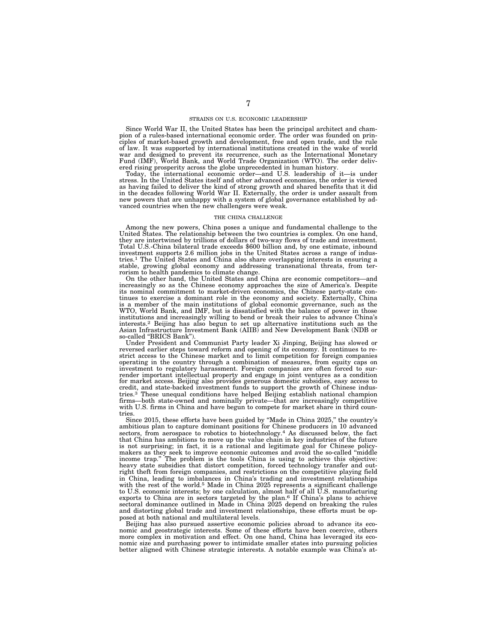#### STRAINS ON U.S. ECONOMIC LEADERSHIP

Since World War II, the United States has been the principal architect and cham-pion of a rules-based international economic order. The order was founded on principles of market-based growth and development, free and open trade, and the rule of law. It was supported by international institutions created in the wake of world war and designed to prevent its recurrence, such as the International Monetary Fund (IMF), World Bank, and World Trade Organization (WTO). The order deliv-

ered rising prosperity across the globe unprecedented in human history. Today, the international economic order—and U.S. leadership of it—is under stress. In the United States itself and other advanced economies, the order is viewed as having failed to deliver the kind of strong growth and shared benefits that it did in the decades following World War II. Externally, the order is under assault from new powers that are unhappy with a system of global governance established by advanced countries when the new challengers were weak.

#### THE CHINA CHALLENGE

Among the new powers, China poses a unique and fundamental challenge to the United States. The relationship between the two countries is complex. On one hand, they are intertwined by trillions of dollars of two-way flows of trade and investment. Total U.S.-China bilateral trade exceeds \$600 billion and, by one estimate, inbound investment supports 2.6 million jobs in the United States across a range of industries.1 The United States and China also share overlapping interests in ensuring a stable, growing global economy and addressing transnational threats, from terrorism to health pandemics to climate change.

On the other hand, the United States and China are economic competitors—and increasingly so as the Chinese economy approaches the size of America's. Despite its nominal commitment to market-driven economics, the Chinese party-state continues to exercise a dominant role in the economy and society. Externally, China is a member of the main institutions of global economic governance, such as the WTO, World Bank, and IMF, but is dissatisfied with the balance of power in those institutions and increasingly willing to bend or break their interests.2 Beijing has also begun to set up alternative institutions such as the Asian Infrastructure Investment Bank (AIIB) and New Development Bank (NDB or so-called "BRICS Bank").

Under President and Communist Party leader Xi Jinping, Beijing has slowed or reversed earlier steps toward reform and opening of its economy. It continues to restrict access to the Chinese market and to limit competition for foreign companies operating in the country through a combination of measures, from equity caps on investment to regulatory harassment. Foreign companies are often forced to sur-render important intellectual property and engage in joint ventures as a condition for market access. Beijing also provides generous domestic subsidies, easy access to credit, and state-backed investment funds to support the growth of Chinese industries.3 These unequal conditions have helped Beijing establish national champion firms—both state-owned and nominally private—that are increasingly competitive with U.S. firms in China and have begun to compete for market share in third countries.

Since 2015, these efforts have been guided by ''Made in China 2025,'' the country's ambitious plan to capture dominant positions for Chinese producers in 10 advanced sectors, from aerospace to robotics to biotechnology.<sup>4</sup> As discussed below, the fact that China has ambitions to move up the value chain in key industries of the future is not surprising; in fact, it is a rational and legitimate goal for Chinese policymakers as they seek to improve economic outcomes and avoid the so-called ''middle income trap.'' The problem is the tools China is using to achieve this objective: heavy state subsidies that distort competition, forced technology transfer and outright theft from foreign companies, and restrictions on the competitive playing field in China, leading to imbalances in China's trading and investment relationships with the rest of the world.<sup>5</sup> Made in China 2025 represents a significant challenge to U.S. economic interests; by one calculation, almost half of all U.S. manufacturing exports to China are in sectors targeted by the plan.6 If China's plans to achieve sectoral dominance outlined in Made in China 2025 depend on breaking the rules and distorting global trade and investment relationships, these efforts must be opposed at both national and multilateral levels.

Beijing has also pursued assertive economic policies abroad to advance its economic and geostrategic interests. Some of these efforts have been coercive, others more complex in motivation and effect. On one hand, China has leveraged its economic size and purchasing power to intimidate smaller states into pursuing policies better aligned with Chinese strategic interests. A notable example was China's at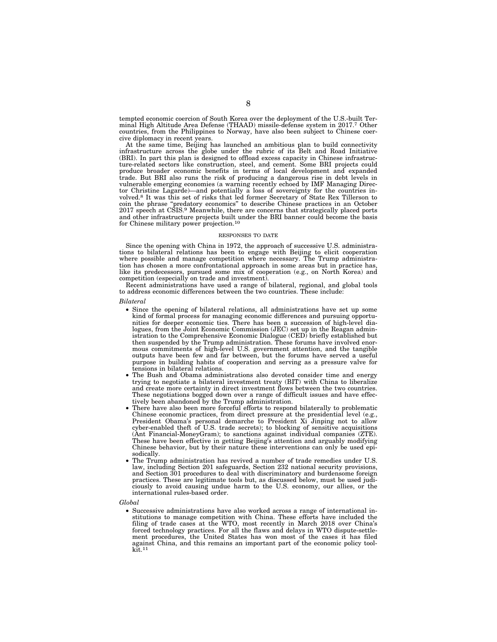tempted economic coercion of South Korea over the deployment of the U.S.-built Terminal High Altitude Area Defense (THAAD) missile-defense system in 2017.7 Other countries, from the Philippines to Norway, have also been subject to Chinese coercive diplomacy in recent years.

At the same time, Beijing has launched an ambitious plan to build connectivity infrastructure across the globe under the rubric of its Belt and Road Initiative (BRI). In part this plan is designed to offload excess capacity in Chinese infrastructure-related sectors like construction, steel, and cement. Some BRI projects could produce broader economic benefits in terms of local development and expanded trade. But BRI also runs the risk of producing a dangerous rise in debt levels in vulnerable emerging economies (a warning recently echoed by IMF Managing Director Christine Lagarde)—and potentially a loss of sovereignty for the countries involved.8 It was this set of risks that led former Secretary of State Rex Tillerson to coin the phrase ''predatory economics'' to describe Chinese practices in an October 2017 speech at CSIS.9 Meanwhile, there are concerns that strategically placed ports and other infrastructure projects built under the BRI banner could become the basis for Chinese military power projection.10

#### RESPONSES TO DATE

Since the opening with China in 1972, the approach of successive U.S. administrations to bilateral relations has been to engage with Beijing to elicit cooperation where possible and manage competition where necessary. The Trump administration has chosen a more confrontational approach in some areas but in practice has, like its predecessors, pursued some mix of cooperation (e.g., on North Korea) and competition (especially on trade and investment).

Recent administrations have used a range of bilateral, regional, and global tools to address economic differences between the two countries. These include:

#### *Bilateral*

- Since the opening of bilateral relations, all administrations have set up some kind of formal process for managing economic differences and pursuing opportunities for deeper economic ties. There has been a succession of high-level dialogues, from the Joint Economic Commission (JEC) set up in the Reagan administration to the Comprehensive Economic Dialogue (CED) briefly established but then suspended by the Trump administration. These forums have involved enormous commitments of high-level U.S. government attention, and the tangible outputs have been few and far between, but the forums have served a useful purpose in building habits of cooperation and serving as a pressure valve for tensions in bilateral relations.
- The Bush and Obama administrations also devoted consider time and energy trying to negotiate a bilateral investment treaty (BIT) with China to liberalize and create more certainty in direct investment flows between the two countries. These negotiations bogged down over a range of difficult issues and have effectively been abandoned by the Trump administration.
- There have also been more forceful efforts to respond bilaterally to problematic Chinese economic practices, from direct pressure at the presidential level (e.g., President Obama's personal demarche to President Xi Jinping not to allow cyber-enabled theft of U.S. trade secrets); to blocking of sensitive acquisitions (Ant Financial-MoneyGram); to sanctions against individual companies (ZTE). These have been effective in getting Beijing's attention and arguably modifying Chinese behavior, but by their nature these interventions can only be used episodically.
- The Trump administration has revived a number of trade remedies under U.S. law, including Section 201 safeguards, Section 232 national security provisions, and Section 301 procedures to deal with discriminatory and burdensome foreign practices. These are legitimate tools but, as discussed below, must be used judiciously to avoid causing undue harm to the U.S. economy, our allies, or the international rules-based order.

#### *Global*

• Successive administrations have also worked across a range of international institutions to manage competition with China. These efforts have included the filing of trade cases at the WTO, most recently in March 2018 over China's forced technology practices. For all the flaws and delays in WTO dispute-settlement procedures, the United States has won most of the cases it has filed against China, and this remains an important part of the economic policy tool- $\operatorname{kit}^{11}$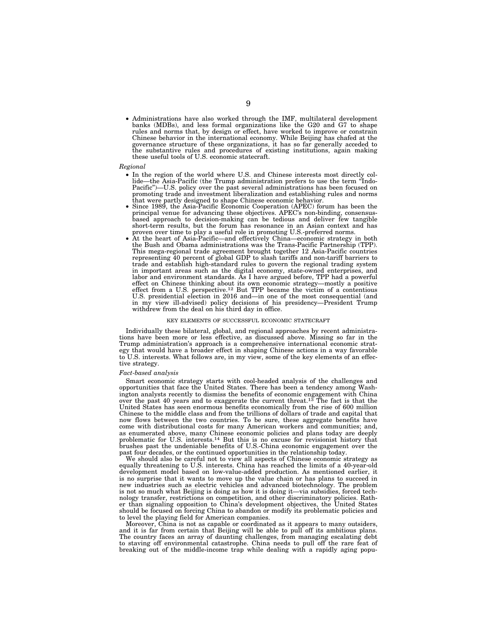• Administrations have also worked through the IMF, multilateral development banks (MDBs), and less formal organizations like the G20 and G7 to shape rules and norms that, by design or effect, have worked to improve or constrain Chinese behavior in the international economy. While Beijing has chafed at the governance structure of these organizations, it has so far generally acceded to the substantive rules and procedures of existing institutions, these useful tools of U.S. economic statecraft.

#### *Regional*

- In the region of the world where U.S. and Chinese interests most directly collide—the Asia-Pacific (the Trump administration prefers to use the term "Indo-Pacific'')—U.S. policy over the past several administrations has been focused on promoting trade and investment liberalization and establishing rules and norms
- Since 1989, the Asia-Pacific Economic Cooperation (APEC) forum has been the principal venue for advancing these objectives. APEC's non-binding, consensusbased approach to decision-making can be tedious and deliver few tangible short-term results, but the forum has resonance in an Asian context and has
- proven over time to play a useful role in promoting U.S.-preferred norms. At the heart of Asia-Pacific—and effectively China—economic strategy in both the Bush and Obama administrations was the Trans-Pacific Partnership (TPP). This mega-regional trade agreement brought together 12 Asia-Pacific countries representing 40 percent of global GDP to slash tariffs and non-tariff barriers to trade and establish high-standard rules to govern the regional trading system in important areas such as the digital economy, state-owned enterprises, and labor and environment standards. As I have argued before, TPP had a powerful effect on Chinese thinking about its own economic strategy—mostly a positive effect from a U.S. perspective.<sup>12</sup> But TPP became the victim of a contentious U.S. presidential election in 2016 and—in one of the most consequential (and in my view ill-advised) policy decisions of his presidency—President Trump withdrew from the deal on his third day in office.

#### KEY ELEMENTS OF SUCCESSFUL ECONOMIC STATECRAFT

Individually these bilateral, global, and regional approaches by recent administrations have been more or less effective, as discussed above. Missing so far in the Trump administration's approach is a comprehensive international economic strategy that would have a broader effect in shaping Chinese actions in a way favorable to U.S. interests. What follows are, in my view, some of the key elements of an effective strategy.

#### *Fact-based analysis*

Smart economic strategy starts with cool-headed analysis of the challenges and opportunities that face the United States. There has been a tendency among Washington analysts recently to dismiss the benefits of economic engagement with China over the past 40 years and to exaggerate the current threat.13 The fact is that the United States has seen enormous benefits economically from the rise of 600 million Chinese to the middle class and from the trillions of dollars of trade and capital that now flows between the two countries. To be sure, these aggregate benefits have come with distributional costs for many American workers and communities; and, as enumerated above, many Chinese economic policies and plans today are deeply problematic for U.S. interests.14 But this is no excuse for revisionist history that brushes past the undeniable benefits of U.S.-China economic engagement over the past four decades, or the continued opportunities in the relationship today.

We should also be careful not to view all aspects of Chinese economic strategy as equally threatening to U.S. interests. China has reached the limits of a 40-year-old development model based on low-value-added production. As mentioned earlier, it is no surprise that it wants to move up the value chain or has plans to succeed in new industries such as electric vehicles and advanced biotechnology. The problem is not so much what Beijing is doing as how it is doing it—via subsidies, forced technology transfer, restrictions on competition, and other discriminatory policies. Rather than signaling opposition to China's development objectives, the United States should be focused on forcing China to abandon or modify its problematic policies and to level the playing field for American companies.

Moreover, China is not as capable or coordinated as it appears to many outsiders, and it is far from certain that Beijing will be able to pull off its ambitious plans. The country faces an array of daunting challenges, from managing escalating debt to staving off environmental catastrophe. China needs to pull off the rare feat of breaking out of the middle-income trap while dealing with a rapidly aging popu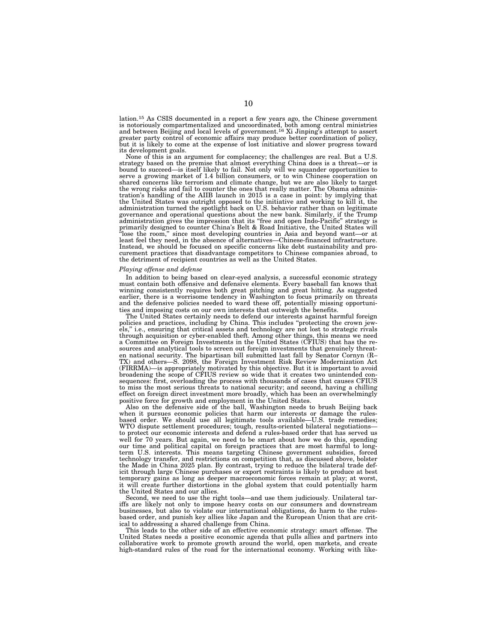lation.15 As CSIS documented in a report a few years ago, the Chinese government is notoriously compartmentalized and uncoordinated, both among central ministries and between Beijing and local levels of government.16 Xi Jinping's attempt to assert greater party control of economic affairs may produce better coordination of policy, but it is likely to come at the expense of lost initiative and slower progress toward its development goals.

None of this is an argument for complacency; the challenges are real. But a U.S. strategy based on the premise that almost everything China does is a threat—or is bound to succeed—is itself likely to fail. Not only will we squander opportunities to serve a growing market of 1.4 billion consumers, or to win Chinese cooperation on shared concerns like terrorism and climate change, but we are also likely to target the wrong risks and fail to counter the ones that really matter. The Obama administration's handling of the AIIB launch in 2015 is a case in point: by implying that the United States was outright opposed to the initiative and working to kill it, the administration turned the spotlight back on U.S. behavior rather than on legitimate governance and operational questions about the new bank. Similarly, if the Trump administration gives the impression that its ''free and open Indo-Pacific'' strategy is primarily designed to counter China's Belt & Road Initiative, the United States will ''lose the room,'' since most developing countries in Asia and beyond want—or at least feel they need, in the absence of alternatives—Chinese-financed infrastructure. Instead, we should be focused on specific concerns like debt sustainability and procurement practices that disadvantage competitors to Chinese companies abroad, to the detriment of recipient countries as well as the United States.

#### *Playing offense and defense*

In addition to being based on clear-eyed analysis, a successful economic strategy must contain both offensive and defensive elements. Every baseball fan knows that winning consistently requires both great pitching and great hitting. As suggested earlier, there is a worrisome tendency in Washington to focus primarily on threats and the defensive policies needed to ward these off, potentially missing opportunities and imposing costs on our own interests that outweigh the benefits.

The United States certainly needs to defend our interests against harmful foreign policies and practices, including by China. This includes ''protecting the crown jewels,'' i.e., ensuring that critical assets and technology are not lost to strategic rivals through acquisition or cyber-enabled theft. Among other things, this means we need a Committee on Foreign Investments in the United States (CFIUS) that has the resources and analytical tools to screen out foreign investments that genuinely threaten national security. The bipartisan bill submitted last fall by Senator Cornyn (R– TX) and others—S. 2098, the Foreign Investment Risk Review Modernization Act (FIRRMA)—is appropriately motivated by this objective. But it is important to avoid broadening the scope of CFIUS review so wide that it creates two unintended consequences: first, overloading the process with thousands of cases that causes CFIUS to miss the most serious threats to national security; and second, having a chilling effect on foreign direct investment more broadly, which has been an overwhelmingly positive force for growth and employment in the United States.

Also on the defensive side of the ball, Washington needs to brush Beijing back when it pursues economic policies that harm our interests or damage the rulesbased order. We should use all legitimate tools available—U.S. trade remedies; WTO dispute settlement procedures; tough, results-oriented bilateral negotiations to protect our economic interests and defend a rules-based order that has served us well for 70 years. But again, we need to be smart about how we do this, spending our time and political capital on foreign practices that are most harmful to longterm U.S. interests. This means targeting Chinese government subsidies, forced technology transfer, and restrictions on competition that, as discussed above, bolster the Made in China 2025 plan. By contrast, trying to reduce the bilateral trade deficit through large Chinese purchases or export restraints is likely to produce at best temporary gains as long as deeper macroeconomic forces remain at play; at worst, it will create further distortions in the global system that could potentially harm the United States and our allies.

Second, we need to use the right tools—and use them judiciously. Unilateral tariffs are likely not only to impose heavy costs on our consumers and downstream businesses, but also to violate our international obligations, do harm to the rulesbased order, and punish key allies like Japan and the European Union that are critical to addressing a shared challenge from China.

This leads to the other side of an effective economic strategy: smart offense. The United States needs a positive economic agenda that pulls allies and partners into collaborative work to promote growth around the world, open markets, and create high-standard rules of the road for the international economy. Working with like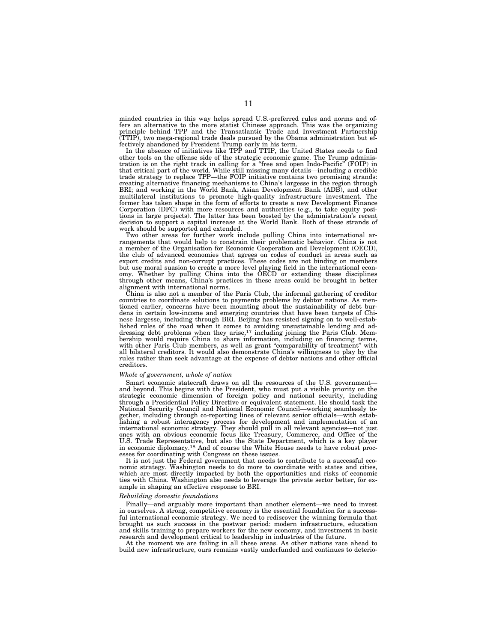minded countries in this way helps spread U.S.-preferred rules and norms and offers an alternative to the more statist Chinese approach. This was the organizing principle behind TPP and the Transatlantic Trade and Investment Partnership (TTIP), two mega-regional trade deals pursued by the Obama administration but effectively abandoned by President Trump early in his term.

In the absence of initiatives like TPP and TTIP, the United States needs to find other tools on the offense side of the strategic economic game. The Trump administration is on the right track in calling for a ''free and open Indo-Pacific'' (FOIP) in that critical part of the world. While still missing many details—including a credible trade strategy to replace TPP—the FOIP initiative contains two promising strands: creating alternative financing mechanisms to China's largesse in the region through BRI; and working in the World Bank, Asian Development Bank (ADB), and other multilateral institutions to promote high-quality infrastructure investment. The former has taken shape in the form of efforts to create a new Development Finance Corporation (DFC) with more resources and authorities (e.g., to take equity positions in large projects). The latter has been boosted by the administration's recent decision to support a capital increase at the World Bank. Both of these strands of work should be supported and extended.

Two other areas for further work include pulling China into international arrangements that would help to constrain their problematic behavior. China is not a member of the Organisation for Economic Cooperation and Development (OECD), the club of advanced economies that agrees on codes of conduct in areas such as export credits and non-corrupt practices. These codes are not binding on members but use moral suasion to create a more level playing field in the international economy. Whether by pulling China into the OECD or extending these disciplines through other means, China's practices in these areas could be brought in better alignment with international norms.

China is also not a member of the Paris Club, the informal gathering of creditor countries to coordinate solutions to payments problems by debtor nations. As mentioned earlier, concerns have been mounting about the sustainability of debt burdens in certain low-income and emerging countries that have been targets of Chinese largesse, including through BRI. Beijing has resisted signing on to well-established rules of the road when it comes to avoiding unsustainable lending and addressing debt problems when they arise,<sup>17</sup> including joining the Paris Club. Membership would require China to share information, including on with other Paris Club members, as well as grant "comparability of treatment" with all bilateral creditors. It would also demonstrate China's willingness to play by the rules rather than seek advantage at the expense of debtor nations and other official creditors.

#### *Whole of government, whole of nation*

Smart economic statecraft draws on all the resources of the U.S. governmentand beyond. This begins with the President, who must put a visible priority on the strategic economic dimension of foreign policy and national security, including through a Presidential Policy Directive or equivalent statement. He should task the National Security Council and National Economic Council—working seamlessly together, including through co-reporting lines of relevant senior officials—with establishing a robust interagency process for development and implementation of an international economic strategy. They should pull in all relevant agencies—not just ones with an obvious economic focus like Treasury, Commerce, and Office of the U.S. Trade Representative, but also the State Department, which is a key player in economic diplomacy.18 And of course the White House needs to have robust processes for coordinating with Congress on these issues.

It is not just the Federal government that needs to contribute to a successful economic strategy. Washington needs to do more to coordinate with states and cities, which are most directly impacted by both the opportunities and risks of economic ties with China. Washington also needs to leverage the private sector better, for example in shaping an effective response to BRI.

#### *Rebuilding domestic foundations*

Finally—and arguably more important than another element—we need to invest in ourselves. A strong, competitive economy is the essential foundation for a successful international economic strategy. We need to rediscover the winning formula that brought us such success in the postwar period: modern infrastructure, education and skills training to prepare workers for the new economy, and investment in basic research and development critical to leadership in industries of the future.

At the moment we are failing in all these areas. As other nations race ahead to build new infrastructure, ours remains vastly underfunded and continues to deterio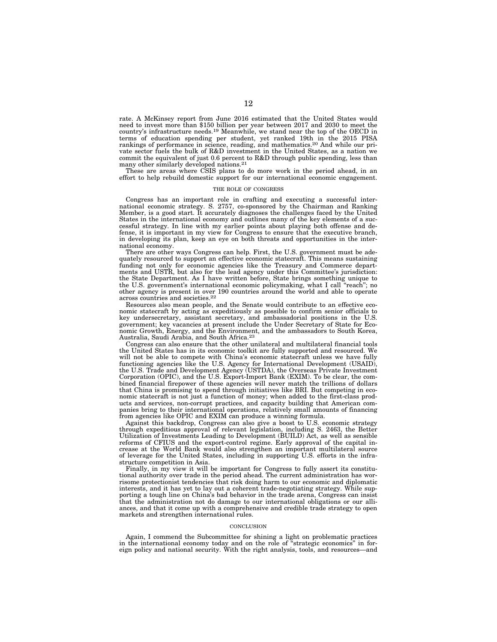rate. A McKinsey report from June 2016 estimated that the United States would need to invest more than \$150 billion per year between 2017 and 2030 to meet the country's infrastructure needs.19 Meanwhile, we stand near the top of the OECD in terms of education spending per student, yet ranked 19th in the 2015 PISA rankings of performance in science, reading, and mathematics.20 And while our private sector fuels the bulk of R&D investment in the United States, as a nation we commit the equivalent of just 0.6 percent to R&D through public spending, less than many other similarly developed nations.<sup>21</sup>

These are areas where CSIS plans to do more work in the period ahead, in an effort to help rebuild domestic support for our international economic engagement.

#### THE ROLE OF CONGRESS

Congress has an important role in crafting and executing a successful international economic strategy. S. 2757, co-sponsored by the Chairman and Ranking Member, is a good start. It accurately diagnoses the challenges faced by the United States in the international economy and outlines many of the key elements of a successful strategy. In line with my earlier points about playing both offense and defense, it is important in my view for Congress to ensure that the executive branch, in developing its plan, keep an eye on both threats and opportunities in the international economy.

There are other ways Congress can help. First, the U.S. government must be adequately resourced to support an effective economic statecraft. This means sustaining funding not only for economic agencies like the Treasury and Commerce departments and USTR, but also for the lead agency under this Committee's jurisdiction: the State Department. As I have written before, State brings something unique to the U.S. government's international economic policymaking, what I call ''reach''; no other agency is present in over 190 countries around the world and able to operate across countries and societies.22

Resources also mean people, and the Senate would contribute to an effective economic statecraft by acting as expeditiously as possible to confirm senior officials to key undersecretary, assistant secretary, and ambassadorial positions in the U.S. government; key vacancies at present include the Under Secretary of State for Economic Growth, Energy, and the Environment, and the ambassadors to South Korea, Australia, Saudi Arabia, and South Africa.23

Congress can also ensure that the other unilateral and multilateral financial tools the United States has in its economic toolkit are fully supported and resourced. We will not be able to compete with China's economic statecraft unless we have fully functioning agencies like the U.S. Agency for International Development (USAID), the U.S. Trade and Development Agency (USTDA), the Overseas Private Investment Corporation (OPIC), and the U.S. Export-Import Bank (EXIM). To be clear, the combined financial firepower of these agencies will never match the trillions of dollars that China is promising to spend through initiatives like BRI. But competing in economic statecraft is not just a function of money; when added to the first-class products and services, non-corrupt practices, and capacity building that American companies bring to their international operations, relatively small amounts of financing from agencies like OPIC and EXIM can produce a winning formula.

Against this backdrop, Congress can also give a boost to U.S. economic strategy through expeditious approval of relevant legislation, including S. 2463, the Better Utilization of Investments Leading to Development (BUILD) Act, as well as sensible reforms of CFIUS and the export-control regime. Early approval of the capital increase at the World Bank would also strengthen an important multilateral source of leverage for the United States, including in supporting U.S. efforts in the infrastructure competition in Asia.

Finally, in my view it will be important for Congress to fully assert its constitutional authority over trade in the period ahead. The current administration has worrisome protectionist tendencies that risk doing harm to our economic and diplomatic interests, and it has yet to lay out a coherent trade-negotiating strategy. While supporting a tough line on China's bad behavior in the trade arena, Congress can insist that the administration not do damage to our international obligations or our alliances, and that it come up with a comprehensive and credible trade strategy to open markets and strengthen international rules.

#### **CONCLUSION**

Again, I commend the Subcommittee for shining a light on problematic practices in the international economy today and on the role of ''strategic economics'' in foreign policy and national security. With the right analysis, tools, and resources—and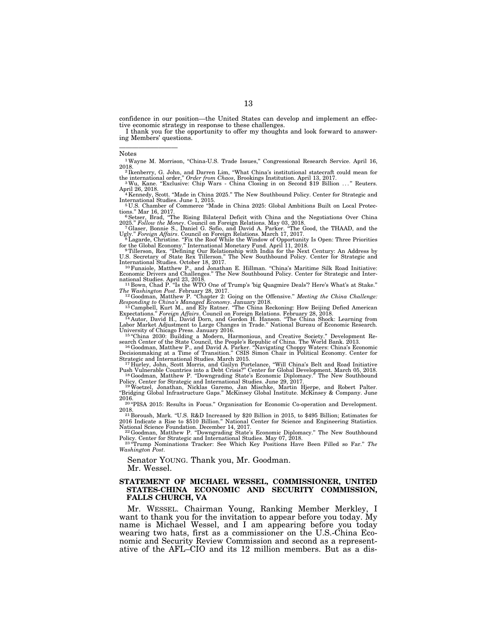confidence in our position—the United States can develop and implement an effective economic strategy in response to these challenges.

I thank you for the opportunity to offer my thoughts and look forward to answering Members' questions.

Notes

—————————

 $^{\rm 1}$ Wayne M. Morrison, "China-U.S. Trade Issues," Congressional Research Service. April 16, 2018.

<sup>2</sup> Ikenberry, G. John, and Darren Lim, "What China's institutional statecraft could mean for the international order," Order from Chaos, Brookings Institution. April 13, 2017. <sup>3</sup>Wu, Kane. "Exclusive: Chip Wars - China Closing in on Second \$19 Billion ..." Reuters.

April 26, 2018.<br>4 Kennedy, Scott. "Made in China 2025." The New Southbound Policy. Center for Strategic and

International Studies. June 1, 2015.<br>
<sup>5</sup>U.S. Chamber of Commerce "Made in China 2025: Global Ambitions Built on Local Protections." Mar 16, 2017.

tions." Mar 16, 2017.<br><sup>6</sup>Setser, Brad, "The Rising Bilateral Deficit with China and the Negotiations Over China 2025.'' *Follow the Money*. Council on Foreign Relations. May 03, 2018. 7Glaser, Bonnie S., Daniel G. Sofio, and David A. Parker. ''The Good, the THAAD, and the

Ugly.'' *Foreign Affairs*. Council on Foreign Relations. March 17, 2017. 8Lagarde, Christine. ''Fix the Roof While the Window of Opportunity Is Open: Three Priorities

for the Global Economy." International Monetary Fund. April 11, 2018.<br><sup>9</sup> Tillerson, Rex. "Defining Our Relationship with India for the Next Century: An Address by U.S. Secretary of State Rex Tillerson." The New Southbound

Economic Drivers and Challenges.'' The New Southbound Policy. Center for Strategic and International Studies. April 23, 2018.<br>
<sup>11</sup> Bown, Chad P. "Is the WTO One of Trump's 'big Quagmire Deals'? Here's What's at Stake."

*The Washington Post. February 28, 2017.*<br><sup>12</sup> Goodman, Matthew P. "Chapter 2: Going on the Offensive." *Meeting the China Challenge:* 

*Responding to China's Managed Economy*. January 2018. 13 Campbell, Kurt M., and Ely Ratner. ''The China Reckoning: How Beijing Defied American

Expectations.'' *Foreign Affairs*. Council on Foreign Relations. February 28, 2018. 14 Autor, David H., David Dorn, and Gordon H. Hanson. ''The China Shock: Learning from

Labor Market Adjustment to Large Changes in Trade.'' National Bureau of Economic Research. University of Chicago Press. January 2016.<br>15 "China 2030: Building a Modern, Harmonious, and Creative Society." Development Re-

search Center of the State Council, the People's Republic of China. The World Bank. 2013.<br><sup>16</sup> Goodman, Matthew P., and David A. Parker. "Navigating Choppy Waters: China's Economic<br>Decisionmaking at a Time of Transition." Strategic and International Studies. March 2015. 17 Hurley, John, Scott Morris, and Gailyn Portelance, ''Will China's Belt and Road Initiative

Push Vulnerable Countries into a Debt Crisis?'' Center for Global Development. March 05, 2018. 18Goodman, Matthew P. ''Downgrading State's Economic Diplomacy.'' The New Southbound

Policy. Center for Strategic and International Studies. June 29, 2017. 19Woetzel, Jonathan, Nicklas Garemo, Jan Mischke, Martin Hjerpe, and Robert Palter. ''Bridging Global Infrastructure Gaps.'' McKinsey Global Institute. McKinsey & Company. June

<sup>20 "</sup>PISA 2015: Results in Focus." Organisation for Economic Co-operation and Development.

2018.<br>
<sup>21</sup> Boroush, Mark. "U.S. R&D Increased by \$20 Billion in 2015, to \$495 Billion; Estimates for 2016 Indicate a Rise to \$510 Billion." National Center for Science and Engineering Statistics. National Science Foundation. December 14, 2017.<br><sup>22</sup>Goodman, Matthew P. "Downgrading State's Economic Diplomacy." The New Southbound

Policy. Center for Strategic and International Studies. May 07, 2018. 23 ''Trump Nominations Tracker: See Which Key Positions Have Been Filled so Far.'' *The* 

*Washington Post*.

Senator YOUNG. Thank you, Mr. Goodman. Mr. Wessel.

#### **STATEMENT OF MICHAEL WESSEL, COMMISSIONER, UNITED STATES-CHINA ECONOMIC AND SECURITY COMMISSION, FALLS CHURCH, VA**

Mr. WESSEL. Chairman Young, Ranking Member Merkley, I want to thank you for the invitation to appear before you today. My name is Michael Wessel, and I am appearing before you today wearing two hats, first as a commissioner on the U.S.-China Economic and Security Review Commission and second as a representative of the AFL–CIO and its 12 million members. But as a dis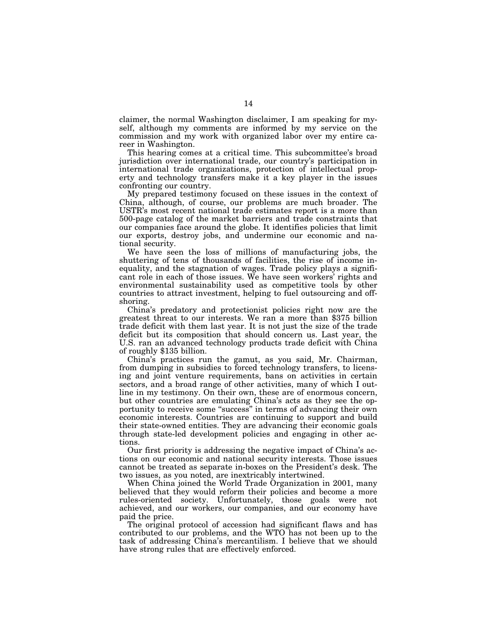claimer, the normal Washington disclaimer, I am speaking for myself, although my comments are informed by my service on the commission and my work with organized labor over my entire career in Washington.

This hearing comes at a critical time. This subcommittee's broad jurisdiction over international trade, our country's participation in international trade organizations, protection of intellectual property and technology transfers make it a key player in the issues confronting our country.

My prepared testimony focused on these issues in the context of China, although, of course, our problems are much broader. The USTR's most recent national trade estimates report is a more than 500-page catalog of the market barriers and trade constraints that our companies face around the globe. It identifies policies that limit our exports, destroy jobs, and undermine our economic and national security.

We have seen the loss of millions of manufacturing jobs, the shuttering of tens of thousands of facilities, the rise of income inequality, and the stagnation of wages. Trade policy plays a significant role in each of those issues. We have seen workers' rights and environmental sustainability used as competitive tools by other countries to attract investment, helping to fuel outsourcing and offshoring.

China's predatory and protectionist policies right now are the greatest threat to our interests. We ran a more than \$375 billion trade deficit with them last year. It is not just the size of the trade deficit but its composition that should concern us. Last year, the U.S. ran an advanced technology products trade deficit with China of roughly \$135 billion.

China's practices run the gamut, as you said, Mr. Chairman, from dumping in subsidies to forced technology transfers, to licensing and joint venture requirements, bans on activities in certain sectors, and a broad range of other activities, many of which I outline in my testimony. On their own, these are of enormous concern, but other countries are emulating China's acts as they see the opportunity to receive some "success" in terms of advancing their own economic interests. Countries are continuing to support and build their state-owned entities. They are advancing their economic goals through state-led development policies and engaging in other actions.

Our first priority is addressing the negative impact of China's actions on our economic and national security interests. Those issues cannot be treated as separate in-boxes on the President's desk. The two issues, as you noted, are inextricably intertwined.

When China joined the World Trade Organization in 2001, many believed that they would reform their policies and become a more rules-oriented society. Unfortunately, those goals were not achieved, and our workers, our companies, and our economy have paid the price.

The original protocol of accession had significant flaws and has contributed to our problems, and the WTO has not been up to the task of addressing China's mercantilism. I believe that we should have strong rules that are effectively enforced.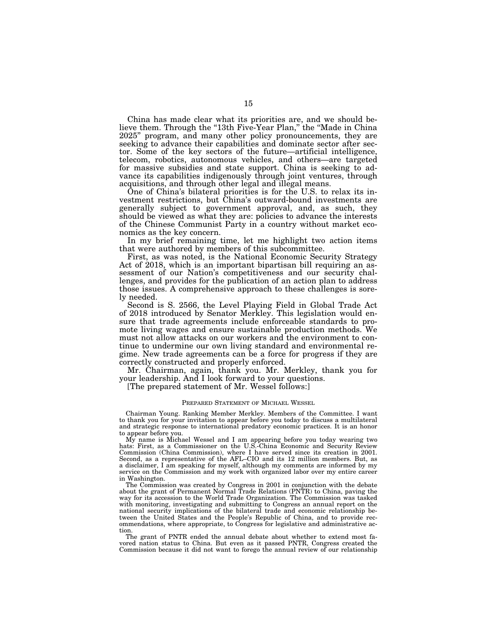China has made clear what its priorities are, and we should believe them. Through the "13th Five-Year Plan," the "Made in China 2025'' program, and many other policy pronouncements, they are seeking to advance their capabilities and dominate sector after sector. Some of the key sectors of the future—artificial intelligence, telecom, robotics, autonomous vehicles, and others—are targeted for massive subsidies and state support. China is seeking to advance its capabilities indigenously through joint ventures, through acquisitions, and through other legal and illegal means.

One of China's bilateral priorities is for the U.S. to relax its investment restrictions, but China's outward-bound investments are generally subject to government approval, and, as such, they should be viewed as what they are: policies to advance the interests of the Chinese Communist Party in a country without market economics as the key concern.

In my brief remaining time, let me highlight two action items that were authored by members of this subcommittee.

First, as was noted, is the National Economic Security Strategy Act of 2018, which is an important bipartisan bill requiring an assessment of our Nation's competitiveness and our security challenges, and provides for the publication of an action plan to address those issues. A comprehensive approach to these challenges is sorely needed.

Second is S. 2566, the Level Playing Field in Global Trade Act of 2018 introduced by Senator Merkley. This legislation would ensure that trade agreements include enforceable standards to promote living wages and ensure sustainable production methods. We must not allow attacks on our workers and the environment to continue to undermine our own living standard and environmental regime. New trade agreements can be a force for progress if they are correctly constructed and properly enforced.

Mr. Chairman, again, thank you. Mr. Merkley, thank you for your leadership. And I look forward to your questions.

[The prepared statement of Mr. Wessel follows:]

#### PREPARED STATEMENT OF MICHAEL WESSEL

Chairman Young. Ranking Member Merkley. Members of the Committee. I want to thank you for your invitation to appear before you today to discuss a multilateral and strategic response to international predatory economic practices. It is an honor to appear before you.

My name is Michael Wessel and I am appearing before you today wearing two hats: First, as a Commissioner on the U.S.-China Economic and Security Review Commission (China Commission), where I have served since its creation in 2001. Second, as a representative of the AFL–CIO and its 12 million members. But, as a disclaimer, I am speaking for myself, although my comments are informed by my service on the Commission and my work with organized labor over my entire career in Washington.

The Commission was created by Congress in 2001 in conjunction with the debate about the grant of Permanent Normal Trade Relations (PNTR) to China, paving the way for its accession to the World Trade Organization. The Commission was tasked with monitoring, investigating and submitting to Congress an annual report on the national security implications of the bilateral trade and economic relationship between the United States and the People's Republic of China, and to provide recommendations, where appropriate, to Congress for legislative and administrative action.

The grant of PNTR ended the annual debate about whether to extend most favored nation status to China. But even as it passed PNTR, Congress created the Commission because it did not want to forego the annual review of our relationship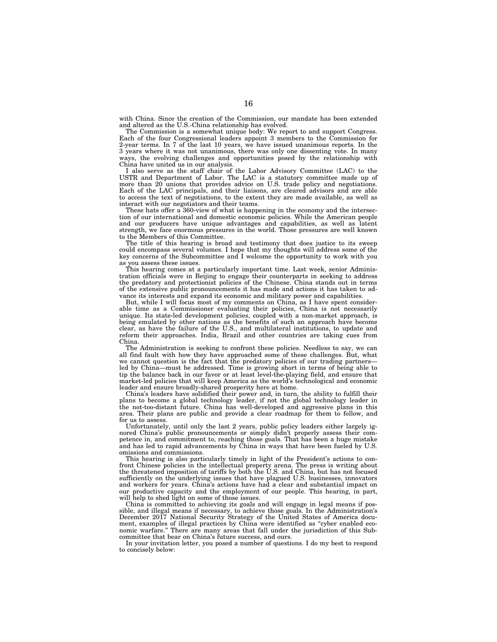with China. Since the creation of the Commission, our mandate has been extended and altered as the U.S.-China relationship has evolved.

The Commission is a somewhat unique body: We report to and support Congress. Each of the four Congressional leaders appoint 3 members to the Commission for 2-year terms. In 7 of the last 10 years, we have issued unanimous reports. In the 3 years where it was not unanimous, there was only one dissenting vote. In many ways, the evolving challenges and opportunities posed by the relationship with China have united us in our analysis.

I also serve as the staff chair of the Labor Advisory Committee (LAC) to the USTR and Department of Labor. The LAC is a statutory committee made up of more than 20 unions that provides advice on U.S. trade policy and negotiations. Each of the LAC principals, and their liaisons, are cleared advisors and are able to access the text of negotiations, to the extent they are made available, as well as interact with our negotiators and their teams.

These hats offer a 360-view of what is happening in the economy and the intersection of our international and domestic economic policies. While the American people and our producers have unique advantages and capabilities, as well as latent strength, we face enormous pressures in the world. Those pressures are well known to the Members of this Committee.

The title of this hearing is broad and testimony that does justice to its sweep could encompass several volumes. I hope that my thoughts will address some of the key concerns of the Subcommittee and I welcome the opportunity to work with you as you assess these issues.

This hearing comes at a particularly important time. Last week, senior Administration officials were in Beijing to engage their counterparts in seeking to address the predatory and protectionist policies of the Chinese. China stands out in terms of the extensive public pronouncements it has made and actions it has taken to advance its interests and expand its economic and military power and capabilities.

But, while I will focus most of my comments on China, as I have spent considerable time as a Commissioner evaluating their policies, China is not necessarily unique. Its state-led development policies, coupled with a non-market approach, is being emulated by other nations as the benefits of such an approach have become clear, as have the failure of the U.S., and multilateral institutions, to update and reform their approaches. India, Brazil and other countries are taking cues from China.

The Administration is seeking to confront these policies. Needless to say, we can all find fault with how they have approached some of these challenges. But, what we cannot question is the fact that the predatory policies of our trading partners led by China—must be addressed. Time is growing short in terms of being able to tip the balance back in our favor or at least level-the-playing field, and ensure that market-led policies that will keep America as the world's technological and economic leader and ensure broadly-shared prosperity here at home.

China's leaders have solidified their power and, in turn, the ability to fulfill their plans to become a global technology leader, if not the global technology leader in the not-too-distant future. China has well-developed and aggressive plans in this area. Their plans are public and provide a clear roadmap for them to follow, and for us to assess.

Unfortunately, until only the last 2 years, public policy leaders either largely ignored China's public pronouncements or simply didn't properly assess their competence in, and commitment to, reaching those goals. That has been a huge mistake and has led to rapid advancements by China in ways that have been fueled by U.S. omissions and commissions.

This hearing is also particularly timely in light of the President's actions to confront Chinese policies in the intellectual property arena. The press is writing about the threatened imposition of tariffs by both the U.S. and China, but has not focused sufficiently on the underlying issues that have plagued U.S. businesses, innovators and workers for years. China's actions have had a clear and substantial impact on our productive capacity and the employment of our people. This hearing, in part, will help to shed light on some of those issues.

China is committed to achieving its goals and will engage in legal means if possible, and illegal means if necessary, to achieve those goals. In the Administration's December 2017 National Security Strategy of the United States of America document, examples of illegal practices by China were identified as ''cyber enabled economic warfare.'' There are many areas that fall under the jurisdiction of this Subcommittee that bear on China's future success, and ours.

In your invitation letter, you posed a number of questions. I do my best to respond to concisely below: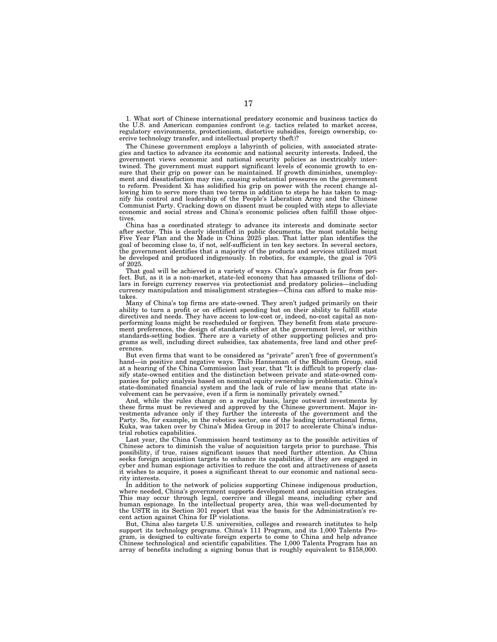1. What sort of Chinese international predatory economic and business tactics do the U.S. and American companies confront (e.g. tactics related to market access, regulatory environments, protectionism, distortive subsidies, foreign ownership, coercive technology transfer, and intellectual property theft)?

The Chinese government employs a labyrinth of policies, with associated strategies and tactics to advance its economic and national security interests. Indeed, the government views economic and national security policies as inextricably intertwined. The government must support significant levels of economic growth to ensure that their grip on power can be maintained. If growth diminishes, unemployment and dissatisfaction may rise, causing substantial pressures on the government to reform. President Xi has solidified his grip on power with the recent change allowing him to serve more than two terms in addition to steps he has taken to magnify his control and leadership of the People's Liberation Army and the Chinese Communist Party. Cracking down on dissent must be coupled with steps to alleviate economic and social stress and China's economic policies often fulfill those objectives.

China has a coordinated strategy to advance its interests and dominate sector after sector. This is clearly identified in public documents, the most notable being Five Year Plan and the Made in China 2025 plan. That latter plan identifies the goal of becoming close to, if not, self-sufficient in ten key sectors. In several sectors, the government identifies that a majority of the products and services utilized must be developed and produced indigenously. In robotics, for example, the goal is 70% of 2025.

That goal will be achieved in a variety of ways. China's approach is far from perfect. But, as it is a non-market, state-led economy that has amassed trillions of dollars in foreign currency reserves via protectionist and predatory policies—including currency manipulation and misalignment strategies—China can afford to make mistakes.

Many of China's top firms are state-owned. They aren't judged primarily on their ability to turn a profit or on efficient spending but on their ability to fulfill state directives and needs. They have access to low-cost or, indeed, no-cost capital as nonperforming loans might be rescheduled or forgiven. They benefit from state procurement preferences, the design of standards either at the government level, or within standards-setting bodies. There are a variety of other supporting policies and programs as well, including direct subsidies, tax abatements, free land and other preferences.

But even firms that want to be considered as ''private'' aren't free of government's hand—in positive and negative ways. Thilo Hanneman of the Rhodium Group, said at a hearing of the China Commission last year, that ''It is difficult to properly classify state-owned entities and the distinction between private and state-owned companies for policy analysis based on nominal equity ownership is problematic. China's state-dominated financial system and the lack of rule of law means that state involvement can be pervasive, even if a firm is nominally privately owned.''

And, while the rules change on a regular basis, large outward investments by these firms must be reviewed and approved by the Chinese government. Major investments advance only if they further the interests of the government and the Party. So, for example, in the robotics sector, one of the leading international firms, Kuka, was taken over by China's Midea Group in 2017 to accelerate China's industrial robotics capabilities.

Last year, the China Commission heard testimony as to the possible activities of Chinese actors to diminish the value of acquisition targets prior to purchase. This possibility, if true, raises significant issues that need further attention. As China seeks foreign acquisition targets to enhance its capabilities, if they are engaged in cyber and human espionage activities to reduce the cost and attractiveness of assets it wishes to acquire, it poses a significant threat to our economic and national security interests.

In addition to the network of policies supporting Chinese indigenous production, where needed, China's government supports development and acquisition strategies. This may occur through legal, coercive and illegal means, including cyber and human espionage. In the intellectual property area, this was well-documented by the USTR in its Section 301 report that was the basis for the Administration's recent action against China for IP violations.

But, China also targets U.S. universities, colleges and research institutes to help support its technology programs. China's 111 Program, and its 1,000 Talents Program, is designed to cultivate foreign experts to come to China and help advance Chinese technological and scientific capabilities. The 1,000 Talents Program has an array of benefits including a signing bonus that is roughly equivalent to \$158,000.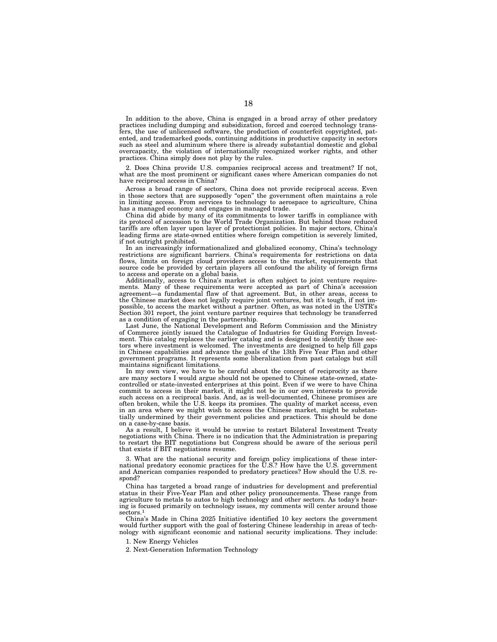In addition to the above, China is engaged in a broad array of other predatory practices including dumping and subsidization, forced and coerced technology transfers, the use of unlicensed software, the production of counterfeit copyrighted, patented, and trademarked goods, continuing additions in productive capacity in sectors such as steel and aluminum where there is already substantial domestic and global overcapacity, the violation of internationally recognized worker rights, and other practices. China simply does not play by the rules.

2. Does China provide U.S. companies reciprocal access and treatment? If not, what are the most prominent or significant cases where American companies do not have reciprocal access in China?

Across a broad range of sectors, China does not provide reciprocal access. Even in those sectors that are supposedly ''open'' the government often maintains a role in limiting access. From services to technology to aerospace to agriculture, China has a managed economy and engages in managed trade.

China did abide by many of its commitments to lower tariffs in compliance with its protocol of accession to the World Trade Organization. But behind those reduced tariffs are often layer upon layer of protectionist policies. In major sectors, China's leading firms are state-owned entities where foreign competition is severely limited, if not outright prohibited.

In an increasingly informationalized and globalized economy, China's technology restrictions are significant barriers. China's requirements for restrictions on data flows, limits on foreign cloud providers access to the market, requirements that source code be provided by certain players all confound the ability of foreign firms to access and operate on a global basis.

Additionally, access to China's market is often subject to joint venture requirements. Many of these requirements were accepted as part of China's accession agreement—a fundamental flaw of that agreement. But, in other areas, access to the Chinese market does not legally require joint ventures, but it's tough, if not impossible, to access the market without a partner. Often, as was noted in the USTR's Section 301 report, the joint venture partner requires that technology be transferred as a condition of engaging in the partnership.

Last June, the National Development and Reform Commission and the Ministry of Commerce jointly issued the Catalogue of Industries for Guiding Foreign Investment. This catalog replaces the earlier catalog and is designed to identify those sectors where investment is welcomed. The investments are designed to help fill gaps in Chinese capabilities and advance the goals of the 13th Five Year Plan and other government programs. It represents some liberalization from past catalogs but still maintains significant limitations.

In my own view, we have to be careful about the concept of reciprocity as there are many sectors I would argue should not be opened to Chinese state-owned, statecontrolled or state-invested enterprises at this point. Even if we were to have China commit to access in their market, it might not be in our own interests to provide such access on a reciprocal basis. And, as is well-documented, Chinese promises are often broken, while the U.S. keeps its promises. The quality of market access, even in an area where we might wish to access the Chinese market, might be substantially undermined by their government policies and practices. This should be done on a case-by-case basis.

As a result, I believe it would be unwise to restart Bilateral Investment Treaty negotiations with China. There is no indication that the Administration is preparing to restart the BIT negotiations but Congress should be aware of the serious peril that exists if BIT negotiations resume.

3. What are the national security and foreign policy implications of these international predatory economic practices for the U.S.? How have the U.S. government and American companies responded to predatory practices? How should the U.S. respond?

China has targeted a broad range of industries for development and preferential status in their Five-Year Plan and other policy pronouncements. These range from agriculture to metals to autos to high technology and other sectors. As today's hearing is focused primarily on technology issues, my comments will center around those sectors.1

China's Made in China 2025 Initiative identified 10 key sectors the government would further support with the goal of fostering Chinese leadership in areas of technology with significant economic and national security implications. They include:

1. New Energy Vehicles

2. Next-Generation Information Technology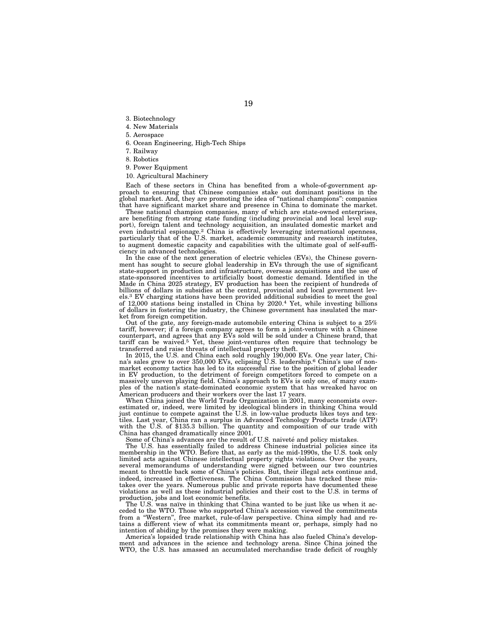- 3. Biotechnology
- 4. New Materials
- 5. Aerospace
- 6. Ocean Engineering, High-Tech Ships
- 7. Railway
- 8. Robotics
- 9. Power Equipment
- 10. Agricultural Machinery

Each of these sectors in China has benefited from a whole-of-government approach to ensuring that Chinese companies stake out dominant positions in the global market. And, they are promoting the idea of ''national champions'': companies that have significant market share and presence in China to dominate the market.

These national champion companies, many of which are state-owned enterprises, are benefiting from strong state funding (including provincial and local level support), foreign talent and technology acquisition, an insulated domestic market and even industrial espionage.2 China is effectively leveraging international openness, particularly that of the U.S. market, academic community and research institutes, to augment domestic capacity and capabilities with the ultimate goal of self-sufficiency in advanced technologies.

In the case of the next generation of electric vehicles (EVs), the Chinese government has sought to secure global leadership in EVs through the use of significant state-support in production and infrastructure, overseas acquisitions and the use of state-sponsored incentives to artificially boost domestic demand. Identified in the Made in China 2025 strategy, EV production has been the recipient of hundreds of billions of dollars in subsidies at the central, provincial and local government levels.3 EV charging stations have been provided additional subsidies to meet the goal of 12,000 stations being installed in China by 2020.4 Yet, while investing billions of dollars in fostering the industry, the Chinese government has insulated the market from foreign competition.

Out of the gate, any foreign-made automobile entering China is subject to a 25% tariff, however; if a foreign company agrees to form a joint-venture with a Chinese counterpart, and agrees that any EVs sold will be sold under a Chinese brand, that tariff can be waived.5 Yet, these joint-ventures often require that technology be transferred and raise threats of intellectual property theft.

In 2015, the U.S. and China each sold roughly 190,000 EVs. One year later, China's sales grew to over 350,000 EVs, eclipsing U.S. leadership.6 China's use of nonmarket economy tactics has led to its successful rise to the position of global leader in EV production, to the detriment of foreign competitors forced to compete on a massively uneven playing field. China's approach to EVs is only one, of many examples of the nation's state-dominated economic system that has wreaked havoc on American producers and their workers over the last 17 years.

When China joined the World Trade Organization in 2001, many economists overestimated or, indeed, were limited by ideological blinders in thinking China would just continue to compete against the U.S. in low-value products likes toys and textiles. Last year, China ran a surplus in Advanced Technology Products trade (ATP) with the U.S. of \$135.3 billion. The quantity and composition of our trade with China has changed dramatically since 2001.

Some of China's advances are the result of U.S. naivete and policy mistakes.

The U.S. has essentially failed to address Chinese industrial policies since its membership in the WTO. Before that, as early as the mid-1990s, the U.S. took only limited acts against Chinese intellectual property rights violations. Over the years, several memorandums of understanding were signed between our two countries meant to throttle back some of China's policies. But, their illegal acts continue and, indeed, increased in effectiveness. The China Commission has tracked these mistakes over the years. Numerous public and private reports have documented these violations as well as these industrial policies and their cost to the U.S. in terms of production, jobs and lost economic benefits.

The U.S. was naïve in thinking that China wanted to be just like us when it acceded to the WTO. Those who supported China's accession viewed the commitments from a ''Western'', free market, rule-of-law perspective. China simply had and retains a different view of what its commitments meant or, perhaps, simply had no intention of abiding by the promises they were making.

America's lopsided trade relationship with China has also fueled China's development and advances in the science and technology arena. Since China joined the WTO, the U.S. has amassed an accumulated merchandise trade deficit of roughly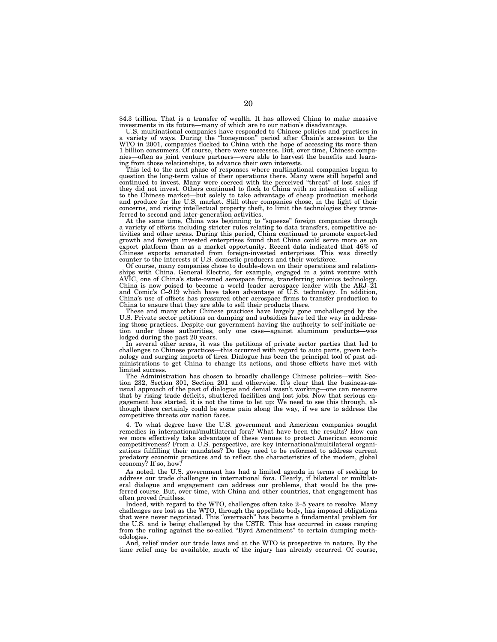\$4.3 trillion. That is a transfer of wealth. It has allowed China to make massive

investments in its future—many of which are to our nation's disadvantage.<br>U.S. multinational companies have responded to Chinese policies and practices in<br>a variety of ways. During the "honeymoon" period after Chain's acce 1 billion consumers. Of course, there were successes. But, over time, Chinese companies—often as joint venture partners—were able to harvest the benefits and learning from those relationships, to advance their own interests.

This led to the next phase of responses where multinational companies began to question the long-term value of their operations there. Many were still hopeful and<br>continued to invest. Many were coerced with the perceived "threat" of lost sales if<br>they did not invest. Others continued to flock to Chin to the Chinese market—but solely to take advantage of cheap production methods<br>and produce for the U.S. market. Still other companies chose, in the light of their<br>concerns, and rising intellectual property theft, to limit ferred to second and later-generation activities.<br>At the same time, China was beginning to "squeeze" foreign companies through

a variety of efforts including stricter rules relating to data transfers, competitive ac-tivities and other areas. During this period, China continued to promote export-led growth and foreign invested enterprises found that China could serve more as an export platform than as a market opportunity. Recent data indicated that 46% of Chinese exports emanated from foreign-invested enterprises. This was directly counter to the interests of U.S. domestic producers and their workforce.

Of course, many companies chose to double-down on their operations and relationships with China. General Electric, for example, engaged in a joint venture with AVIC, one of China's state-owned aerospace firms, transferring avionics technology. China is now poised to become a world leader aerospace leader with the ARJ–21 and Comic's C–919 which have taken advantage of U.S. technology. In addition, China's use of offsets has pressured other aerospace firms to transfer production to China to ensure that they are able to sell their products there.

These and many other Chinese practices have largely gone unchallenged by the U.S. Private sector petitions on dumping and subsidies have led the way in addressing those practices. Despite our government having the authority to self-initiate action under these authorities, only one case—against aluminum products—was lodged during the past 20 years.

In several other areas, it was the petitions of private sector parties that led to challenges to Chinese practices—this occurred with regard to auto parts, green technology and surging imports of tires. Dialogue has been the principal tool of past administrations to get China to change its actions, and those efforts have met with limited success.

The Administration has chosen to broadly challenge Chinese policies—with Section 232, Section 301, Section 201 and otherwise. It's clear that the business-asusual approach of the past of dialogue and denial wasn't working—one can measure that by rising trade deficits, shuttered facilities and lost jobs. Now that serious engagement has started, it is not the time to let up: We need to see this through, although there certainly could be some pain along the way, if we are to address the competitive threats our nation faces.

4. To what degree have the U.S. government and American companies sought remedies in international/multilateral fora? What have been the results? How can we more effectively take advantage of these venues to protect American economic competitiveness? From a U.S. perspective, are key international/multilateral organizations fulfilling their mandates? Do they need to be reformed to address current predatory economic practices and to reflect the characteristics of the modem, global economy? If so, how?

As noted, the U.S. government has had a limited agenda in terms of seeking to address our trade challenges in international fora. Clearly, if bilateral or multilateral dialogue and engagement can address our problems, that would be the preferred course. But, over time, with China and other countries, that engagement has often proved fruitless.

Indeed, with regard to the WTO, challenges often take 2–5 years to resolve. Many challenges are lost as the WTO, through the appellate body, has imposed obligations that were never negotiated. This ''overreach'' has become a fundamental problem for the U.S. and is being challenged by the USTR. This has occurred in cases ranging from the ruling against the so-called "Byrd Amendment" to certain dumping methodologies.

And, relief under our trade laws and at the WTO is prospective in nature. By the time relief may be available, much of the injury has already occurred. Of course,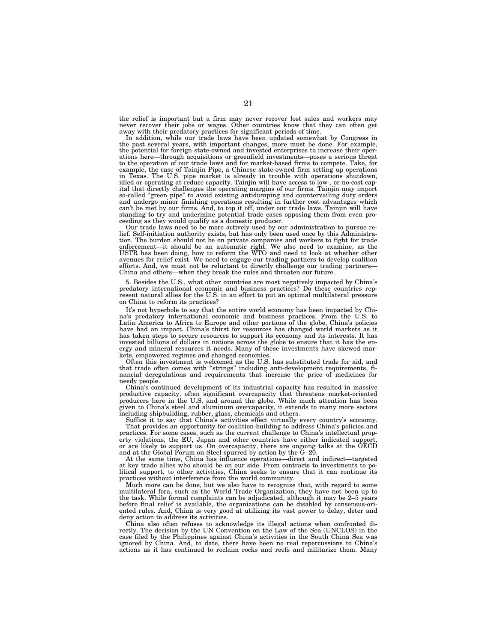the relief is important but a firm may never recover lost sales and workers may never recover their jobs or wages. Other countries know that they can often get away with their predatory practices for significant periods of time.

In addition, while our trade laws have been updated somewhat by Congress in the past several years, with important changes, more must be done. For example, the potential for foreign state-owned and invested enterprises to increase their operations here—through acquisitions or greenfield investments—poses a serious threat to the operation of our trade laws and for market-based firms to compete. Take, for example, the case of Tainjin Pipe, a Chinese state-owned firm setting up operations in Texas. The U.S. pipe market is already in trouble with operations shutdown, idled or operating at reduce capacity. Tainjin will have access to low-, or no-cost capital that directly challenges the operating margins of our firms. Tainjin may import so-called ''green pipe'' to avoid existing antidumping and countervailing duty orders and undergo minor finishing operations resulting in further cost advantages which can't be met by our firms. And, to top it off, under our trade laws, Tainjin will have standing to try and undermine potential trade cases opposing them from even proceeding as they would qualify as a domestic producer.

Our trade laws need to be more actively used by our administration to pursue relief. Self-initiation authority exists, but has only been used once by this Administration. The burden should not be on private companies and workers to fight for trade enforcement—it should be an automatic right. We also need to examine, as the USTR has been doing, how to reform the WTO and need to look at whether other avenues for relief exist. We need to engage our trading partners to develop coalition efforts. And, we must not be reluctant to directly challenge our trading partners— China and others—when they break the rules and threaten our future.

5. Besides the U.S., what other countries are most negatively impacted by China's predatory international economic and business practices? Do these countries represent natural allies for the U.S. in an effort to put an optimal multilateral pressure on China to reform its practices?

It's not hyperbole to say that the entire world economy has been impacted by China's predatory international economic and business practices. From the U.S. to Latin America to Africa to Europe and other portions of the globe, China's policies have had an impact. China's thirst for resources has changed world markets as it has taken steps to secure resources to support its economy and its interests. It has invested billions of dollars in nations across the globe to ensure that it has the energy and mineral resources it needs. Many of these investments have skewed markets, empowered regimes and changed economies.

Often this investment is welcomed as the U.S. has substituted trade for aid, and that trade often comes with ''strings'' including anti-development requirements, financial deregulations and requirements that increase the price of medicines for needy people.

China's continued development of its industrial capacity has resulted in massive productive capacity, often significant overcapacity that threatens market-oriented producers here in the U.S. and around the globe. While much attention has been given to China's steel and aluminum overcapacity, it extends to many more sectors including shipbuilding, rubber, glass, chemicals and others.

Suffice it to say that China's activities effect virtually every country's economy. That provides an opportunity for coalition-building to address China's policies and practices. For some cases, such as the current challenge to China's intellectual property violations, the EU, Japan and other countries have either indicated support or are likely to support us. On overcapacity, there are ongoing talks at the OECD and at the Global Forum on Steel spurred by action by the G–20.

At the same time, China has influence operations—direct and indirect—targeted at key trade allies who should be on our side. From contracts to investments to political support, to other activities, China seeks to ensure that it can continue its practices without interference from the world community.

Much more can be done, but we also have to recognize that, with regard to some multilateral fora, such as the World Trade Organization, they have not been up to the task. While formal complaints can be adjudicated, although it may be 2–5 years before final relief is available, the organizations can be disabled by consensus-oriented rules. And, China is very good at utilizing its vast power to delay, deter and deny action to address its activities.

China also often refuses to acknowledge its illegal actions when confronted directly. The decision by the UN Convention on the Law of the Sea (UNCLOS) in the case filed by the Philippines against China's activities in the South China Sea was ignored by China. And, to date, there have been no real repercussions to China's actions as it has continued to reclaim rocks and reefs and militarize them. Many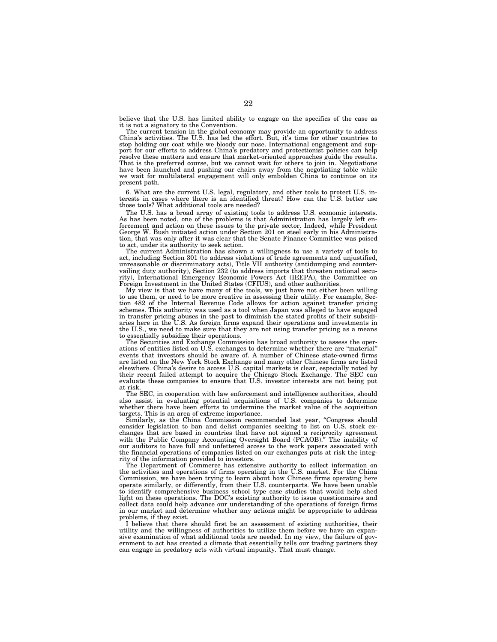believe that the U.S. has limited ability to engage on the specifics of the case as it is not a signatory to the Convention.

The current tension in the global economy may provide an opportunity to address China's activities. The U.S. has led the effort. But, it's time for other countries to stop holding our coat while we bloody our nose. International engagement and support for our efforts to address China's predatory and protectionist policies can help resolve these matters and ensure that market-oriented approaches guide the results. That is the preferred course, but we cannot wait for others to join in. Negotiations have been launched and pushing our chairs away from the negotiating table while we wait for multilateral engagement will only embolden China to continue on its present path.

6. What are the current U.S. legal, regulatory, and other tools to protect U.S. in-terests in cases where there is an identified threat? How can the U.S. better use those tools? What additional tools are needed?

The U.S. has a broad array of existing tools to address U.S. economic interests. As has been noted, one of the problems is that Administration has largely left enforcement and action on these issues to the private sector. Indeed, while President George W. Bush initiated action under Section 201 on steel early in his Administration, that was only after it was clear that the Senate Finance Committee was poised to act, under its authority to seek action.

The current Administration has shown a willingness to use a variety of tools to act, including Section 301 (to address violations of trade agreements and unjustified, unreasonable or discriminatory acts), Title VII authority (antidumping and countervailing duty authority), Section 232 (to address imports that threaten national security), International Emergency Economic Powers Act (IEEPA), the Committee on Foreign Investment in the United States (CFIUS), and other authorities.

My view is that we have many of the tools, we just have not either been willing to use them, or need to be more creative in assessing their utility. For example, Section 482 of the Internal Revenue Code allows for action against transfer pricing schemes. This authority was used as a tool when Japan was alleged to have engaged in transfer pricing abuses in the past to diminish the stated profits of their subsidiaries here in the U.S. As foreign firms expand their operations and investments in the U.S., we need to make sure that they are not using transfer pricing as a means to essentially subsidize their operations.

The Securities and Exchange Commission has broad authority to assess the operations of entities listed on U.S. exchanges to determine whether there are ''material'' events that investors should be aware of. A number of Chinese state-owned firms are listed on the New York Stock Exchange and many other Chinese firms are listed elsewhere. China's desire to access U.S. capital markets is clear, especially noted by their recent failed attempt to acquire the Chicago Stock Exchange. The SEC can evaluate these companies to ensure that U.S. investor interests are not being put at risk.

The SEC, in cooperation with law enforcement and intelligence authorities, should also assist in evaluating potential acquisitions of U.S. companies to determine whether there have been efforts to undermine the market value of the acquisition targets. This is an area of extreme importance.

Similarly, as the China Commission recommended last year, ''Congress should consider legislation to ban and delist companies seeking to list on U.S. stock exchanges that are based in countries that have not signed a reciprocity agreement with the Public Company Accounting Oversight Board (PCAOB).'' The inability of our auditors to have full and unfettered access to the work papers associated with the financial operations of companies listed on our exchanges puts at risk the integrity of the information provided to investors.

The Department of Commerce has extensive authority to collect information on the activities and operations of firms operating in the U.S. market. For the China Commission, we have been trying to learn about how Chinese firms operating here operate similarly, or differently, from their U.S. counterparts. We have been unable to identify comprehensive business school type case studies that would help shed light on these operations. The DOC's existing authority to issue questionnaires and collect data could help advance our understanding of the operations of foreign firms in our market and determine whether any actions might be appropriate to address problems, if they exist.

I believe that there should first be an assessment of existing authorities, their utility and the willingness of authorities to utilize them before we have an expansive examination of what additional tools are needed. In my view, the failure of government to act has created a climate that essentially tells our trading partners they can engage in predatory acts with virtual impunity. That must change.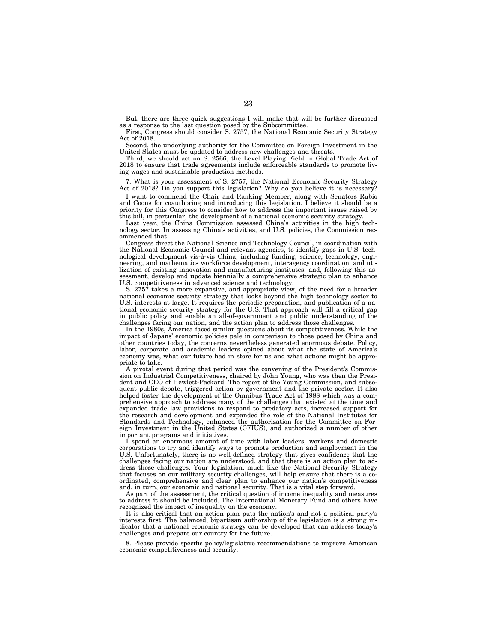But, there are three quick suggestions I will make that will be further discussed as a response to the last question posed by the Subcommittee.

First, Congress should consider S. 2757, the National Economic Security Strategy Act of 2018.

Second, the underlying authority for the Committee on Foreign Investment in the United States must be updated to address new challenges and threats.

Third, we should act on S. 2566, the Level Playing Field in Global Trade Act of 2018 to ensure that trade agreements include enforceable standards to promote living wages and sustainable production methods.

7. What is your assessment of S. 2757, the National Economic Security Strategy Act of 2018? Do you support this legislation? Why do you believe it is necessary?

I want to commend the Chair and Ranking Member, along with Senators Rubio and Coons for coauthoring and introducing this legislation. I believe it should be a priority for this Congress to consider how to address the important issues raised by this bill, in particular, the development of a national economic security strategy.

Last year, the China Commission assessed China's activities in the high technology sector. In assessing China's activities, and U.S. policies, the Commission recommended that

Congress direct the National Science and Technology Council, in coordination with the National Economic Council and relevant agencies, to identify gaps in U.S. technological development vis-a`-vis China, including funding, science, technology, engineering, and mathematics workforce development, interagency coordination, and utilization of existing innovation and manufacturing institutes, and, following this assessment, develop and update biennially a comprehensive strategic plan to enhance U.S. competitiveness in advanced science and technology.

S. 2757 takes a more expansive, and appropriate view, of the need for a broader national economic security strategy that looks beyond the high technology sector to U.S. interests at large. It requires the periodic preparation, and publication of a national economic security strategy for the U.S. That approach will fill a critical gap in public policy and enable an all-of-government and public understanding of the challenges facing our nation, and the action plan to address those challenges.

In the 1980s, America faced similar questions about its competitiveness. While the impact of Japans' economic policies pale in comparison to those posed by China and other countries today, the concerns nevertheless generated enormous debate. Policy, labor, corporate and academic leaders opined about what the state of America's economy was, what our future had in store for us and what actions might be appropriate to take.

A pivotal event during that period was the convening of the President's Commission on Industrial Competitiveness, chaired by John Young, who was then the President and CEO of Hewlett-Packard. The report of the Young Commission, and subsequent public debate, triggered action by government and the private sector. It also helped foster the development of the Omnibus Trade Act of 1988 which was a comprehensive approach to address many of the challenges that existed at the time and expanded trade law provisions to respond to predatory acts, increased support for the research and development and expanded the role of the National Institutes for Standards and Technology, enhanced the authorization for the Committee on Foreign Investment in the United States (CFIUS), and authorized a number of other important programs and initiatives.

I spend an enormous amount of time with labor leaders, workers and domestic corporations to try and identify ways to promote production and employment in the U.S. Unfortunately, there is no well-defined strategy that gives confidence that the challenges facing our nation are understood, and that there is an action plan to address those challenges. Your legislation, much like the National Security Strategy that focuses on our military security challenges, will help ensure that there is a coordinated, comprehensive and clear plan to enhance our nation's competitiveness and, in turn, our economic and national security. That is a vital step forward.

As part of the assessment, the critical question of income inequality and measures to address it should be included. The International Monetary Fund and others have recognized the impact of inequality on the economy.

It is also critical that an action plan puts the nation's and not a political party's interests first. The balanced, bipartisan authorship of the legislation is a strong indicator that a national economic strategy can be developed that can address today's challenges and prepare our country for the future.

8. Please provide specific policy/legislative recommendations to improve American economic competitiveness and security.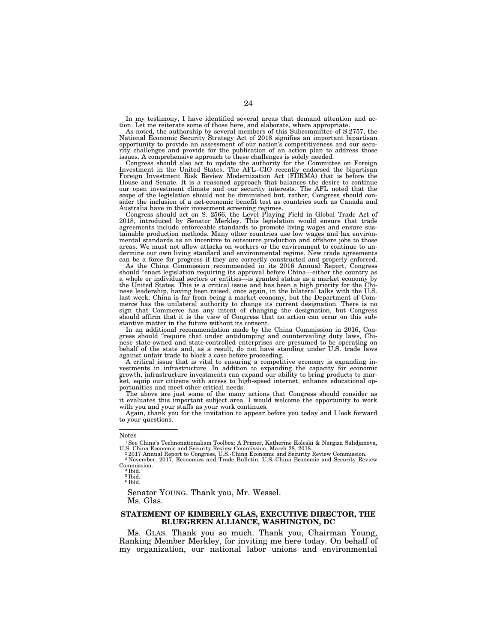In my testimony, I have identified several areas that demand attention and action. Let me reiterate some of those here, and elaborate, where appropriate. As noted, the authorship by several members of this Subcommittee of S.2757, the

National Economic Security Strategy Act of 2018 signifies an important bipartisan opportunity to provide an assessment of our nation's competitiveness and our security challenges and provide for the publication of an action plan to address those issues. A comprehensive approach to these challenges is solely needed.

Congress should also act to update the authority for the Committee on Foreign<br>Investment in the United States. The AFL–CIO recently endorsed the bipartisan<br>Foreign Investment Risk Review Modernization Act (FIIRMA) that is House and Senate. It is a reasoned approach that balances the desire to continue our open investment climate and our security interests. The AFL noted that the scope of the legislation should not be diminished but, rather, Congress should consider the inclusion of a net-economic benefit test as countries such as Canada and Australia have in their investment screening regimes.

Congress should act on S. 2566, the Level Playing Field in Global Trade Act of 2018, introduced by Senator Merkley. This legislation would ensure that trade agreements include enforceable standards to promote living wages and ensure sustainable production methods. Many other countries use low wages and lax environmental standards as an incentive to outsource production and offshore jobs to those areas. We must not allow attacks on workers or the environment to continue to undermine our own living standard and environmental regime. New trade agreements can be a force for progress if they are correctly constructed and properly enforced.

As the China Commission recommended in its 2016 Annual Report, Congress should "enact legislation requiring its approval before China—either the country as a whole or individual sectors or entities—is granted status as a market economy by the United States. This is a critical issue and has been a high priority for the Chinese leadership, having been raised, once again, in the bilateral talks with the U.S. last week. China is far from being a market economy, but the Department of Commerce has the unilateral authority to change its current designation. There is no sign that Commerce has any intent of changing the designation, but Congress should affirm that it is the view of Congress that no action can occur on this substantive matter in the future without its consent.

In an additional recommendation made by the China Commission in 2016, Congress should ''require that under antidumping and countervailing duty laws, Chinese state-owned and state-controlled enterprises are presumed to be operating on behalf of the state and, as a result, do not have standing under U.S. trade laws against unfair trade to block a case before proceeding.

A critical issue that is vital to ensuring a competitive economy is expanding in-vestments in infrastructure. In addition to expanding the capacity for economic growth, infrastructure investments can expand our ability to bring products to mar-ket, equip our citizens with access to high-speed internet, enhance educational opportunities and meet other critical needs.

The above are just some of the many actions that Congress should consider as it evaluates this important subject area. I would welcome the opportunity to work with you and your staffs as your work continues.

Again, thank you for the invitation to appear before you today and I look forward to your questions.

—————————

6 Ibid.

Senator YOUNG. Thank you, Mr. Wessel. Ms. Glas.

#### **STATEMENT OF KIMBERLY GLAS, EXECUTIVE DIRECTOR, THE BLUEGREEN ALLIANCE, WASHINGTON, DC**

Ms. GLAS. Thank you so much. Thank you, Chairman Young, Ranking Member Merkley, for inviting me here today. On behalf of my organization, our national labor unions and environmental

Notes

<sup>1</sup>See China's Technonationalism Toolbox: A Primer, Katherine Koleski & Nargiza Salidjanova,

U.S. China Economic and Security Review Commission, March 28, 2018.<br><sup>2</sup> 2017 Annual Report to Congress, U.S.-China Economic and Security Review Commission.<br><sup>3</sup> November, 2017, Economics and Trade Bulletin, U.S.-China Econo

Commission.<br><sup>4</sup> Ibid.

<sup>5</sup> Ibid.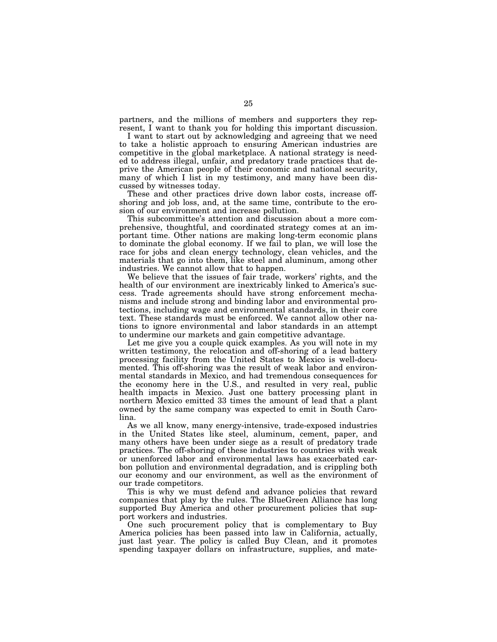partners, and the millions of members and supporters they represent, I want to thank you for holding this important discussion.

I want to start out by acknowledging and agreeing that we need to take a holistic approach to ensuring American industries are competitive in the global marketplace. A national strategy is needed to address illegal, unfair, and predatory trade practices that deprive the American people of their economic and national security, many of which I list in my testimony, and many have been discussed by witnesses today.

These and other practices drive down labor costs, increase offshoring and job loss, and, at the same time, contribute to the erosion of our environment and increase pollution.

This subcommittee's attention and discussion about a more comprehensive, thoughtful, and coordinated strategy comes at an important time. Other nations are making long-term economic plans to dominate the global economy. If we fail to plan, we will lose the race for jobs and clean energy technology, clean vehicles, and the materials that go into them, like steel and aluminum, among other industries. We cannot allow that to happen.

We believe that the issues of fair trade, workers' rights, and the health of our environment are inextricably linked to America's success. Trade agreements should have strong enforcement mechanisms and include strong and binding labor and environmental protections, including wage and environmental standards, in their core text. These standards must be enforced. We cannot allow other nations to ignore environmental and labor standards in an attempt to undermine our markets and gain competitive advantage.

Let me give you a couple quick examples. As you will note in my written testimony, the relocation and off-shoring of a lead battery processing facility from the United States to Mexico is well-documented. This off-shoring was the result of weak labor and environmental standards in Mexico, and had tremendous consequences for the economy here in the U.S., and resulted in very real, public health impacts in Mexico. Just one battery processing plant in northern Mexico emitted 33 times the amount of lead that a plant owned by the same company was expected to emit in South Carolina.

As we all know, many energy-intensive, trade-exposed industries in the United States like steel, aluminum, cement, paper, and many others have been under siege as a result of predatory trade practices. The off-shoring of these industries to countries with weak or unenforced labor and environmental laws has exacerbated carbon pollution and environmental degradation, and is crippling both our economy and our environment, as well as the environment of our trade competitors.

This is why we must defend and advance policies that reward companies that play by the rules. The BlueGreen Alliance has long supported Buy America and other procurement policies that support workers and industries.

One such procurement policy that is complementary to Buy America policies has been passed into law in California, actually, just last year. The policy is called Buy Clean, and it promotes spending taxpayer dollars on infrastructure, supplies, and mate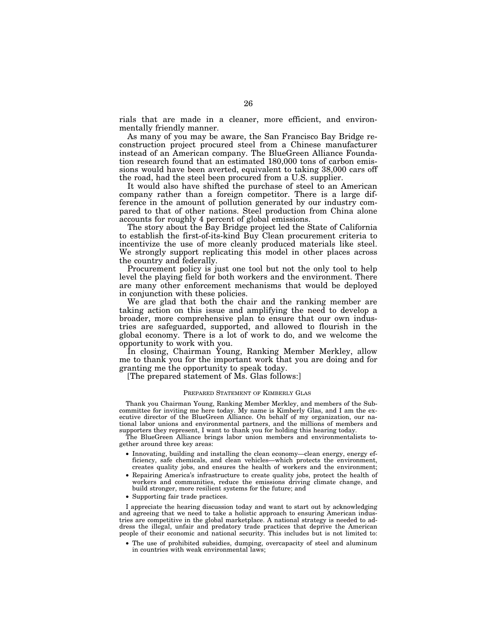rials that are made in a cleaner, more efficient, and environmentally friendly manner.

As many of you may be aware, the San Francisco Bay Bridge reconstruction project procured steel from a Chinese manufacturer instead of an American company. The BlueGreen Alliance Foundation research found that an estimated 180,000 tons of carbon emissions would have been averted, equivalent to taking 38,000 cars off the road, had the steel been procured from a U.S. supplier.

It would also have shifted the purchase of steel to an American company rather than a foreign competitor. There is a large difference in the amount of pollution generated by our industry compared to that of other nations. Steel production from China alone accounts for roughly 4 percent of global emissions.

The story about the Bay Bridge project led the State of California to establish the first-of-its-kind Buy Clean procurement criteria to incentivize the use of more cleanly produced materials like steel. We strongly support replicating this model in other places across the country and federally.

Procurement policy is just one tool but not the only tool to help level the playing field for both workers and the environment. There are many other enforcement mechanisms that would be deployed in conjunction with these policies.

We are glad that both the chair and the ranking member are taking action on this issue and amplifying the need to develop a broader, more comprehensive plan to ensure that our own industries are safeguarded, supported, and allowed to flourish in the global economy. There is a lot of work to do, and we welcome the opportunity to work with you.

In closing, Chairman Young, Ranking Member Merkley, allow me to thank you for the important work that you are doing and for granting me the opportunity to speak today.

[The prepared statement of Ms. Glas follows:]

#### PREPARED STATEMENT OF KIMBERLY GLAS

Thank you Chairman Young, Ranking Member Merkley, and members of the Subcommittee for inviting me here today. My name is Kimberly Glas, and I am the executive director of the BlueGreen Alliance. On behalf of my organization, our national labor unions and environmental partners, and the millions of members and supporters they represent, I want to thank you for holding this hearing today.

The BlueGreen Alliance brings labor union members and environmentalists together around three key areas:

- Innovating, building and installing the clean economy—clean energy, energy efficiency, safe chemicals, and clean vehicles—which protects the environment, creates quality jobs, and ensures the health of workers and the environment;
- Repairing America's infrastructure to create quality jobs, protect the health of workers and communities, reduce the emissions driving climate change, and build stronger, more resilient systems for the future; and
- Supporting fair trade practices.

I appreciate the hearing discussion today and want to start out by acknowledging and agreeing that we need to take a holistic approach to ensuring American industries are competitive in the global marketplace. A national strategy is needed to address the illegal, unfair and predatory trade practices that deprive the American people of their economic and national security. This includes but is not limited to:

• The use of prohibited subsidies, dumping, overcapacity of steel and aluminum in countries with weak environmental laws;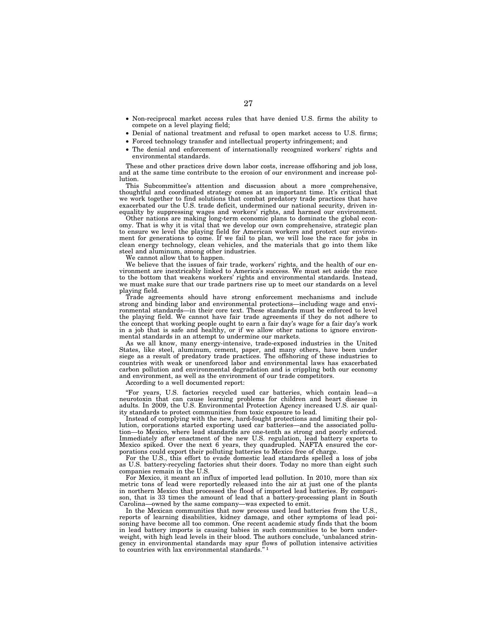- Non-reciprocal market access rules that have denied U.S. firms the ability to compete on a level playing field;
- Denial of national treatment and refusal to open market access to U.S. firms;
- Forced technology transfer and intellectual property infringement; and
- The denial and enforcement of internationally recognized workers' rights and environmental standards.

These and other practices drive down labor costs, increase offshoring and job loss, and at the same time contribute to the erosion of our environment and increase pollution.

This Subcommittee's attention and discussion about a more comprehensive, thoughtful and coordinated strategy comes at an important time. It's critical that we work together to find solutions that combat predatory trade practices that have exacerbated our the U.S. trade deficit, undermined our national security, driven inequality by suppressing wages and workers' rights, and harmed our environment.

Other nations are making long-term economic plans to dominate the global economy. That is why it is vital that we develop our own comprehensive, strategic plan to ensure we level the playing field for American workers and protect our environment for generations to come. If we fail to plan, we will lose the race for jobs in clean energy technology, clean vehicles, and the materials that go into them like steel and aluminum, among other industries.

We cannot allow that to happen.

We believe that the issues of fair trade, workers' rights, and the health of our environment are inextricably linked to America's success. We must set aside the race to the bottom that weakens workers' rights and environmental standards. Instead, we must make sure that our trade partners rise up to meet our standards on a level playing field.

Trade agreements should have strong enforcement mechanisms and include strong and binding labor and environmental protections—including wage and environmental standards—in their core text. These standards must be enforced to level the playing field. We cannot have fair trade agreements if they do not adhere to the concept that working people ought to earn a fair day's wage for a fair day's work in a job that is safe and healthy, or if we allow other nations to ignore environmental standards in an attempt to undermine our markets.

As we all know, many energy-intensive, trade-exposed industries in the United States, like steel, aluminum, cement, paper, and many others, have been under siege as a result of predatory trade practices. The offshoring of these industries to countries with weak or unenforced labor and environmental laws has exacerbated carbon pollution and environmental degradation and is crippling both our economy and environment, as well as the environment of our trade competitors.

According to a well documented report:

''For years, U.S. factories recycled used car batteries, which contain lead—a neurotoxin that can cause learning problems for children and heart disease in adults. In 2009, the U.S. Environmental Protection Agency increased U.S. air quality standards to protect communities from toxic exposure to lead.

Instead of complying with the new, hard-fought protections and limiting their pollution, corporations started exporting used car batteries—and the associated pollution—to Mexico, where lead standards are one-tenth as strong and poorly enforced. Immediately after enactment of the new U.S. regulation, lead battery exports to Mexico spiked. Over the next 6 years, they quadrupled. NAFTA ensured the corporations could export their polluting batteries to Mexico free of charge.

For the U.S., this effort to evade domestic lead standards spelled a loss of jobs as U.S. battery-recycling factories shut their doors. Today no more than eight such companies remain in the U.S.

For Mexico, it meant an influx of imported lead pollution. In 2010, more than six metric tons of lead were reportedly released into the air at just one of the plants in northern Mexico that processed the flood of imported lead batteries. By comparison, that is 33 times the amount of lead that a battery-processing plant in South Carolina—owned by the same company—was expected to emit.

In the Mexican communities that now process used lead batteries from the U.S., reports of learning disabilities, kidney damage, and other symptoms of lead poisoning have become all too common. One recent academic study finds that the boom in lead battery imports is causing babies in such communities to be born underweight, with high lead levels in their blood. The authors conclude, 'unbalanced stringency in environmental standards may spur flows of pollution intensive activities to countries with lax environmental standards.'' 1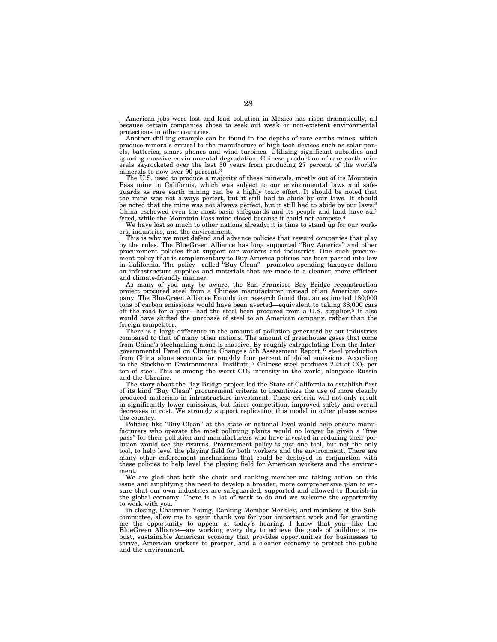American jobs were lost and lead pollution in Mexico has risen dramatically, all because certain companies chose to seek out weak or non-existent environmental protections in other countries.

Another chilling example can be found in the depths of rare earths mines, which produce minerals critical to the manufacture of high tech devices such as solar panels, batteries, smart phones and wind turbines. Utilizing significant subsidies and ignoring massive environmental degradation, Chinese production of rare earth minerals skyrocketed over the last 30 years from producing 27 percent of the world's minerals to now over 90 percent.2

The U.S. used to produce a majority of these minerals, mostly out of its Mountain Pass mine in California, which was subject to our environmental laws and safeguards as rare earth mining can be a highly toxic effort. It should be noted that the mine was not always perfect, but it still had to abide by our laws. It should be noted that the mine was not always perfect, but it still had to abide by our laws.<sup>3</sup> China eschewed even the most basic safeguards and its people and land have suffered, while the Mountain Pass mine closed because it could not compete.4

We have lost so much to other nations already; it is time to stand up for our workers, industries, and the environment.

This is why we must defend and advance policies that reward companies that play by the rules. The BlueGreen Alliance has long supported ''Buy America'' and other procurement policies that support our workers and industries. One such procurement policy that is complementary to Buy America policies has been passed into law in California. The policy—called ''Buy Clean''—promotes spending taxpayer dollars on infrastructure supplies and materials that are made in a cleaner, more efficient and climate-friendly manner.

As many of you may be aware, the San Francisco Bay Bridge reconstruction project procured steel from a Chinese manufacturer instead of an American company. The BlueGreen Alliance Foundation research found that an estimated 180,000 tons of carbon emissions would have been averted—equivalent to taking 38,000 cars off the road for a year—had the steel been procured from a U.S. supplier.5 It also would have shifted the purchase of steel to an American company, rather than the foreign competitor.

There is a large difference in the amount of pollution generated by our industries compared to that of many other nations. The amount of greenhouse gases that come from China's steelmaking alone is massive. By roughly extrapolating from the Intergovernmental Panel on Climate Change's 5th Assessment Report, 6 steel production from China alone accounts for roughly four percent of global emissions. According to the Stockholm Environmental Institute, <sup>7</sup> Chinese steel produces 2.4t of CO<sup>2</sup> per ton of steel. This is among the worst  $CO<sub>2</sub>$  intensity in the world, alongside Russia and the Ukraine.

The story about the Bay Bridge project led the State of California to establish first of its kind ''Buy Clean'' procurement criteria to incentivize the use of more cleanly produced materials in infrastructure investment. These criteria will not only result in significantly lower emissions, but fairer competition, improved safety and overall decreases in cost. We strongly support replicating this model in other places across the country.

Policies like "Buy Clean" at the state or national level would help ensure manufacturers who operate the most polluting plants would no longer be given a "free pass'' for their pollution and manufacturers who have invested in reducing their pollution would see the returns. Procurement policy is just one tool, but not the only tool, to help level the playing field for both workers and the environment. There are many other enforcement mechanisms that could be deployed in conjunction with these policies to help level the playing field for American workers and the environment.

We are glad that both the chair and ranking member are taking action on this issue and amplifying the need to develop a broader, more comprehensive plan to ensure that our own industries are safeguarded, supported and allowed to flourish in the global economy. There is a lot of work to do and we welcome the opportunity to work with you.

In closing, Chairman Young, Ranking Member Merkley, and members of the Subcommittee, allow me to again thank you for your important work and for granting me the opportunity to appear at today's hearing. I know that you—like the BlueGreen Alliance—are working every day to achieve the goals of building a robust, sustainable American economy that provides opportunities for businesses to thrive, American workers to prosper, and a cleaner economy to protect the public and the environment.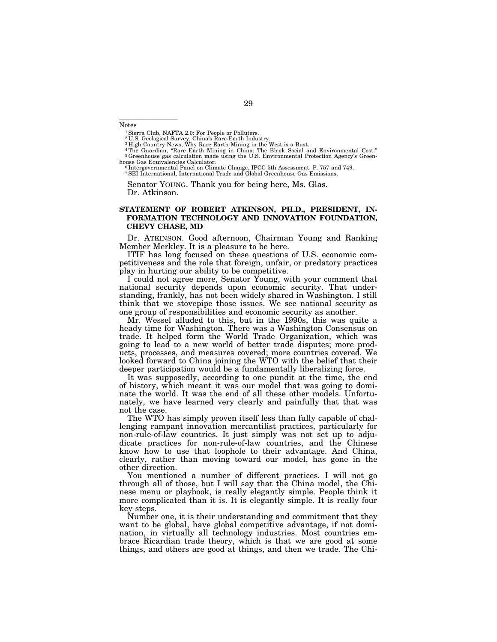Notes

—————————

<sup>1</sup> Sierra Club, NAFTA 2.0: For People or Polluters.

<sup>2</sup>U.S. Geological Survey, China's Rare-Earth Industry.<br><sup>3</sup> High Country News, Why Rare Earth Mining in the West is a Bust.<br><sup>4</sup> The Guardian, "Rare Earth Mining in China: The Bleak Social and Environmental Cost."<br><sup>5</sup> Green

house Gas Equivalencies Calculator.<br><sup>6</sup> Intergovernmental Panel on Climate Change, IPCC 5th Assessment. P. 757 and 749.<br><sup>7</sup> SEI International, International Trade and Global Greenhouse Gas Emissions.

Senator YOUNG. Thank you for being here, Ms. Glas. Dr. Atkinson.

#### **STATEMENT OF ROBERT ATKINSON, PH.D., PRESIDENT, IN-FORMATION TECHNOLOGY AND INNOVATION FOUNDATION, CHEVY CHASE, MD**

Dr. ATKINSON. Good afternoon, Chairman Young and Ranking Member Merkley. It is a pleasure to be here.

ITIF has long focused on these questions of U.S. economic competitiveness and the role that foreign, unfair, or predatory practices play in hurting our ability to be competitive.

I could not agree more, Senator Young, with your comment that national security depends upon economic security. That understanding, frankly, has not been widely shared in Washington. I still think that we stovepipe those issues. We see national security as one group of responsibilities and economic security as another.

Mr. Wessel alluded to this, but in the 1990s, this was quite a heady time for Washington. There was a Washington Consensus on trade. It helped form the World Trade Organization, which was going to lead to a new world of better trade disputes; more products, processes, and measures covered; more countries covered. We looked forward to China joining the WTO with the belief that their deeper participation would be a fundamentally liberalizing force.

It was supposedly, according to one pundit at the time, the end of history, which meant it was our model that was going to dominate the world. It was the end of all these other models. Unfortunately, we have learned very clearly and painfully that that was not the case.

The WTO has simply proven itself less than fully capable of challenging rampant innovation mercantilist practices, particularly for non-rule-of-law countries. It just simply was not set up to adjudicate practices for non-rule-of-law countries, and the Chinese know how to use that loophole to their advantage. And China, clearly, rather than moving toward our model, has gone in the other direction.

You mentioned a number of different practices. I will not go through all of those, but I will say that the China model, the Chinese menu or playbook, is really elegantly simple. People think it more complicated than it is. It is elegantly simple. It is really four key steps.

Number one, it is their understanding and commitment that they want to be global, have global competitive advantage, if not domination, in virtually all technology industries. Most countries embrace Ricardian trade theory, which is that we are good at some things, and others are good at things, and then we trade. The Chi-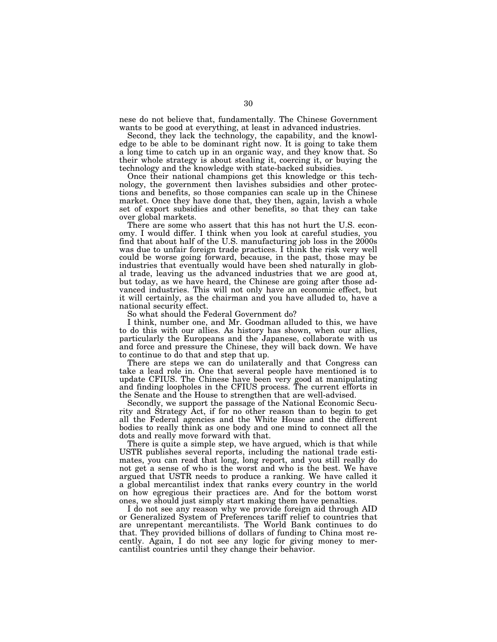nese do not believe that, fundamentally. The Chinese Government wants to be good at everything, at least in advanced industries.

Second, they lack the technology, the capability, and the knowledge to be able to be dominant right now. It is going to take them a long time to catch up in an organic way, and they know that. So their whole strategy is about stealing it, coercing it, or buying the technology and the knowledge with state-backed subsidies.

Once their national champions get this knowledge or this technology, the government then lavishes subsidies and other protections and benefits, so those companies can scale up in the Chinese market. Once they have done that, they then, again, lavish a whole set of export subsidies and other benefits, so that they can take over global markets.

There are some who assert that this has not hurt the U.S. economy. I would differ. I think when you look at careful studies, you find that about half of the U.S. manufacturing job loss in the 2000s was due to unfair foreign trade practices. I think the risk very well could be worse going forward, because, in the past, those may be industries that eventually would have been shed naturally in global trade, leaving us the advanced industries that we are good at, but today, as we have heard, the Chinese are going after those advanced industries. This will not only have an economic effect, but it will certainly, as the chairman and you have alluded to, have a national security effect.

So what should the Federal Government do?

I think, number one, and Mr. Goodman alluded to this, we have to do this with our allies. As history has shown, when our allies, particularly the Europeans and the Japanese, collaborate with us and force and pressure the Chinese, they will back down. We have to continue to do that and step that up.

There are steps we can do unilaterally and that Congress can take a lead role in. One that several people have mentioned is to update CFIUS. The Chinese have been very good at manipulating and finding loopholes in the CFIUS process. The current efforts in the Senate and the House to strengthen that are well-advised.

Secondly, we support the passage of the National Economic Security and Strategy Act, if for no other reason than to begin to get all the Federal agencies and the White House and the different bodies to really think as one body and one mind to connect all the dots and really move forward with that.

There is quite a simple step, we have argued, which is that while USTR publishes several reports, including the national trade estimates, you can read that long, long report, and you still really do not get a sense of who is the worst and who is the best. We have argued that USTR needs to produce a ranking. We have called it a global mercantilist index that ranks every country in the world on how egregious their practices are. And for the bottom worst ones, we should just simply start making them have penalties.

I do not see any reason why we provide foreign aid through AID or Generalized System of Preferences tariff relief to countries that are unrepentant mercantilists. The World Bank continues to do that. They provided billions of dollars of funding to China most recently. Again, I do not see any logic for giving money to mercantilist countries until they change their behavior.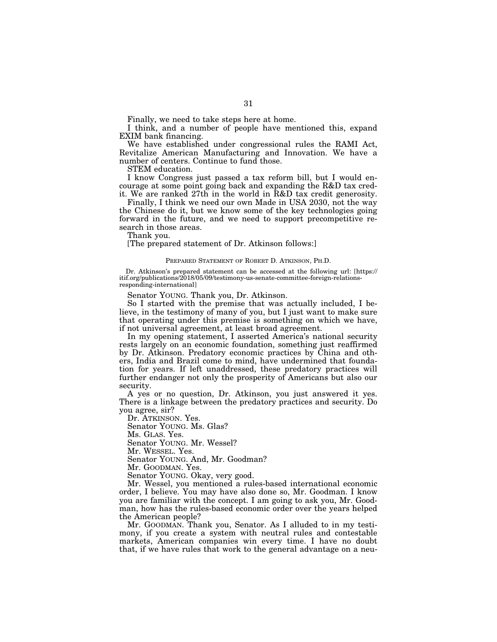Finally, we need to take steps here at home.

I think, and a number of people have mentioned this, expand EXIM bank financing.

We have established under congressional rules the RAMI Act, Revitalize American Manufacturing and Innovation. We have a number of centers. Continue to fund those.

STEM education.

I know Congress just passed a tax reform bill, but I would encourage at some point going back and expanding the R&D tax credit. We are ranked 27th in the world in R&D tax credit generosity.

Finally, I think we need our own Made in USA 2030, not the way the Chinese do it, but we know some of the key technologies going forward in the future, and we need to support precompetitive research in those areas.

Thank you.

[The prepared statement of Dr. Atkinson follows:]

#### PREPARED STATEMENT OF ROBERT D. ATKINSON, PH.D.

Dr. Atkinson's prepared statement can be accessed at the following url: [https:// itif.org/publications/2018/05/09/testimony-us-senate-committee-foreign-relationsresponding-international]

Senator YOUNG. Thank you, Dr. Atkinson.

So I started with the premise that was actually included, I believe, in the testimony of many of you, but I just want to make sure that operating under this premise is something on which we have, if not universal agreement, at least broad agreement.

In my opening statement, I asserted America's national security rests largely on an economic foundation, something just reaffirmed by Dr. Atkinson. Predatory economic practices by China and others, India and Brazil come to mind, have undermined that foundation for years. If left unaddressed, these predatory practices will further endanger not only the prosperity of Americans but also our security.

A yes or no question, Dr. Atkinson, you just answered it yes. There is a linkage between the predatory practices and security. Do you agree, sir?

Dr. ATKINSON. Yes.

Senator YOUNG. Ms. Glas?

Ms. GLAS. Yes.

Senator YOUNG. Mr. Wessel?

Mr. WESSEL. Yes.

Senator YOUNG. And, Mr. Goodman?

Mr. GOODMAN. Yes.

Senator YOUNG. Okay, very good.

Mr. Wessel, you mentioned a rules-based international economic order, I believe. You may have also done so, Mr. Goodman. I know you are familiar with the concept. I am going to ask you, Mr. Goodman, how has the rules-based economic order over the years helped the American people?

Mr. GOODMAN. Thank you, Senator. As I alluded to in my testimony, if you create a system with neutral rules and contestable markets, American companies win every time. I have no doubt that, if we have rules that work to the general advantage on a neu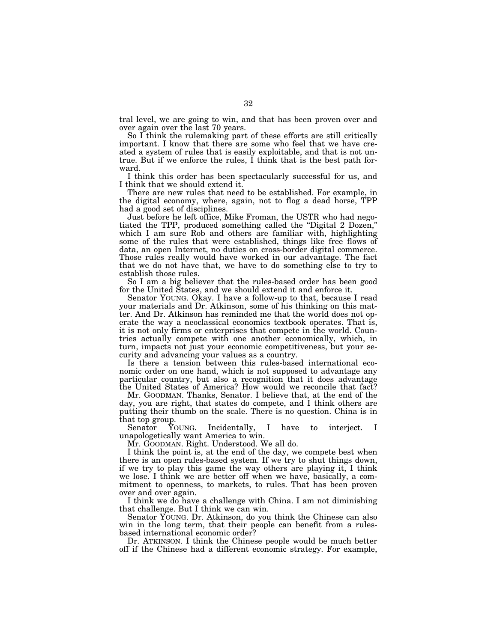tral level, we are going to win, and that has been proven over and over again over the last 70 years.

So I think the rulemaking part of these efforts are still critically important. I know that there are some who feel that we have created a system of rules that is easily exploitable, and that is not untrue. But if we enforce the rules, I think that is the best path forward.

I think this order has been spectacularly successful for us, and I think that we should extend it.

There are new rules that need to be established. For example, in the digital economy, where, again, not to flog a dead horse, TPP had a good set of disciplines.

Just before he left office, Mike Froman, the USTR who had negotiated the TPP, produced something called the ''Digital 2 Dozen,'' which I am sure Rob and others are familiar with, highlighting some of the rules that were established, things like free flows of data, an open Internet, no duties on cross-border digital commerce. Those rules really would have worked in our advantage. The fact that we do not have that, we have to do something else to try to establish those rules.

So I am a big believer that the rules-based order has been good for the United States, and we should extend it and enforce it.

Senator YOUNG. Okay. I have a follow-up to that, because I read your materials and Dr. Atkinson, some of his thinking on this matter. And Dr. Atkinson has reminded me that the world does not operate the way a neoclassical economics textbook operates. That is, it is not only firms or enterprises that compete in the world. Countries actually compete with one another economically, which, in turn, impacts not just your economic competitiveness, but your security and advancing your values as a country.

Is there a tension between this rules-based international economic order on one hand, which is not supposed to advantage any particular country, but also a recognition that it does advantage the United States of America? How would we reconcile that fact?

Mr. GOODMAN. Thanks, Senator. I believe that, at the end of the day, you are right, that states do compete, and I think others are putting their thumb on the scale. There is no question. China is in that top group.<br>Senator YOUNG.

Incidentally, I have to interject. I unapologetically want America to win.

Mr. GOODMAN. Right. Understood. We all do.

I think the point is, at the end of the day, we compete best when there is an open rules-based system. If we try to shut things down, if we try to play this game the way others are playing it, I think we lose. I think we are better off when we have, basically, a commitment to openness, to markets, to rules. That has been proven over and over again.

I think we do have a challenge with China. I am not diminishing that challenge. But I think we can win.

Senator YOUNG. Dr. Atkinson, do you think the Chinese can also win in the long term, that their people can benefit from a rulesbased international economic order?

Dr. ATKINSON. I think the Chinese people would be much better off if the Chinese had a different economic strategy. For example,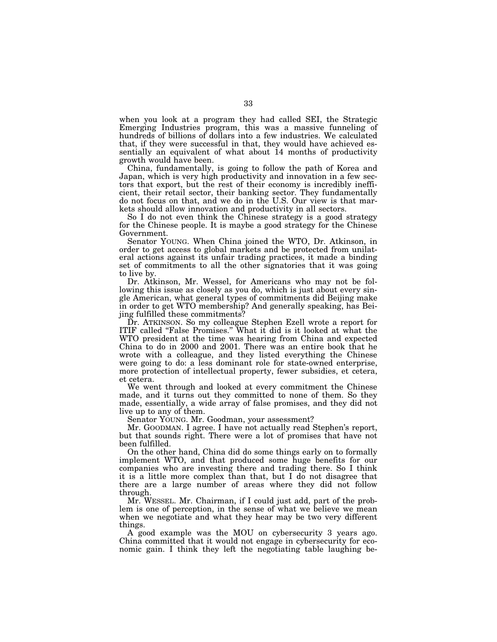when you look at a program they had called SEI, the Strategic Emerging Industries program, this was a massive funneling of hundreds of billions of dollars into a few industries. We calculated that, if they were successful in that, they would have achieved essentially an equivalent of what about 14 months of productivity growth would have been.

China, fundamentally, is going to follow the path of Korea and Japan, which is very high productivity and innovation in a few sectors that export, but the rest of their economy is incredibly inefficient, their retail sector, their banking sector. They fundamentally do not focus on that, and we do in the U.S. Our view is that markets should allow innovation and productivity in all sectors.

So I do not even think the Chinese strategy is a good strategy for the Chinese people. It is maybe a good strategy for the Chinese Government.

Senator YOUNG. When China joined the WTO, Dr. Atkinson, in order to get access to global markets and be protected from unilateral actions against its unfair trading practices, it made a binding set of commitments to all the other signatories that it was going to live by.

Dr. Atkinson, Mr. Wessel, for Americans who may not be following this issue as closely as you do, which is just about every single American, what general types of commitments did Beijing make in order to get WTO membership? And generally speaking, has Beijing fulfilled these commitments?

Dr. ATKINSON. So my colleague Stephen Ezell wrote a report for ITIF called ''False Promises.'' What it did is it looked at what the WTO president at the time was hearing from China and expected China to do in 2000 and 2001. There was an entire book that he wrote with a colleague, and they listed everything the Chinese were going to do: a less dominant role for state-owned enterprise, more protection of intellectual property, fewer subsidies, et cetera, et cetera.

We went through and looked at every commitment the Chinese made, and it turns out they committed to none of them. So they made, essentially, a wide array of false promises, and they did not live up to any of them.

Senator YOUNG. Mr. Goodman, your assessment?

Mr. GOODMAN. I agree. I have not actually read Stephen's report, but that sounds right. There were a lot of promises that have not been fulfilled.

On the other hand, China did do some things early on to formally implement WTO, and that produced some huge benefits for our companies who are investing there and trading there. So I think it is a little more complex than that, but I do not disagree that there are a large number of areas where they did not follow through.

Mr. WESSEL. Mr. Chairman, if I could just add, part of the problem is one of perception, in the sense of what we believe we mean when we negotiate and what they hear may be two very different things.

A good example was the MOU on cybersecurity 3 years ago. China committed that it would not engage in cybersecurity for economic gain. I think they left the negotiating table laughing be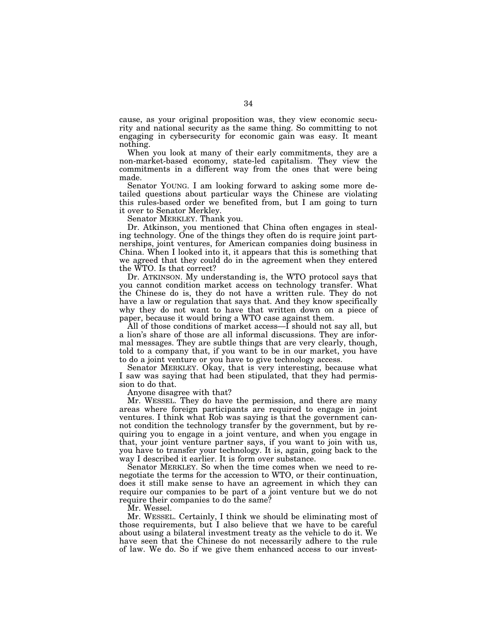cause, as your original proposition was, they view economic security and national security as the same thing. So committing to not engaging in cybersecurity for economic gain was easy. It meant nothing.

When you look at many of their early commitments, they are a non-market-based economy, state-led capitalism. They view the commitments in a different way from the ones that were being made.

Senator YOUNG. I am looking forward to asking some more detailed questions about particular ways the Chinese are violating this rules-based order we benefited from, but I am going to turn it over to Senator Merkley.

Senator MERKLEY. Thank you.

Dr. Atkinson, you mentioned that China often engages in stealing technology. One of the things they often do is require joint partnerships, joint ventures, for American companies doing business in China. When I looked into it, it appears that this is something that we agreed that they could do in the agreement when they entered the WTO. Is that correct?

Dr. ATKINSON. My understanding is, the WTO protocol says that you cannot condition market access on technology transfer. What the Chinese do is, they do not have a written rule. They do not have a law or regulation that says that. And they know specifically why they do not want to have that written down on a piece of paper, because it would bring a WTO case against them.

All of those conditions of market access—I should not say all, but a lion's share of those are all informal discussions. They are informal messages. They are subtle things that are very clearly, though, told to a company that, if you want to be in our market, you have to do a joint venture or you have to give technology access.

Senator MERKLEY. Okay, that is very interesting, because what I saw was saying that had been stipulated, that they had permission to do that.

Anyone disagree with that?

Mr. WESSEL. They do have the permission, and there are many areas where foreign participants are required to engage in joint ventures. I think what Rob was saying is that the government cannot condition the technology transfer by the government, but by requiring you to engage in a joint venture, and when you engage in that, your joint venture partner says, if you want to join with us, you have to transfer your technology. It is, again, going back to the way I described it earlier. It is form over substance.

Senator MERKLEY. So when the time comes when we need to renegotiate the terms for the accession to WTO, or their continuation, does it still make sense to have an agreement in which they can require our companies to be part of a joint venture but we do not require their companies to do the same?

Mr. Wessel.

Mr. WESSEL. Certainly, I think we should be eliminating most of those requirements, but I also believe that we have to be careful about using a bilateral investment treaty as the vehicle to do it. We have seen that the Chinese do not necessarily adhere to the rule of law. We do. So if we give them enhanced access to our invest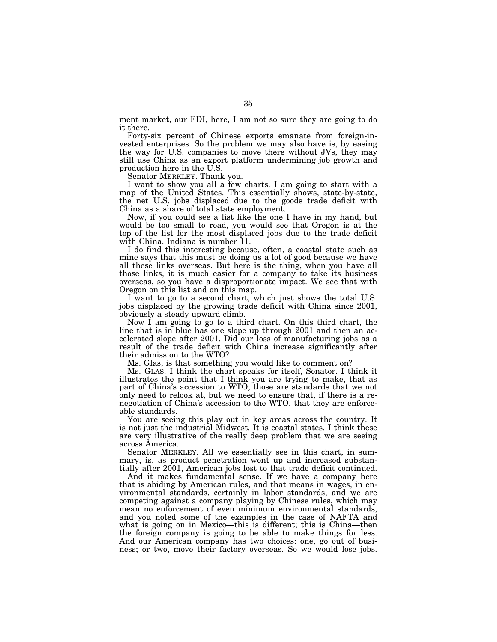ment market, our FDI, here, I am not so sure they are going to do it there.

Forty-six percent of Chinese exports emanate from foreign-invested enterprises. So the problem we may also have is, by easing the way for U.S. companies to move there without JVs, they may still use China as an export platform undermining job growth and production here in the U.S.

Senator MERKLEY. Thank you.

I want to show you all a few charts. I am going to start with a map of the United States. This essentially shows, state-by-state, the net U.S. jobs displaced due to the goods trade deficit with China as a share of total state employment.

Now, if you could see a list like the one I have in my hand, but would be too small to read, you would see that Oregon is at the top of the list for the most displaced jobs due to the trade deficit with China. Indiana is number 11.

I do find this interesting because, often, a coastal state such as mine says that this must be doing us a lot of good because we have all these links overseas. But here is the thing, when you have all those links, it is much easier for a company to take its business overseas, so you have a disproportionate impact. We see that with Oregon on this list and on this map.

I want to go to a second chart, which just shows the total U.S. jobs displaced by the growing trade deficit with China since 2001, obviously a steady upward climb.

Now I am going to go to a third chart. On this third chart, the line that is in blue has one slope up through 2001 and then an accelerated slope after 2001. Did our loss of manufacturing jobs as a result of the trade deficit with China increase significantly after their admission to the WTO?

Ms. Glas, is that something you would like to comment on?

Ms. GLAS. I think the chart speaks for itself, Senator. I think it illustrates the point that I think you are trying to make, that as part of China's accession to WTO, those are standards that we not only need to relook at, but we need to ensure that, if there is a renegotiation of China's accession to the WTO, that they are enforceable standards.

You are seeing this play out in key areas across the country. It is not just the industrial Midwest. It is coastal states. I think these are very illustrative of the really deep problem that we are seeing across America.

Senator MERKLEY. All we essentially see in this chart, in summary, is, as product penetration went up and increased substantially after 2001, American jobs lost to that trade deficit continued.

And it makes fundamental sense. If we have a company here that is abiding by American rules, and that means in wages, in environmental standards, certainly in labor standards, and we are competing against a company playing by Chinese rules, which may mean no enforcement of even minimum environmental standards, and you noted some of the examples in the case of NAFTA and what is going on in Mexico—this is different; this is China—then the foreign company is going to be able to make things for less. And our American company has two choices: one, go out of business; or two, move their factory overseas. So we would lose jobs.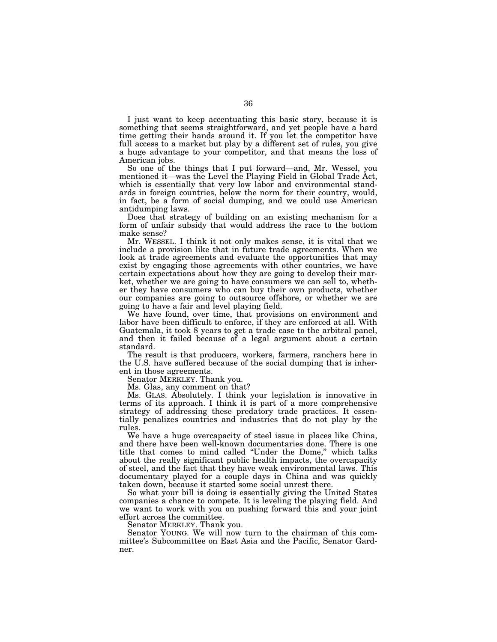I just want to keep accentuating this basic story, because it is something that seems straightforward, and yet people have a hard time getting their hands around it. If you let the competitor have full access to a market but play by a different set of rules, you give a huge advantage to your competitor, and that means the loss of American jobs.

So one of the things that I put forward—and, Mr. Wessel, you mentioned it—was the Level the Playing Field in Global Trade Act, which is essentially that very low labor and environmental standards in foreign countries, below the norm for their country, would, in fact, be a form of social dumping, and we could use American antidumping laws.

Does that strategy of building on an existing mechanism for a form of unfair subsidy that would address the race to the bottom make sense?

Mr. WESSEL. I think it not only makes sense, it is vital that we include a provision like that in future trade agreements. When we look at trade agreements and evaluate the opportunities that may exist by engaging those agreements with other countries, we have certain expectations about how they are going to develop their market, whether we are going to have consumers we can sell to, whether they have consumers who can buy their own products, whether our companies are going to outsource offshore, or whether we are going to have a fair and level playing field.

We have found, over time, that provisions on environment and labor have been difficult to enforce, if they are enforced at all. With Guatemala, it took 8 years to get a trade case to the arbitral panel, and then it failed because of a legal argument about a certain standard.

The result is that producers, workers, farmers, ranchers here in the U.S. have suffered because of the social dumping that is inherent in those agreements.

Senator MERKLEY. Thank you.

Ms. Glas, any comment on that?

Ms. GLAS. Absolutely. I think your legislation is innovative in terms of its approach. I think it is part of a more comprehensive strategy of addressing these predatory trade practices. It essentially penalizes countries and industries that do not play by the rules.

We have a huge overcapacity of steel issue in places like China, and there have been well-known documentaries done. There is one title that comes to mind called ''Under the Dome,'' which talks about the really significant public health impacts, the overcapacity of steel, and the fact that they have weak environmental laws. This documentary played for a couple days in China and was quickly taken down, because it started some social unrest there.

So what your bill is doing is essentially giving the United States companies a chance to compete. It is leveling the playing field. And we want to work with you on pushing forward this and your joint effort across the committee.

Senator MERKLEY. Thank you.

Senator YOUNG. We will now turn to the chairman of this committee's Subcommittee on East Asia and the Pacific, Senator Gardner.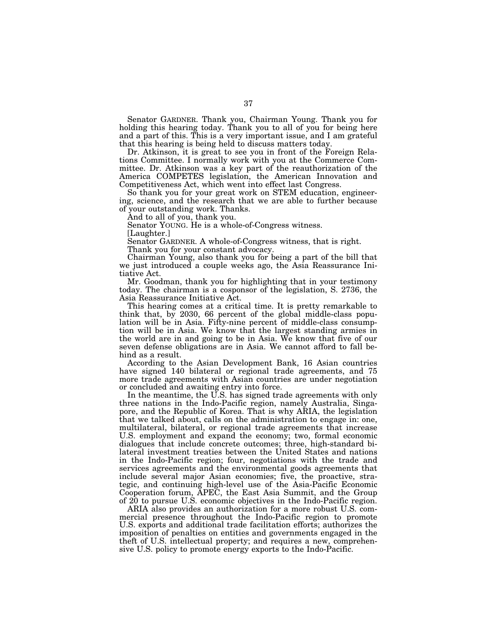Senator GARDNER. Thank you, Chairman Young. Thank you for holding this hearing today. Thank you to all of you for being here and a part of this. This is a very important issue, and I am grateful that this hearing is being held to discuss matters today.

Dr. Atkinson, it is great to see you in front of the Foreign Relations Committee. I normally work with you at the Commerce Committee. Dr. Atkinson was a key part of the reauthorization of the America COMPETES legislation, the American Innovation and Competitiveness Act, which went into effect last Congress.

So thank you for your great work on STEM education, engineering, science, and the research that we are able to further because of your outstanding work. Thanks.

And to all of you, thank you.

Senator YOUNG. He is a whole-of-Congress witness.

[Laughter.]

Senator GARDNER. A whole-of-Congress witness, that is right.

Thank you for your constant advocacy.

Chairman Young, also thank you for being a part of the bill that we just introduced a couple weeks ago, the Asia Reassurance Initiative Act.

Mr. Goodman, thank you for highlighting that in your testimony today. The chairman is a cosponsor of the legislation, S. 2736, the Asia Reassurance Initiative Act.

This hearing comes at a critical time. It is pretty remarkable to think that, by 2030, 66 percent of the global middle-class population will be in Asia. Fifty-nine percent of middle-class consumption will be in Asia. We know that the largest standing armies in the world are in and going to be in Asia. We know that five of our seven defense obligations are in Asia. We cannot afford to fall behind as a result.

According to the Asian Development Bank, 16 Asian countries have signed 140 bilateral or regional trade agreements, and 75 more trade agreements with Asian countries are under negotiation or concluded and awaiting entry into force.

In the meantime, the U.S. has signed trade agreements with only three nations in the Indo-Pacific region, namely Australia, Singapore, and the Republic of Korea. That is why ARIA, the legislation that we talked about, calls on the administration to engage in: one, multilateral, bilateral, or regional trade agreements that increase U.S. employment and expand the economy; two, formal economic dialogues that include concrete outcomes; three, high-standard bilateral investment treaties between the United States and nations in the Indo-Pacific region; four, negotiations with the trade and services agreements and the environmental goods agreements that include several major Asian economies; five, the proactive, strategic, and continuing high-level use of the Asia-Pacific Economic Cooperation forum, APEC, the East Asia Summit, and the Group of 20 to pursue U.S. economic objectives in the Indo-Pacific region.

ARIA also provides an authorization for a more robust U.S. commercial presence throughout the Indo-Pacific region to promote U.S. exports and additional trade facilitation efforts; authorizes the imposition of penalties on entities and governments engaged in the theft of U.S. intellectual property; and requires a new, comprehensive U.S. policy to promote energy exports to the Indo-Pacific.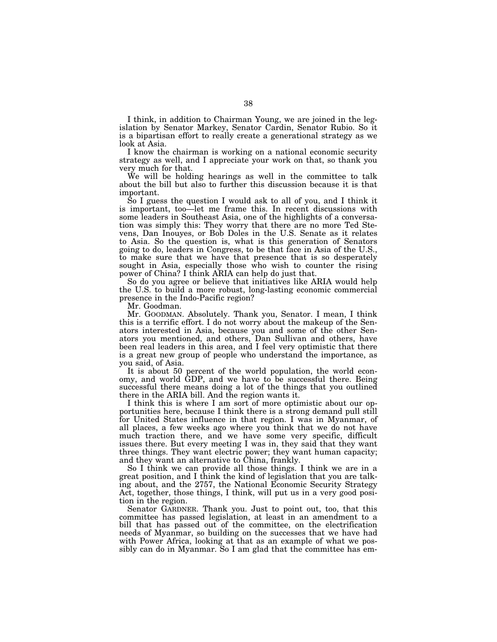I think, in addition to Chairman Young, we are joined in the legislation by Senator Markey, Senator Cardin, Senator Rubio. So it is a bipartisan effort to really create a generational strategy as we look at Asia.

I know the chairman is working on a national economic security strategy as well, and I appreciate your work on that, so thank you very much for that.

We will be holding hearings as well in the committee to talk about the bill but also to further this discussion because it is that important.

So I guess the question I would ask to all of you, and I think it is important, too—let me frame this. In recent discussions with some leaders in Southeast Asia, one of the highlights of a conversation was simply this: They worry that there are no more Ted Stevens, Dan Inouyes, or Bob Doles in the U.S. Senate as it relates to Asia. So the question is, what is this generation of Senators going to do, leaders in Congress, to be that face in Asia of the U.S., to make sure that we have that presence that is so desperately sought in Asia, especially those who wish to counter the rising power of China? I think ARIA can help do just that.

So do you agree or believe that initiatives like ARIA would help the U.S. to build a more robust, long-lasting economic commercial presence in the Indo-Pacific region?

Mr. Goodman.

Mr. GOODMAN. Absolutely. Thank you, Senator. I mean, I think this is a terrific effort. I do not worry about the makeup of the Senators interested in Asia, because you and some of the other Senators you mentioned, and others, Dan Sullivan and others, have been real leaders in this area, and I feel very optimistic that there is a great new group of people who understand the importance, as you said, of Asia.

It is about 50 percent of the world population, the world economy, and world GDP, and we have to be successful there. Being successful there means doing a lot of the things that you outlined there in the ARIA bill. And the region wants it.

I think this is where I am sort of more optimistic about our opportunities here, because I think there is a strong demand pull still for United States influence in that region. I was in Myanmar, of all places, a few weeks ago where you think that we do not have much traction there, and we have some very specific, difficult issues there. But every meeting I was in, they said that they want three things. They want electric power; they want human capacity; and they want an alternative to China, frankly.

So I think we can provide all those things. I think we are in a great position, and I think the kind of legislation that you are talking about, and the 2757, the National Economic Security Strategy Act, together, those things, I think, will put us in a very good position in the region.

Senator GARDNER. Thank you. Just to point out, too, that this committee has passed legislation, at least in an amendment to a bill that has passed out of the committee, on the electrification needs of Myanmar, so building on the successes that we have had with Power Africa, looking at that as an example of what we possibly can do in Myanmar. So I am glad that the committee has em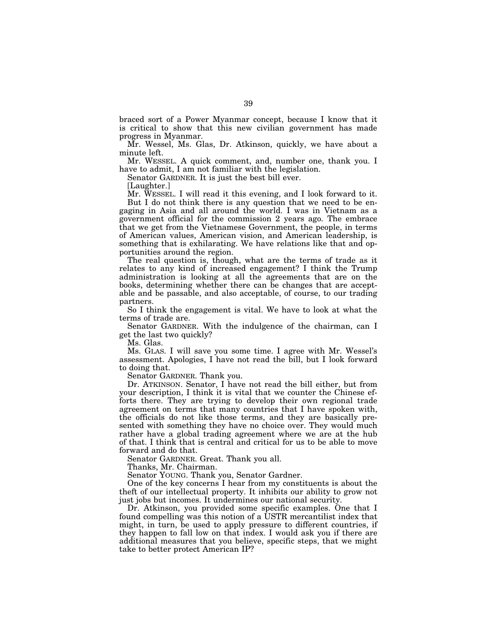braced sort of a Power Myanmar concept, because I know that it is critical to show that this new civilian government has made progress in Myanmar.

Mr. Wessel, Ms. Glas, Dr. Atkinson, quickly, we have about a minute left.

Mr. WESSEL. A quick comment, and, number one, thank you. I have to admit, I am not familiar with the legislation.

Senator GARDNER. It is just the best bill ever.

[Laughter.]

Mr. WESSEL. I will read it this evening, and I look forward to it. But I do not think there is any question that we need to be engaging in Asia and all around the world. I was in Vietnam as a government official for the commission 2 years ago. The embrace that we get from the Vietnamese Government, the people, in terms of American values, American vision, and American leadership, is something that is exhilarating. We have relations like that and opportunities around the region.

The real question is, though, what are the terms of trade as it relates to any kind of increased engagement? I think the Trump administration is looking at all the agreements that are on the books, determining whether there can be changes that are acceptable and be passable, and also acceptable, of course, to our trading partners.

So I think the engagement is vital. We have to look at what the terms of trade are.

Senator GARDNER. With the indulgence of the chairman, can I get the last two quickly?

Ms. Glas.

Ms. GLAS. I will save you some time. I agree with Mr. Wessel's assessment. Apologies, I have not read the bill, but I look forward to doing that.

Senator GARDNER. Thank you.

Dr. ATKINSON. Senator, I have not read the bill either, but from your description, I think it is vital that we counter the Chinese efforts there. They are trying to develop their own regional trade agreement on terms that many countries that I have spoken with, the officials do not like those terms, and they are basically presented with something they have no choice over. They would much rather have a global trading agreement where we are at the hub of that. I think that is central and critical for us to be able to move forward and do that.

Senator GARDNER. Great. Thank you all.

Thanks, Mr. Chairman.

Senator YOUNG. Thank you, Senator Gardner.

One of the key concerns I hear from my constituents is about the theft of our intellectual property. It inhibits our ability to grow not just jobs but incomes. It undermines our national security.

Dr. Atkinson, you provided some specific examples. One that I found compelling was this notion of a USTR mercantilist index that might, in turn, be used to apply pressure to different countries, if they happen to fall low on that index. I would ask you if there are additional measures that you believe, specific steps, that we might take to better protect American IP?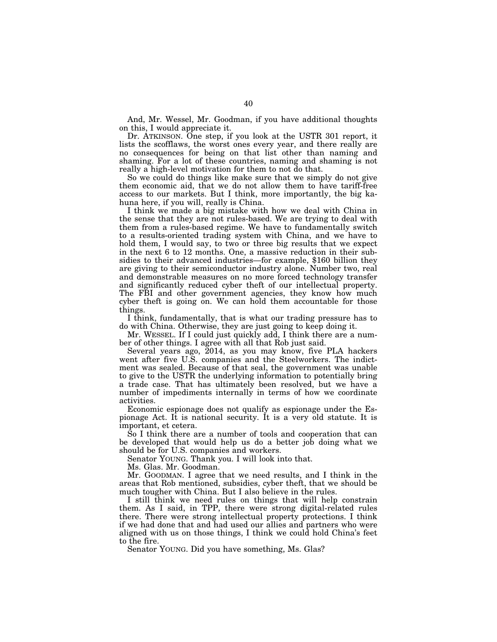And, Mr. Wessel, Mr. Goodman, if you have additional thoughts on this, I would appreciate it.

Dr. ATKINSON. One step, if you look at the USTR 301 report, it lists the scofflaws, the worst ones every year, and there really are no consequences for being on that list other than naming and shaming. For a lot of these countries, naming and shaming is not really a high-level motivation for them to not do that.

So we could do things like make sure that we simply do not give them economic aid, that we do not allow them to have tariff-free access to our markets. But I think, more importantly, the big kahuna here, if you will, really is China.

I think we made a big mistake with how we deal with China in the sense that they are not rules-based. We are trying to deal with them from a rules-based regime. We have to fundamentally switch to a results-oriented trading system with China, and we have to hold them, I would say, to two or three big results that we expect in the next 6 to 12 months. One, a massive reduction in their subsidies to their advanced industries—for example, \$160 billion they are giving to their semiconductor industry alone. Number two, real and demonstrable measures on no more forced technology transfer and significantly reduced cyber theft of our intellectual property. The FBI and other government agencies, they know how much cyber theft is going on. We can hold them accountable for those things.

I think, fundamentally, that is what our trading pressure has to do with China. Otherwise, they are just going to keep doing it.

Mr. WESSEL. If I could just quickly add, I think there are a number of other things. I agree with all that Rob just said.

Several years ago, 2014, as you may know, five PLA hackers went after five U.S. companies and the Steelworkers. The indictment was sealed. Because of that seal, the government was unable to give to the USTR the underlying information to potentially bring a trade case. That has ultimately been resolved, but we have a number of impediments internally in terms of how we coordinate activities.

Economic espionage does not qualify as espionage under the Espionage Act. It is national security. It is a very old statute. It is important, et cetera.

So I think there are a number of tools and cooperation that can be developed that would help us do a better job doing what we should be for U.S. companies and workers.

Senator YOUNG. Thank you. I will look into that.

Ms. Glas. Mr. Goodman.

Mr. GOODMAN. I agree that we need results, and I think in the areas that Rob mentioned, subsidies, cyber theft, that we should be much tougher with China. But I also believe in the rules.

I still think we need rules on things that will help constrain them. As I said, in TPP, there were strong digital-related rules there. There were strong intellectual property protections. I think if we had done that and had used our allies and partners who were aligned with us on those things, I think we could hold China's feet to the fire.

Senator YOUNG. Did you have something, Ms. Glas?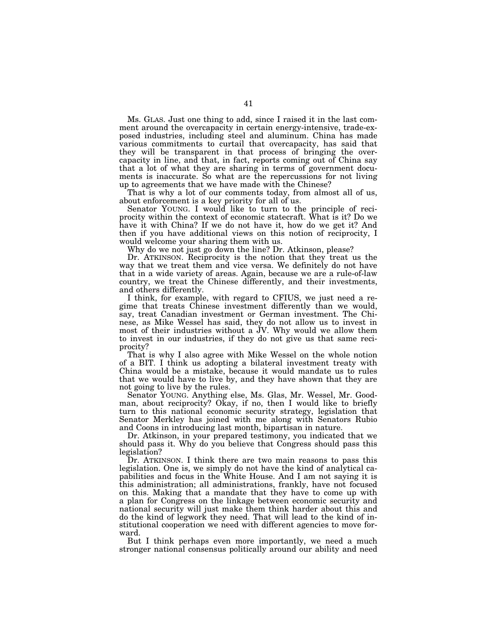Ms. GLAS. Just one thing to add, since I raised it in the last comment around the overcapacity in certain energy-intensive, trade-exposed industries, including steel and aluminum. China has made various commitments to curtail that overcapacity, has said that they will be transparent in that process of bringing the overcapacity in line, and that, in fact, reports coming out of China say that a lot of what they are sharing in terms of government documents is inaccurate. So what are the repercussions for not living up to agreements that we have made with the Chinese?

That is why a lot of our comments today, from almost all of us, about enforcement is a key priority for all of us.

Senator YOUNG. I would like to turn to the principle of reciprocity within the context of economic statecraft. What is it? Do we have it with China? If we do not have it, how do we get it? And then if you have additional views on this notion of reciprocity, I would welcome your sharing them with us.

Why do we not just go down the line? Dr. Atkinson, please?

Dr. ATKINSON. Reciprocity is the notion that they treat us the way that we treat them and vice versa. We definitely do not have that in a wide variety of areas. Again, because we are a rule-of-law country, we treat the Chinese differently, and their investments, and others differently.

I think, for example, with regard to CFIUS, we just need a regime that treats Chinese investment differently than we would, say, treat Canadian investment or German investment. The Chinese, as Mike Wessel has said, they do not allow us to invest in most of their industries without a JV. Why would we allow them to invest in our industries, if they do not give us that same reciprocity?

That is why I also agree with Mike Wessel on the whole notion of a BIT. I think us adopting a bilateral investment treaty with China would be a mistake, because it would mandate us to rules that we would have to live by, and they have shown that they are not going to live by the rules.

Senator YOUNG. Anything else, Ms. Glas, Mr. Wessel, Mr. Goodman, about reciprocity? Okay, if no, then I would like to briefly turn to this national economic security strategy, legislation that Senator Merkley has joined with me along with Senators Rubio and Coons in introducing last month, bipartisan in nature.

Dr. Atkinson, in your prepared testimony, you indicated that we should pass it. Why do you believe that Congress should pass this legislation?

Dr. ATKINSON. I think there are two main reasons to pass this legislation. One is, we simply do not have the kind of analytical capabilities and focus in the White House. And I am not saying it is this administration; all administrations, frankly, have not focused on this. Making that a mandate that they have to come up with a plan for Congress on the linkage between economic security and national security will just make them think harder about this and do the kind of legwork they need. That will lead to the kind of institutional cooperation we need with different agencies to move forward.

But I think perhaps even more importantly, we need a much stronger national consensus politically around our ability and need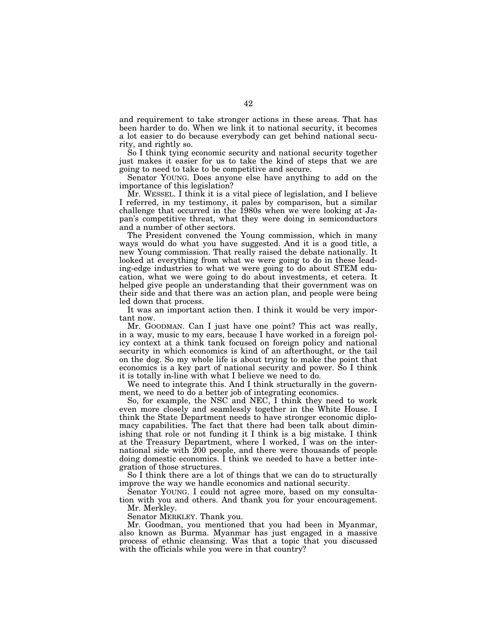and requirement to take stronger actions in these areas. That has been harder to do. When we link it to national security, it becomes a lot easier to do because everybody can get behind national security, and rightly so.

So I think tying economic security and national security together just makes it easier for us to take the kind of steps that we are going to need to take to be competitive and secure.

Senator YOUNG. Does anyone else have anything to add on the importance of this legislation?

Mr. WESSEL. I think it is a vital piece of legislation, and I believe I referred, in my testimony, it pales by comparison, but a similar challenge that occurred in the 1980s when we were looking at Japan's competitive threat, what they were doing in semiconductors and a number of other sectors.

The President convened the Young commission, which in many ways would do what you have suggested. And it is a good title, a new Young commission. That really raised the debate nationally. It looked at everything from what we were going to do in these leading-edge industries to what we were going to do about STEM education, what we were going to do about investments, et cetera. It helped give people an understanding that their government was on their side and that there was an action plan, and people were being led down that process.

It was an important action then. I think it would be very important now.

Mr. GOODMAN. Can I just have one point? This act was really, in a way, music to my ears, because I have worked in a foreign policy context at a think tank focused on foreign policy and national security in which economics is kind of an afterthought, or the tail on the dog. So my whole life is about trying to make the point that economics is a key part of national security and power. So I think it is totally in-line with what I believe we need to do.

We need to integrate this. And I think structurally in the government, we need to do a better job of integrating economics.

So, for example, the NSC and NEC, I think they need to work even more closely and seamlessly together in the White House. I think the State Department needs to have stronger economic diplomacy capabilities. The fact that there had been talk about diminishing that role or not funding it I think is a big mistake. I think at the Treasury Department, where I worked, I was on the international side with 200 people, and there were thousands of people doing domestic economics. I think we needed to have a better integration of those structures.

So I think there are a lot of things that we can do to structurally improve the way we handle economics and national security.

Senator YOUNG. I could not agree more, based on my consultation with you and others. And thank you for your encouragement.

Mr. Merkley.

Senator MERKLEY. Thank you.

Mr. Goodman, you mentioned that you had been in Myanmar, also known as Burma. Myanmar has just engaged in a massive process of ethnic cleansing. Was that a topic that you discussed with the officials while you were in that country?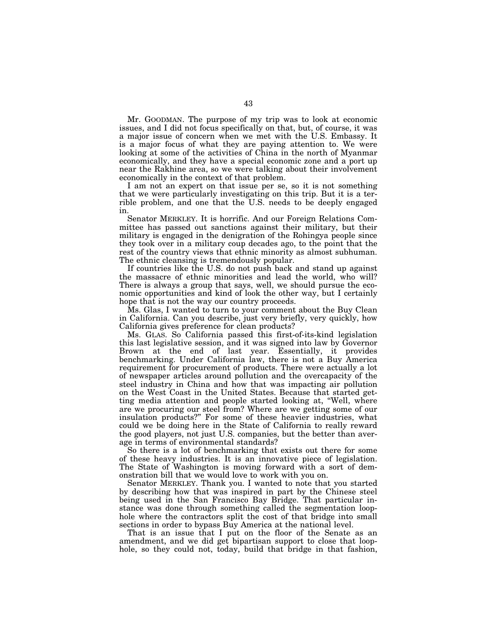Mr. GOODMAN. The purpose of my trip was to look at economic issues, and I did not focus specifically on that, but, of course, it was a major issue of concern when we met with the U.S. Embassy. It is a major focus of what they are paying attention to. We were looking at some of the activities of China in the north of Myanmar economically, and they have a special economic zone and a port up near the Rakhine area, so we were talking about their involvement economically in the context of that problem.

I am not an expert on that issue per se, so it is not something that we were particularly investigating on this trip. But it is a terrible problem, and one that the U.S. needs to be deeply engaged in.

Senator MERKLEY. It is horrific. And our Foreign Relations Committee has passed out sanctions against their military, but their military is engaged in the denigration of the Rohingya people since they took over in a military coup decades ago, to the point that the rest of the country views that ethnic minority as almost subhuman. The ethnic cleansing is tremendously popular.

If countries like the U.S. do not push back and stand up against the massacre of ethnic minorities and lead the world, who will? There is always a group that says, well, we should pursue the economic opportunities and kind of look the other way, but I certainly hope that is not the way our country proceeds.

Ms. Glas, I wanted to turn to your comment about the Buy Clean in California. Can you describe, just very briefly, very quickly, how California gives preference for clean products?

Ms. GLAS. So California passed this first-of-its-kind legislation this last legislative session, and it was signed into law by Governor Brown at the end of last year. Essentially, it provides benchmarking. Under California law, there is not a Buy America requirement for procurement of products. There were actually a lot of newspaper articles around pollution and the overcapacity of the steel industry in China and how that was impacting air pollution on the West Coast in the United States. Because that started getting media attention and people started looking at, ''Well, where are we procuring our steel from? Where are we getting some of our insulation products?'' For some of these heavier industries, what could we be doing here in the State of California to really reward the good players, not just U.S. companies, but the better than average in terms of environmental standards?

So there is a lot of benchmarking that exists out there for some of these heavy industries. It is an innovative piece of legislation. The State of Washington is moving forward with a sort of demonstration bill that we would love to work with you on.

Senator MERKLEY. Thank you. I wanted to note that you started by describing how that was inspired in part by the Chinese steel being used in the San Francisco Bay Bridge. That particular instance was done through something called the segmentation loophole where the contractors split the cost of that bridge into small sections in order to bypass Buy America at the national level.

That is an issue that I put on the floor of the Senate as an amendment, and we did get bipartisan support to close that loophole, so they could not, today, build that bridge in that fashion,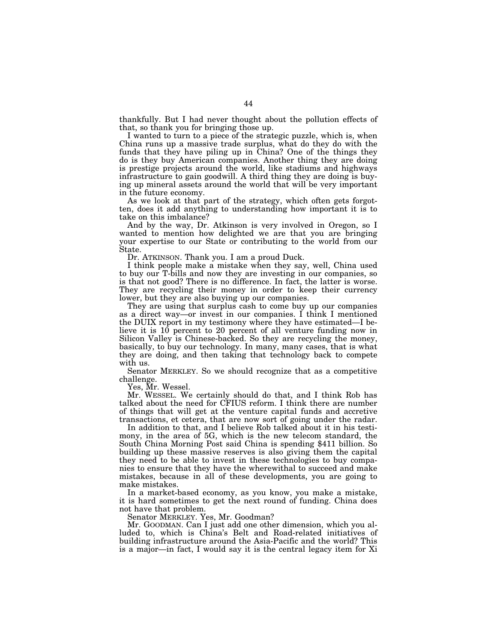thankfully. But I had never thought about the pollution effects of that, so thank you for bringing those up.

I wanted to turn to a piece of the strategic puzzle, which is, when China runs up a massive trade surplus, what do they do with the funds that they have piling up in China? One of the things they do is they buy American companies. Another thing they are doing is prestige projects around the world, like stadiums and highways infrastructure to gain goodwill. A third thing they are doing is buying up mineral assets around the world that will be very important in the future economy.

As we look at that part of the strategy, which often gets forgotten, does it add anything to understanding how important it is to take on this imbalance?

And by the way, Dr. Atkinson is very involved in Oregon, so I wanted to mention how delighted we are that you are bringing your expertise to our State or contributing to the world from our State.

Dr. ATKINSON. Thank you. I am a proud Duck.

I think people make a mistake when they say, well, China used to buy our T-bills and now they are investing in our companies, so is that not good? There is no difference. In fact, the latter is worse. They are recycling their money in order to keep their currency lower, but they are also buying up our companies.

They are using that surplus cash to come buy up our companies as a direct way—or invest in our companies. I think I mentioned the DUIX report in my testimony where they have estimated—I believe it is 10 percent to 20 percent of all venture funding now in Silicon Valley is Chinese-backed. So they are recycling the money, basically, to buy our technology. In many, many cases, that is what they are doing, and then taking that technology back to compete with us.

Senator MERKLEY. So we should recognize that as a competitive challenge.

Yes, Mr. Wessel.

Mr. WESSEL. We certainly should do that, and I think Rob has talked about the need for CFIUS reform. I think there are number of things that will get at the venture capital funds and accretive transactions, et cetera, that are now sort of going under the radar.

In addition to that, and I believe Rob talked about it in his testimony, in the area of 5G, which is the new telecom standard, the South China Morning Post said China is spending \$411 billion. So building up these massive reserves is also giving them the capital they need to be able to invest in these technologies to buy companies to ensure that they have the wherewithal to succeed and make mistakes, because in all of these developments, you are going to make mistakes.

In a market-based economy, as you know, you make a mistake, it is hard sometimes to get the next round of funding. China does not have that problem.

Senator MERKLEY. Yes, Mr. Goodman?

Mr. GOODMAN. Can I just add one other dimension, which you alluded to, which is China's Belt and Road-related initiatives of building infrastructure around the Asia-Pacific and the world? This is a major—in fact, I would say it is the central legacy item for Xi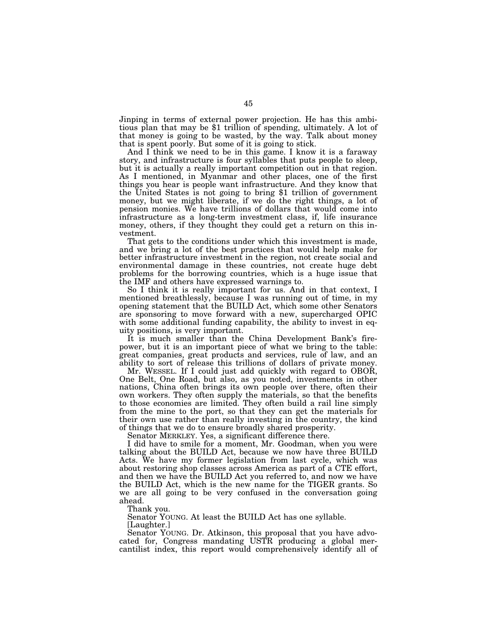Jinping in terms of external power projection. He has this ambitious plan that may be \$1 trillion of spending, ultimately. A lot of that money is going to be wasted, by the way. Talk about money that is spent poorly. But some of it is going to stick.

And I think we need to be in this game. I know it is a faraway story, and infrastructure is four syllables that puts people to sleep, but it is actually a really important competition out in that region. As I mentioned, in Myanmar and other places, one of the first things you hear is people want infrastructure. And they know that the United States is not going to bring \$1 trillion of government money, but we might liberate, if we do the right things, a lot of pension monies. We have trillions of dollars that would come into infrastructure as a long-term investment class, if, life insurance money, others, if they thought they could get a return on this investment.

That gets to the conditions under which this investment is made, and we bring a lot of the best practices that would help make for better infrastructure investment in the region, not create social and environmental damage in these countries, not create huge debt problems for the borrowing countries, which is a huge issue that the IMF and others have expressed warnings to.

So I think it is really important for us. And in that context, I mentioned breathlessly, because I was running out of time, in my opening statement that the BUILD Act, which some other Senators are sponsoring to move forward with a new, supercharged OPIC with some additional funding capability, the ability to invest in equity positions, is very important.

It is much smaller than the China Development Bank's firepower, but it is an important piece of what we bring to the table: great companies, great products and services, rule of law, and an ability to sort of release this trillions of dollars of private money.

Mr. WESSEL. If I could just add quickly with regard to OBOR, One Belt, One Road, but also, as you noted, investments in other nations, China often brings its own people over there, often their own workers. They often supply the materials, so that the benefits to those economies are limited. They often build a rail line simply from the mine to the port, so that they can get the materials for their own use rather than really investing in the country, the kind of things that we do to ensure broadly shared prosperity.

Senator MERKLEY. Yes, a significant difference there.

I did have to smile for a moment, Mr. Goodman, when you were talking about the BUILD Act, because we now have three BUILD Acts. We have my former legislation from last cycle, which was about restoring shop classes across America as part of a CTE effort, and then we have the BUILD Act you referred to, and now we have the BUILD Act, which is the new name for the TIGER grants. So we are all going to be very confused in the conversation going ahead.

Thank you.

Senator YOUNG. At least the BUILD Act has one syllable.

[Laughter.]

Senator YOUNG. Dr. Atkinson, this proposal that you have advocated for, Congress mandating USTR producing a global mercantilist index, this report would comprehensively identify all of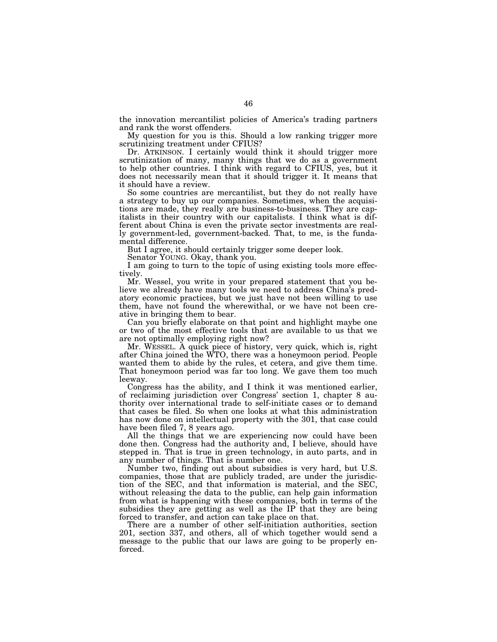the innovation mercantilist policies of America's trading partners and rank the worst offenders.

My question for you is this. Should a low ranking trigger more scrutinizing treatment under CFIUS?

Dr. ATKINSON. I certainly would think it should trigger more scrutinization of many, many things that we do as a government to help other countries. I think with regard to CFIUS, yes, but it does not necessarily mean that it should trigger it. It means that it should have a review.

So some countries are mercantilist, but they do not really have a strategy to buy up our companies. Sometimes, when the acquisitions are made, they really are business-to-business. They are capitalists in their country with our capitalists. I think what is different about China is even the private sector investments are really government-led, government-backed. That, to me, is the fundamental difference.

But I agree, it should certainly trigger some deeper look.

Senator YOUNG. Okay, thank you.

I am going to turn to the topic of using existing tools more effectively.

Mr. Wessel, you write in your prepared statement that you believe we already have many tools we need to address China's predatory economic practices, but we just have not been willing to use them, have not found the wherewithal, or we have not been creative in bringing them to bear.

Can you briefly elaborate on that point and highlight maybe one or two of the most effective tools that are available to us that we are not optimally employing right now?

Mr. WESSEL. A quick piece of history, very quick, which is, right after China joined the WTO, there was a honeymoon period. People wanted them to abide by the rules, et cetera, and give them time. That honeymoon period was far too long. We gave them too much leeway.

Congress has the ability, and I think it was mentioned earlier, of reclaiming jurisdiction over Congress' section 1, chapter 8 authority over international trade to self-initiate cases or to demand that cases be filed. So when one looks at what this administration has now done on intellectual property with the 301, that case could have been filed 7, 8 years ago.

All the things that we are experiencing now could have been done then. Congress had the authority and, I believe, should have stepped in. That is true in green technology, in auto parts, and in any number of things. That is number one.

Number two, finding out about subsidies is very hard, but U.S. companies, those that are publicly traded, are under the jurisdiction of the SEC, and that information is material, and the SEC, without releasing the data to the public, can help gain information from what is happening with these companies, both in terms of the subsidies they are getting as well as the IP that they are being forced to transfer, and action can take place on that.

There are a number of other self-initiation authorities, section 201, section 337, and others, all of which together would send a message to the public that our laws are going to be properly enforced.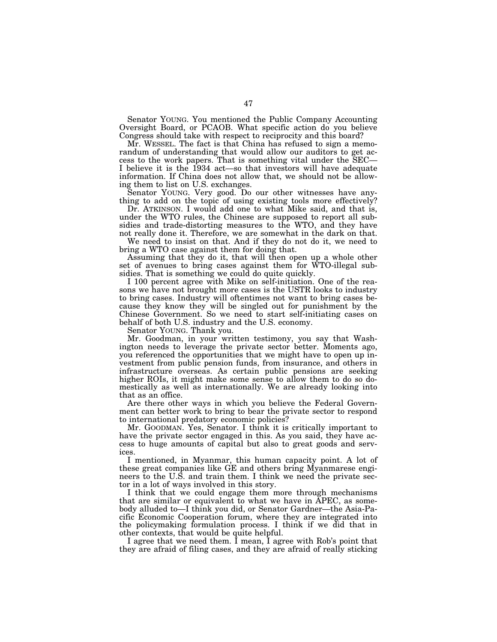Senator YOUNG. You mentioned the Public Company Accounting Oversight Board, or PCAOB. What specific action do you believe Congress should take with respect to reciprocity and this board?

Mr. WESSEL. The fact is that China has refused to sign a memorandum of understanding that would allow our auditors to get access to the work papers. That is something vital under the SEC— I believe it is the 1934 act—so that investors will have adequate information. If China does not allow that, we should not be allowing them to list on U.S. exchanges.

Senator YOUNG. Very good. Do our other witnesses have anything to add on the topic of using existing tools more effectively?

Dr. ATKINSON. I would add one to what Mike said, and that is, under the WTO rules, the Chinese are supposed to report all subsidies and trade-distorting measures to the WTO, and they have not really done it. Therefore, we are somewhat in the dark on that.

We need to insist on that. And if they do not do it, we need to bring a WTO case against them for doing that.

Assuming that they do it, that will then open up a whole other set of avenues to bring cases against them for WTO-illegal subsidies. That is something we could do quite quickly.

I 100 percent agree with Mike on self-initiation. One of the reasons we have not brought more cases is the USTR looks to industry to bring cases. Industry will oftentimes not want to bring cases because they know they will be singled out for punishment by the Chinese Government. So we need to start self-initiating cases on behalf of both U.S. industry and the U.S. economy.

Senator YOUNG. Thank you.

Mr. Goodman, in your written testimony, you say that Washington needs to leverage the private sector better. Moments ago, you referenced the opportunities that we might have to open up investment from public pension funds, from insurance, and others in infrastructure overseas. As certain public pensions are seeking higher ROIs, it might make some sense to allow them to do so domestically as well as internationally. We are already looking into that as an office.

Are there other ways in which you believe the Federal Government can better work to bring to bear the private sector to respond to international predatory economic policies?

Mr. GOODMAN. Yes, Senator. I think it is critically important to have the private sector engaged in this. As you said, they have access to huge amounts of capital but also to great goods and services.

I mentioned, in Myanmar, this human capacity point. A lot of these great companies like GE and others bring Myanmarese engineers to the U.S. and train them. I think we need the private sector in a lot of ways involved in this story.

I think that we could engage them more through mechanisms that are similar or equivalent to what we have in APEC, as somebody alluded to—I think you did, or Senator Gardner—the Asia-Pacific Economic Cooperation forum, where they are integrated into the policymaking formulation process. I think if we did that in other contexts, that would be quite helpful.

I agree that we need them. I mean, I agree with Rob's point that they are afraid of filing cases, and they are afraid of really sticking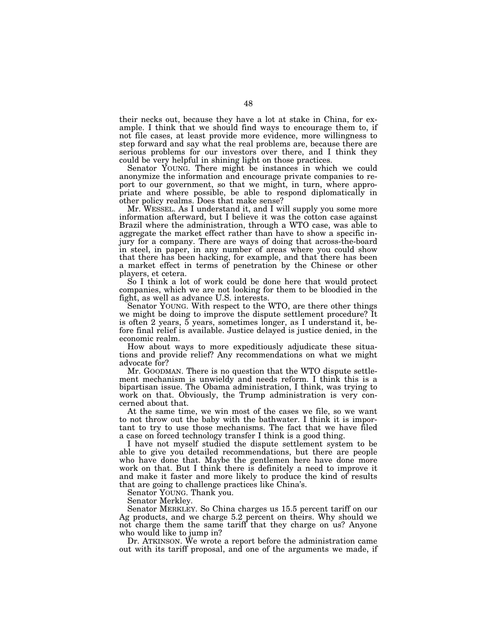their necks out, because they have a lot at stake in China, for example. I think that we should find ways to encourage them to, if not file cases, at least provide more evidence, more willingness to step forward and say what the real problems are, because there are serious problems for our investors over there, and I think they could be very helpful in shining light on those practices.

Senator YOUNG. There might be instances in which we could anonymize the information and encourage private companies to report to our government, so that we might, in turn, where appropriate and where possible, be able to respond diplomatically in other policy realms. Does that make sense?

Mr. WESSEL. As I understand it, and I will supply you some more information afterward, but I believe it was the cotton case against Brazil where the administration, through a WTO case, was able to aggregate the market effect rather than have to show a specific injury for a company. There are ways of doing that across-the-board in steel, in paper, in any number of areas where you could show that there has been hacking, for example, and that there has been a market effect in terms of penetration by the Chinese or other players, et cetera.

So I think a lot of work could be done here that would protect companies, which we are not looking for them to be bloodied in the fight, as well as advance U.S. interests.

Senator YOUNG. With respect to the WTO, are there other things we might be doing to improve the dispute settlement procedure? It is often 2 years, 5 years, sometimes longer, as I understand it, before final relief is available. Justice delayed is justice denied, in the economic realm.

How about ways to more expeditiously adjudicate these situations and provide relief? Any recommendations on what we might advocate for?

Mr. GOODMAN. There is no question that the WTO dispute settlement mechanism is unwieldy and needs reform. I think this is a bipartisan issue. The Obama administration, I think, was trying to work on that. Obviously, the Trump administration is very concerned about that.

At the same time, we win most of the cases we file, so we want to not throw out the baby with the bathwater. I think it is important to try to use those mechanisms. The fact that we have filed a case on forced technology transfer I think is a good thing.

I have not myself studied the dispute settlement system to be able to give you detailed recommendations, but there are people who have done that. Maybe the gentlemen here have done more work on that. But I think there is definitely a need to improve it and make it faster and more likely to produce the kind of results that are going to challenge practices like China's.

Senator YOUNG. Thank you.

Senator Merkley.

Senator MERKLEY. So China charges us 15.5 percent tariff on our Ag products, and we charge 5.2 percent on theirs. Why should we not charge them the same tariff that they charge on us? Anyone who would like to jump in?

Dr. ATKINSON. We wrote a report before the administration came out with its tariff proposal, and one of the arguments we made, if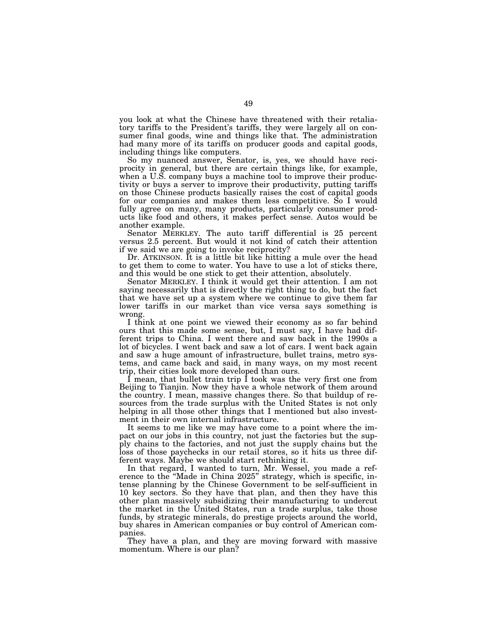you look at what the Chinese have threatened with their retaliatory tariffs to the President's tariffs, they were largely all on consumer final goods, wine and things like that. The administration had many more of its tariffs on producer goods and capital goods, including things like computers.

So my nuanced answer, Senator, is, yes, we should have reciprocity in general, but there are certain things like, for example, when a U.S. company buys a machine tool to improve their productivity or buys a server to improve their productivity, putting tariffs on those Chinese products basically raises the cost of capital goods for our companies and makes them less competitive. So I would fully agree on many, many products, particularly consumer products like food and others, it makes perfect sense. Autos would be another example.

Senator MERKLEY. The auto tariff differential is 25 percent versus 2.5 percent. But would it not kind of catch their attention if we said we are going to invoke reciprocity?

Dr. ATKINSON. It is a little bit like hitting a mule over the head to get them to come to water. You have to use a lot of sticks there, and this would be one stick to get their attention, absolutely.

Senator MERKLEY. I think it would get their attention. I am not saying necessarily that is directly the right thing to do, but the fact that we have set up a system where we continue to give them far lower tariffs in our market than vice versa says something is wrong.

I think at one point we viewed their economy as so far behind ours that this made some sense, but, I must say, I have had different trips to China. I went there and saw back in the 1990s a lot of bicycles. I went back and saw a lot of cars. I went back again and saw a huge amount of infrastructure, bullet trains, metro systems, and came back and said, in many ways, on my most recent trip, their cities look more developed than ours.

I mean, that bullet train trip I took was the very first one from Beijing to Tianjin. Now they have a whole network of them around the country. I mean, massive changes there. So that buildup of resources from the trade surplus with the United States is not only helping in all those other things that I mentioned but also investment in their own internal infrastructure.

It seems to me like we may have come to a point where the impact on our jobs in this country, not just the factories but the supply chains to the factories, and not just the supply chains but the loss of those paychecks in our retail stores, so it hits us three different ways. Maybe we should start rethinking it.

In that regard, I wanted to turn, Mr. Wessel, you made a reference to the ''Made in China 2025'' strategy, which is specific, intense planning by the Chinese Government to be self-sufficient in 10 key sectors. So they have that plan, and then they have this other plan massively subsidizing their manufacturing to undercut the market in the United States, run a trade surplus, take those funds, by strategic minerals, do prestige projects around the world, buy shares in American companies or buy control of American companies.

They have a plan, and they are moving forward with massive momentum. Where is our plan?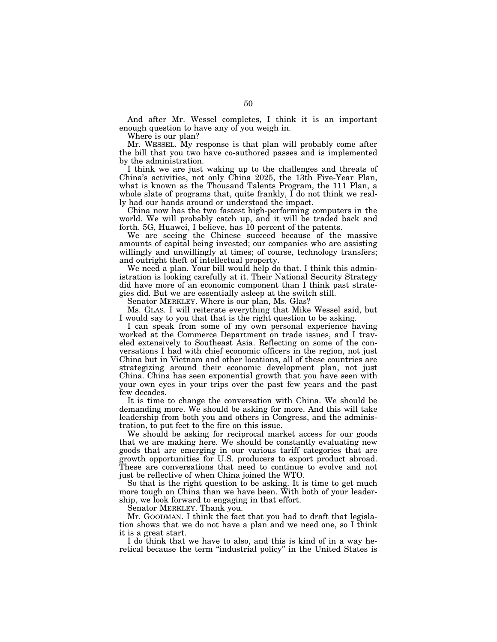And after Mr. Wessel completes, I think it is an important enough question to have any of you weigh in.

Where is our plan?

Mr. WESSEL. My response is that plan will probably come after the bill that you two have co-authored passes and is implemented by the administration.

I think we are just waking up to the challenges and threats of China's activities, not only China 2025, the 13th Five-Year Plan, what is known as the Thousand Talents Program, the 111 Plan, a whole slate of programs that, quite frankly, I do not think we really had our hands around or understood the impact.

China now has the two fastest high-performing computers in the world. We will probably catch up, and it will be traded back and forth. 5G, Huawei, I believe, has 10 percent of the patents.

We are seeing the Chinese succeed because of the massive amounts of capital being invested; our companies who are assisting willingly and unwillingly at times; of course, technology transfers; and outright theft of intellectual property.

We need a plan. Your bill would help do that. I think this administration is looking carefully at it. Their National Security Strategy did have more of an economic component than I think past strategies did. But we are essentially asleep at the switch still.

Senator MERKLEY. Where is our plan, Ms. Glas?

Ms. GLAS. I will reiterate everything that Mike Wessel said, but I would say to you that that is the right question to be asking.

I can speak from some of my own personal experience having worked at the Commerce Department on trade issues, and I traveled extensively to Southeast Asia. Reflecting on some of the conversations I had with chief economic officers in the region, not just China but in Vietnam and other locations, all of these countries are strategizing around their economic development plan, not just China. China has seen exponential growth that you have seen with your own eyes in your trips over the past few years and the past few decades.

It is time to change the conversation with China. We should be demanding more. We should be asking for more. And this will take leadership from both you and others in Congress, and the administration, to put feet to the fire on this issue.

We should be asking for reciprocal market access for our goods that we are making here. We should be constantly evaluating new goods that are emerging in our various tariff categories that are growth opportunities for U.S. producers to export product abroad. These are conversations that need to continue to evolve and not just be reflective of when China joined the WTO.

So that is the right question to be asking. It is time to get much more tough on China than we have been. With both of your leadership, we look forward to engaging in that effort.

Senator MERKLEY. Thank you.

Mr. GOODMAN. I think the fact that you had to draft that legislation shows that we do not have a plan and we need one, so I think it is a great start.

I do think that we have to also, and this is kind of in a way heretical because the term ''industrial policy'' in the United States is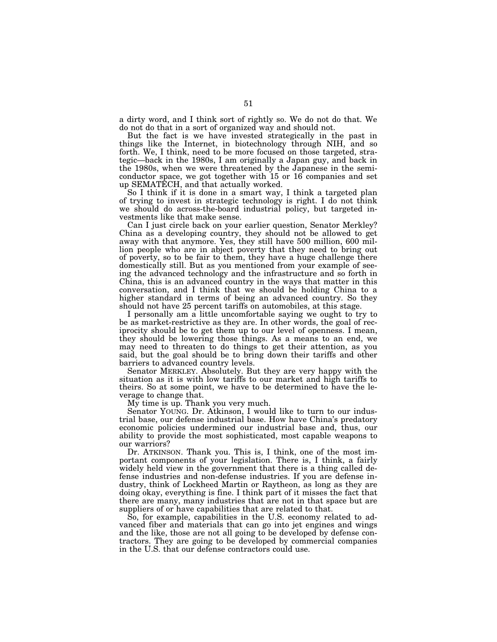a dirty word, and I think sort of rightly so. We do not do that. We do not do that in a sort of organized way and should not.

But the fact is we have invested strategically in the past in things like the Internet, in biotechnology through NIH, and so forth. We, I think, need to be more focused on those targeted, strategic—back in the 1980s, I am originally a Japan guy, and back in the 1980s, when we were threatened by the Japanese in the semiconductor space, we got together with 15 or 16 companies and set up SEMATECH, and that actually worked.

So I think if it is done in a smart way, I think a targeted plan of trying to invest in strategic technology is right. I do not think we should do across-the-board industrial policy, but targeted investments like that make sense.

Can I just circle back on your earlier question, Senator Merkley? China as a developing country, they should not be allowed to get away with that anymore. Yes, they still have 500 million, 600 million people who are in abject poverty that they need to bring out of poverty, so to be fair to them, they have a huge challenge there domestically still. But as you mentioned from your example of seeing the advanced technology and the infrastructure and so forth in China, this is an advanced country in the ways that matter in this conversation, and I think that we should be holding China to a higher standard in terms of being an advanced country. So they should not have 25 percent tariffs on automobiles, at this stage.

I personally am a little uncomfortable saying we ought to try to be as market-restrictive as they are. In other words, the goal of reciprocity should be to get them up to our level of openness. I mean, they should be lowering those things. As a means to an end, we may need to threaten to do things to get their attention, as you said, but the goal should be to bring down their tariffs and other barriers to advanced country levels.

Senator MERKLEY. Absolutely. But they are very happy with the situation as it is with low tariffs to our market and high tariffs to theirs. So at some point, we have to be determined to have the leverage to change that.

My time is up. Thank you very much.

Senator YOUNG. Dr. Atkinson, I would like to turn to our industrial base, our defense industrial base. How have China's predatory economic policies undermined our industrial base and, thus, our ability to provide the most sophisticated, most capable weapons to our warriors?

Dr. ATKINSON. Thank you. This is, I think, one of the most important components of your legislation. There is, I think, a fairly widely held view in the government that there is a thing called defense industries and non-defense industries. If you are defense industry, think of Lockheed Martin or Raytheon, as long as they are doing okay, everything is fine. I think part of it misses the fact that there are many, many industries that are not in that space but are suppliers of or have capabilities that are related to that.

So, for example, capabilities in the U.S. economy related to advanced fiber and materials that can go into jet engines and wings and the like, those are not all going to be developed by defense contractors. They are going to be developed by commercial companies in the U.S. that our defense contractors could use.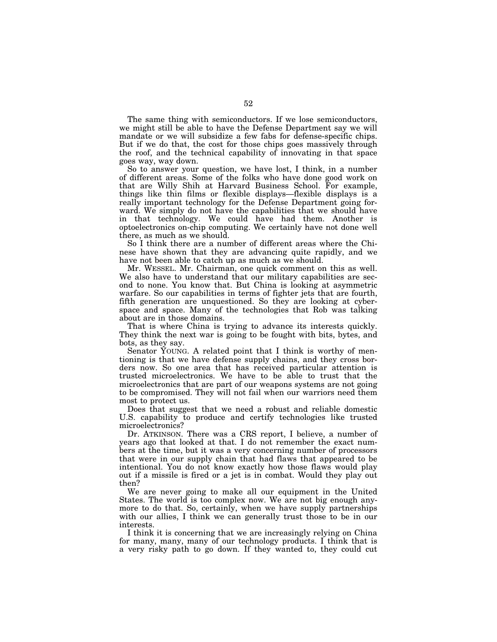The same thing with semiconductors. If we lose semiconductors, we might still be able to have the Defense Department say we will mandate or we will subsidize a few fabs for defense-specific chips. But if we do that, the cost for those chips goes massively through the roof, and the technical capability of innovating in that space goes way, way down.

So to answer your question, we have lost, I think, in a number of different areas. Some of the folks who have done good work on that are Willy Shih at Harvard Business School. For example, things like thin films or flexible displays—flexible displays is a really important technology for the Defense Department going forward. We simply do not have the capabilities that we should have in that technology. We could have had them. Another is optoelectronics on-chip computing. We certainly have not done well there, as much as we should.

So I think there are a number of different areas where the Chinese have shown that they are advancing quite rapidly, and we have not been able to catch up as much as we should.

Mr. WESSEL. Mr. Chairman, one quick comment on this as well. We also have to understand that our military capabilities are second to none. You know that. But China is looking at asymmetric warfare. So our capabilities in terms of fighter jets that are fourth, fifth generation are unquestioned. So they are looking at cyberspace and space. Many of the technologies that Rob was talking about are in those domains.

That is where China is trying to advance its interests quickly. They think the next war is going to be fought with bits, bytes, and bots, as they say.

Senator YOUNG. A related point that I think is worthy of mentioning is that we have defense supply chains, and they cross borders now. So one area that has received particular attention is trusted microelectronics. We have to be able to trust that the microelectronics that are part of our weapons systems are not going to be compromised. They will not fail when our warriors need them most to protect us.

Does that suggest that we need a robust and reliable domestic U.S. capability to produce and certify technologies like trusted microelectronics?

Dr. ATKINSON. There was a CRS report, I believe, a number of years ago that looked at that. I do not remember the exact numbers at the time, but it was a very concerning number of processors that were in our supply chain that had flaws that appeared to be intentional. You do not know exactly how those flaws would play out if a missile is fired or a jet is in combat. Would they play out then?

We are never going to make all our equipment in the United States. The world is too complex now. We are not big enough anymore to do that. So, certainly, when we have supply partnerships with our allies, I think we can generally trust those to be in our interests.

I think it is concerning that we are increasingly relying on China for many, many, many of our technology products. I think that is a very risky path to go down. If they wanted to, they could cut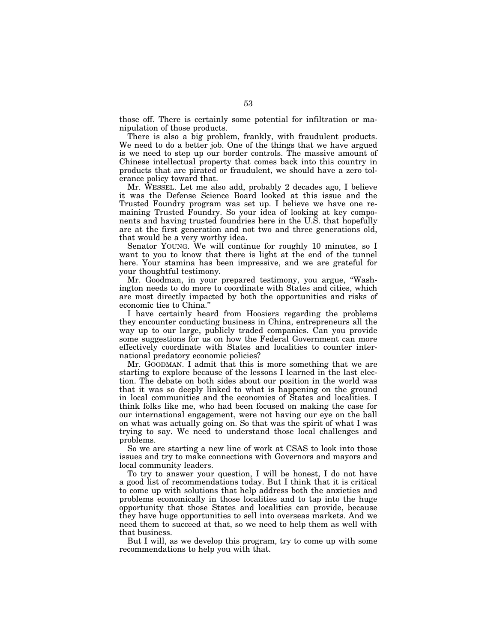those off. There is certainly some potential for infiltration or manipulation of those products.

There is also a big problem, frankly, with fraudulent products. We need to do a better job. One of the things that we have argued is we need to step up our border controls. The massive amount of Chinese intellectual property that comes back into this country in products that are pirated or fraudulent, we should have a zero tolerance policy toward that.

Mr. WESSEL. Let me also add, probably 2 decades ago, I believe it was the Defense Science Board looked at this issue and the Trusted Foundry program was set up. I believe we have one remaining Trusted Foundry. So your idea of looking at key components and having trusted foundries here in the U.S. that hopefully are at the first generation and not two and three generations old, that would be a very worthy idea.

Senator YOUNG. We will continue for roughly 10 minutes, so I want to you to know that there is light at the end of the tunnel here. Your stamina has been impressive, and we are grateful for your thoughtful testimony.

Mr. Goodman, in your prepared testimony, you argue, ''Washington needs to do more to coordinate with States and cities, which are most directly impacted by both the opportunities and risks of economic ties to China.''

I have certainly heard from Hoosiers regarding the problems they encounter conducting business in China, entrepreneurs all the way up to our large, publicly traded companies. Can you provide some suggestions for us on how the Federal Government can more effectively coordinate with States and localities to counter international predatory economic policies?

Mr. GOODMAN. I admit that this is more something that we are starting to explore because of the lessons I learned in the last election. The debate on both sides about our position in the world was that it was so deeply linked to what is happening on the ground in local communities and the economies of States and localities. I think folks like me, who had been focused on making the case for our international engagement, were not having our eye on the ball on what was actually going on. So that was the spirit of what I was trying to say. We need to understand those local challenges and problems.

So we are starting a new line of work at CSAS to look into those issues and try to make connections with Governors and mayors and local community leaders.

To try to answer your question, I will be honest, I do not have a good list of recommendations today. But I think that it is critical to come up with solutions that help address both the anxieties and problems economically in those localities and to tap into the huge opportunity that those States and localities can provide, because they have huge opportunities to sell into overseas markets. And we need them to succeed at that, so we need to help them as well with that business.

But I will, as we develop this program, try to come up with some recommendations to help you with that.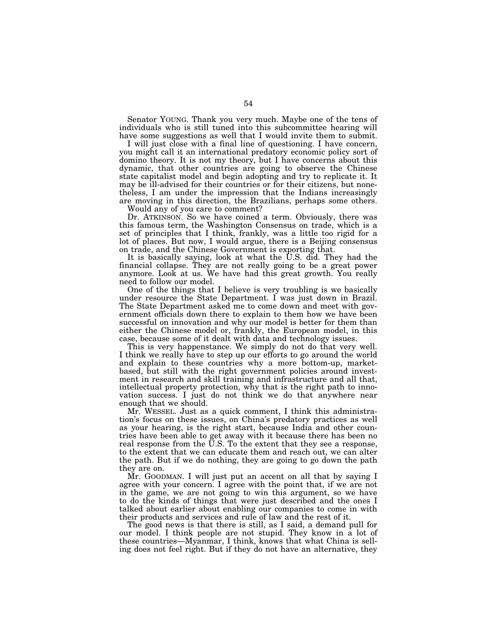Senator YOUNG. Thank you very much. Maybe one of the tens of individuals who is still tuned into this subcommittee hearing will have some suggestions as well that I would invite them to submit.

I will just close with a final line of questioning. I have concern, you might call it an international predatory economic policy sort of domino theory. It is not my theory, but I have concerns about this dynamic, that other countries are going to observe the Chinese state capitalist model and begin adopting and try to replicate it. It may be ill-advised for their countries or for their citizens, but nonetheless, I am under the impression that the Indians increasingly are moving in this direction, the Brazilians, perhaps some others.

Would any of you care to comment?

Dr. ATKINSON. So we have coined a term. Obviously, there was this famous term, the Washington Consensus on trade, which is a set of principles that I think, frankly, was a little too rigid for a lot of places. But now, I would argue, there is a Beijing consensus on trade, and the Chinese Government is exporting that.

It is basically saying, look at what the U.S. did. They had the financial collapse. They are not really going to be a great power anymore. Look at us. We have had this great growth. You really need to follow our model.

One of the things that I believe is very troubling is we basically under resource the State Department. I was just down in Brazil. The State Department asked me to come down and meet with government officials down there to explain to them how we have been successful on innovation and why our model is better for them than either the Chinese model or, frankly, the European model, in this case, because some of it dealt with data and technology issues.

This is very happenstance. We simply do not do that very well. I think we really have to step up our efforts to go around the world and explain to these countries why a more bottom-up, marketbased, but still with the right government policies around investment in research and skill training and infrastructure and all that, intellectual property protection, why that is the right path to innovation success. I just do not think we do that anywhere near enough that we should.

Mr. WESSEL. Just as a quick comment, I think this administration's focus on these issues, on China's predatory practices as well as your hearing, is the right start, because India and other countries have been able to get away with it because there has been no real response from the  $\check{U}$ .S. To the extent that they see a response, to the extent that we can educate them and reach out, we can alter the path. But if we do nothing, they are going to go down the path they are on.

Mr. GOODMAN. I will just put an accent on all that by saying I agree with your concern. I agree with the point that, if we are not in the game, we are not going to win this argument, so we have to do the kinds of things that were just described and the ones I talked about earlier about enabling our companies to come in with their products and services and rule of law and the rest of it.

The good news is that there is still, as I said, a demand pull for our model. I think people are not stupid. They know in a lot of these countries—Myanmar, I think, knows that what China is selling does not feel right. But if they do not have an alternative, they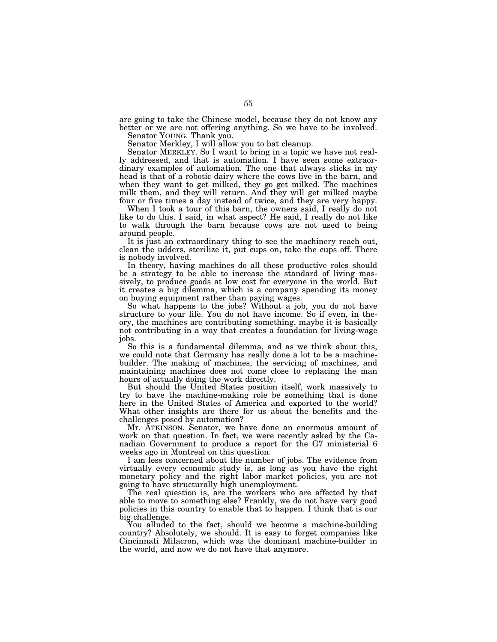are going to take the Chinese model, because they do not know any better or we are not offering anything. So we have to be involved. Senator YOUNG. Thank you.

Senator Merkley, I will allow you to bat cleanup.

Senator MERKLEY. So I want to bring in a topic we have not really addressed, and that is automation. I have seen some extraordinary examples of automation. The one that always sticks in my head is that of a robotic dairy where the cows live in the barn, and when they want to get milked, they go get milked. The machines milk them, and they will return. And they will get milked maybe four or five times a day instead of twice, and they are very happy.

When I took a tour of this barn, the owners said, I really do not like to do this. I said, in what aspect? He said, I really do not like to walk through the barn because cows are not used to being around people.

It is just an extraordinary thing to see the machinery reach out, clean the udders, sterilize it, put cups on, take the cups off. There is nobody involved.

In theory, having machines do all these productive roles should be a strategy to be able to increase the standard of living massively, to produce goods at low cost for everyone in the world. But it creates a big dilemma, which is a company spending its money on buying equipment rather than paying wages.

So what happens to the jobs? Without a job, you do not have structure to your life. You do not have income. So if even, in theory, the machines are contributing something, maybe it is basically not contributing in a way that creates a foundation for living-wage jobs.

So this is a fundamental dilemma, and as we think about this, we could note that Germany has really done a lot to be a machinebuilder. The making of machines, the servicing of machines, and maintaining machines does not come close to replacing the man hours of actually doing the work directly.

But should the United States position itself, work massively to try to have the machine-making role be something that is done here in the United States of America and exported to the world? What other insights are there for us about the benefits and the challenges posed by automation?

Mr. ATKINSON. Senator, we have done an enormous amount of work on that question. In fact, we were recently asked by the Canadian Government to produce a report for the G7 ministerial 6 weeks ago in Montreal on this question.

I am less concerned about the number of jobs. The evidence from virtually every economic study is, as long as you have the right monetary policy and the right labor market policies, you are not going to have structurally high unemployment.

The real question is, are the workers who are affected by that able to move to something else? Frankly, we do not have very good policies in this country to enable that to happen. I think that is our big challenge.

You alluded to the fact, should we become a machine-building country? Absolutely, we should. It is easy to forget companies like Cincinnati Milacron, which was the dominant machine-builder in the world, and now we do not have that anymore.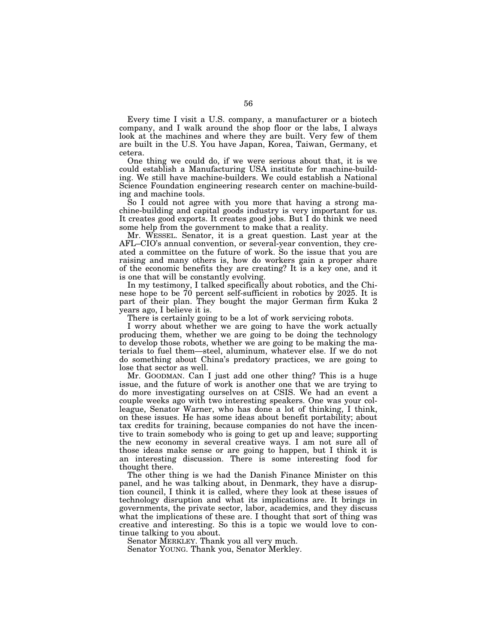Every time I visit a U.S. company, a manufacturer or a biotech company, and I walk around the shop floor or the labs, I always look at the machines and where they are built. Very few of them are built in the U.S. You have Japan, Korea, Taiwan, Germany, et cetera.

One thing we could do, if we were serious about that, it is we could establish a Manufacturing USA institute for machine-building. We still have machine-builders. We could establish a National Science Foundation engineering research center on machine-building and machine tools.

So I could not agree with you more that having a strong machine-building and capital goods industry is very important for us. It creates good exports. It creates good jobs. But I do think we need some help from the government to make that a reality.

Mr. WESSEL. Senator, it is a great question. Last year at the AFL–CIO's annual convention, or several-year convention, they created a committee on the future of work. So the issue that you are raising and many others is, how do workers gain a proper share of the economic benefits they are creating? It is a key one, and it is one that will be constantly evolving.

In my testimony, I talked specifically about robotics, and the Chinese hope to be 70 percent self-sufficient in robotics by 2025. It is part of their plan. They bought the major German firm Kuka 2 years ago, I believe it is.

There is certainly going to be a lot of work servicing robots.

I worry about whether we are going to have the work actually producing them, whether we are going to be doing the technology to develop those robots, whether we are going to be making the materials to fuel them—steel, aluminum, whatever else. If we do not do something about China's predatory practices, we are going to lose that sector as well.

Mr. GOODMAN. Can I just add one other thing? This is a huge issue, and the future of work is another one that we are trying to do more investigating ourselves on at CSIS. We had an event a couple weeks ago with two interesting speakers. One was your colleague, Senator Warner, who has done a lot of thinking, I think, on these issues. He has some ideas about benefit portability; about tax credits for training, because companies do not have the incentive to train somebody who is going to get up and leave; supporting the new economy in several creative ways. I am not sure all of those ideas make sense or are going to happen, but I think it is an interesting discussion. There is some interesting food for thought there.

The other thing is we had the Danish Finance Minister on this panel, and he was talking about, in Denmark, they have a disruption council, I think it is called, where they look at these issues of technology disruption and what its implications are. It brings in governments, the private sector, labor, academics, and they discuss what the implications of these are. I thought that sort of thing was creative and interesting. So this is a topic we would love to continue talking to you about.

Senator MERKLEY. Thank you all very much. Senator YOUNG. Thank you, Senator Merkley.